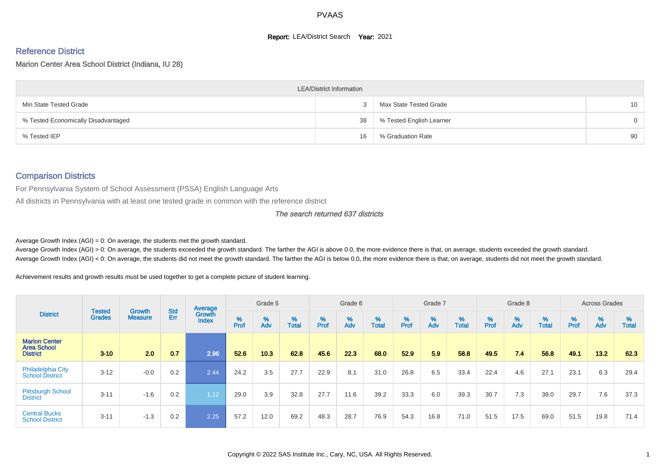#### **Report: LEA/District Search Year: 2021**

# Reference District

Marion Center Area School District (Indiana, IU 28)

|                                     | <b>LEA/District Information</b> |                          |                 |
|-------------------------------------|---------------------------------|--------------------------|-----------------|
| Min State Tested Grade              |                                 | Max State Tested Grade   | 10 <sup>°</sup> |
| % Tested Economically Disadvantaged | 38                              | % Tested English Learner | 0               |
| % Tested IEP                        | 16                              | % Graduation Rate        | 90              |

#### Comparison Districts

For Pennsylvania System of School Assessment (PSSA) English Language Arts

All districts in Pennsylvania with at least one tested grade in common with the reference district

#### The search returned 637 districts

Average Growth Index  $(AGI) = 0$ : On average, the students met the growth standard.

Average Growth Index (AGI) > 0: On average, the students exceeded the growth standard. The farther the AGI is above 0.0, the more evidence there is that, on average, students exceeded the growth standard. Average Growth Index (AGI) < 0: On average, the students did not meet the growth standard. The farther the AGI is below 0.0, the more evidence there is that, on average, students did not meet the growth standard.

Achievement results and growth results must be used together to get a complete picture of student learning.

|                                                               |                                |                                 |            | Average                |           | Grade 5  |                   |           | Grade 6  |                   |           | Grade 7  |                   |           | Grade 8  |                   |           | <b>Across Grades</b> |                   |
|---------------------------------------------------------------|--------------------------------|---------------------------------|------------|------------------------|-----------|----------|-------------------|-----------|----------|-------------------|-----------|----------|-------------------|-----------|----------|-------------------|-----------|----------------------|-------------------|
| <b>District</b>                                               | <b>Tested</b><br><b>Grades</b> | <b>Growth</b><br><b>Measure</b> | Std<br>Err | Growth<br><b>Index</b> | %<br>Prof | %<br>Adv | %<br><b>Total</b> | %<br>Prof | %<br>Adv | %<br><b>Total</b> | %<br>Prof | %<br>Adv | %<br><b>Total</b> | %<br>Prof | %<br>Adv | %<br><b>Total</b> | %<br>Prof | %<br>Adv             | %<br><b>Total</b> |
| <b>Marion Center</b><br><b>Area School</b><br><b>District</b> | $3 - 10$                       | 2.0                             | 0.7        | 2.96                   | 52.6      | 10.3     | 62.8              | 45.6      | 22.3     | 68.0              | 52.9      | 5.9      | 58.8              | 49.5      | 7.4      | 56.8              | 49.1      | 13.2                 | 62.3              |
| <b>Philadelphia City</b><br><b>School District</b>            | $3 - 12$                       | $-0.0$                          | 0.2        | 2.44                   | 24.2      | 3.5      | 27.7              | 22.9      | 8.1      | 31.0              | 26.8      | 6.5      | 33.4              | 22.4      | 4.6      | 27.1              | 23.1      | 6.3                  | 29.4              |
| <b>Pittsburgh School</b><br><b>District</b>                   | $3 - 11$                       | $-1.6$                          | 0.2        | 1.12                   | 29.0      | 3.9      | 32.8              | 27.7      | 11.6     | 39.2              | 33.3      | 6.0      | 39.3              | 30.7      | 7.3      | 38.0              | 29.7      | 7.6                  | 37.3              |
| <b>Central Bucks</b><br><b>School District</b>                | $3 - 11$                       | $-1.3$                          | 0.2        | 2.25                   | 57.2      | 12.0     | 69.2              | 48.3      | 28.7     | 76.9              | 54.3      | 16.8     | 71.0              | 51.5      | 17.5     | 69.0              | 51.5      | 19.8                 | 71.4              |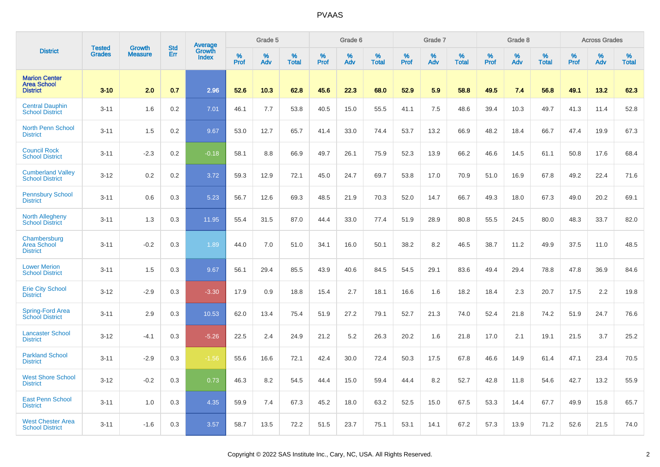|                                                               | <b>Tested</b> | <b>Growth</b>  | <b>Std</b> |                                          |           | Grade 5  |                   |           | Grade 6  |                   |           | Grade 7  |                   |           | Grade 8  |                   |           | <b>Across Grades</b> |                   |
|---------------------------------------------------------------|---------------|----------------|------------|------------------------------------------|-----------|----------|-------------------|-----------|----------|-------------------|-----------|----------|-------------------|-----------|----------|-------------------|-----------|----------------------|-------------------|
| <b>District</b>                                               | <b>Grades</b> | <b>Measure</b> | Err        | <b>Average</b><br>Growth<br><b>Index</b> | %<br>Prof | %<br>Adv | %<br><b>Total</b> | %<br>Prof | %<br>Adv | %<br><b>Total</b> | %<br>Prof | %<br>Adv | %<br><b>Total</b> | %<br>Prof | %<br>Adv | %<br><b>Total</b> | %<br>Prof | %<br>Adv             | %<br><b>Total</b> |
| <b>Marion Center</b><br><b>Area School</b><br><b>District</b> | $3 - 10$      | 2.0            | 0.7        | 2.96                                     | 52.6      | 10.3     | 62.8              | 45.6      | 22.3     | 68.0              | 52.9      | 5.9      | 58.8              | 49.5      | 7.4      | 56.8              | 49.1      | 13.2                 | 62.3              |
| <b>Central Dauphin</b><br><b>School District</b>              | $3 - 11$      | 1.6            | 0.2        | 7.01                                     | 46.1      | 7.7      | 53.8              | 40.5      | 15.0     | 55.5              | 41.1      | 7.5      | 48.6              | 39.4      | 10.3     | 49.7              | 41.3      | 11.4                 | 52.8              |
| North Penn School<br><b>District</b>                          | $3 - 11$      | 1.5            | 0.2        | 9.67                                     | 53.0      | 12.7     | 65.7              | 41.4      | 33.0     | 74.4              | 53.7      | 13.2     | 66.9              | 48.2      | 18.4     | 66.7              | 47.4      | 19.9                 | 67.3              |
| <b>Council Rock</b><br><b>School District</b>                 | $3 - 11$      | $-2.3$         | 0.2        | $-0.18$                                  | 58.1      | 8.8      | 66.9              | 49.7      | 26.1     | 75.9              | 52.3      | 13.9     | 66.2              | 46.6      | 14.5     | 61.1              | 50.8      | 17.6                 | 68.4              |
| <b>Cumberland Valley</b><br><b>School District</b>            | $3 - 12$      | 0.2            | 0.2        | 3.72                                     | 59.3      | 12.9     | 72.1              | 45.0      | 24.7     | 69.7              | 53.8      | 17.0     | 70.9              | 51.0      | 16.9     | 67.8              | 49.2      | 22.4                 | 71.6              |
| <b>Pennsbury School</b><br><b>District</b>                    | $3 - 11$      | 0.6            | 0.3        | 5.23                                     | 56.7      | 12.6     | 69.3              | 48.5      | 21.9     | 70.3              | 52.0      | 14.7     | 66.7              | 49.3      | 18.0     | 67.3              | 49.0      | 20.2                 | 69.1              |
| <b>North Allegheny</b><br><b>School District</b>              | $3 - 11$      | 1.3            | 0.3        | 11.95                                    | 55.4      | 31.5     | 87.0              | 44.4      | 33.0     | 77.4              | 51.9      | 28.9     | 80.8              | 55.5      | 24.5     | 80.0              | 48.3      | 33.7                 | 82.0              |
| Chambersburg<br><b>Area School</b><br><b>District</b>         | $3 - 11$      | $-0.2$         | 0.3        | 1.89                                     | 44.0      | 7.0      | 51.0              | 34.1      | 16.0     | 50.1              | 38.2      | 8.2      | 46.5              | 38.7      | 11.2     | 49.9              | 37.5      | 11.0                 | 48.5              |
| <b>Lower Merion</b><br><b>School District</b>                 | $3 - 11$      | 1.5            | 0.3        | 9.67                                     | 56.1      | 29.4     | 85.5              | 43.9      | 40.6     | 84.5              | 54.5      | 29.1     | 83.6              | 49.4      | 29.4     | 78.8              | 47.8      | 36.9                 | 84.6              |
| <b>Erie City School</b><br><b>District</b>                    | $3 - 12$      | $-2.9$         | 0.3        | $-3.30$                                  | 17.9      | 0.9      | 18.8              | 15.4      | 2.7      | 18.1              | 16.6      | 1.6      | 18.2              | 18.4      | 2.3      | 20.7              | 17.5      | 2.2                  | 19.8              |
| Spring-Ford Area<br><b>School District</b>                    | $3 - 11$      | 2.9            | 0.3        | 10.53                                    | 62.0      | 13.4     | 75.4              | 51.9      | 27.2     | 79.1              | 52.7      | 21.3     | 74.0              | 52.4      | 21.8     | 74.2              | 51.9      | 24.7                 | 76.6              |
| <b>Lancaster School</b><br><b>District</b>                    | $3 - 12$      | $-4.1$         | 0.3        | $-5.26$                                  | 22.5      | 2.4      | 24.9              | 21.2      | 5.2      | 26.3              | 20.2      | 1.6      | 21.8              | 17.0      | 2.1      | 19.1              | 21.5      | 3.7                  | 25.2              |
| <b>Parkland School</b><br><b>District</b>                     | $3 - 11$      | $-2.9$         | 0.3        | $-1.56$                                  | 55.6      | 16.6     | 72.1              | 42.4      | 30.0     | 72.4              | 50.3      | 17.5     | 67.8              | 46.6      | 14.9     | 61.4              | 47.1      | 23.4                 | 70.5              |
| <b>West Shore School</b><br><b>District</b>                   | $3 - 12$      | $-0.2$         | 0.3        | 0.73                                     | 46.3      | 8.2      | 54.5              | 44.4      | 15.0     | 59.4              | 44.4      | 8.2      | 52.7              | 42.8      | 11.8     | 54.6              | 42.7      | 13.2                 | 55.9              |
| <b>East Penn School</b><br><b>District</b>                    | $3 - 11$      | 1.0            | 0.3        | 4.35                                     | 59.9      | 7.4      | 67.3              | 45.2      | 18.0     | 63.2              | 52.5      | 15.0     | 67.5              | 53.3      | 14.4     | 67.7              | 49.9      | 15.8                 | 65.7              |
| <b>West Chester Area</b><br><b>School District</b>            | $3 - 11$      | $-1.6$         | 0.3        | 3.57                                     | 58.7      | 13.5     | 72.2              | 51.5      | 23.7     | 75.1              | 53.1      | 14.1     | 67.2              | 57.3      | 13.9     | 71.2              | 52.6      | 21.5                 | 74.0              |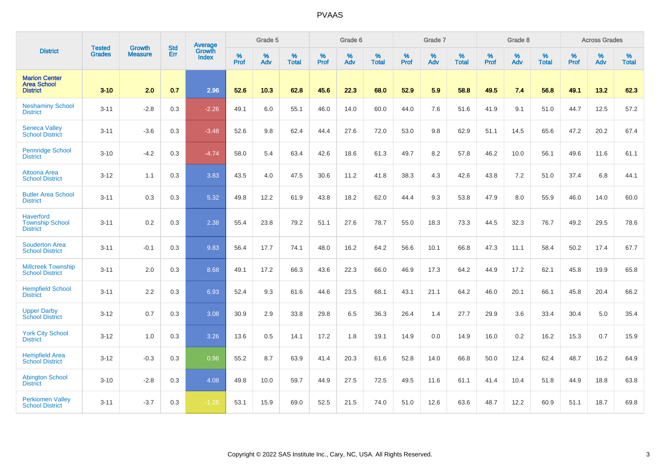|                                                               | <b>Tested</b> | <b>Growth</b>  | <b>Std</b> | <b>Average</b>         |           | Grade 5  |                   |           | Grade 6  |                   |           | Grade 7  |                   |           | Grade 8  |                   |           | <b>Across Grades</b> |                   |
|---------------------------------------------------------------|---------------|----------------|------------|------------------------|-----------|----------|-------------------|-----------|----------|-------------------|-----------|----------|-------------------|-----------|----------|-------------------|-----------|----------------------|-------------------|
| <b>District</b>                                               | <b>Grades</b> | <b>Measure</b> | Err        | Growth<br><b>Index</b> | %<br>Prof | %<br>Adv | %<br><b>Total</b> | %<br>Prof | %<br>Adv | %<br><b>Total</b> | %<br>Prof | %<br>Adv | %<br><b>Total</b> | %<br>Prof | %<br>Adv | %<br><b>Total</b> | %<br>Prof | %<br>Adv             | %<br><b>Total</b> |
| <b>Marion Center</b><br><b>Area School</b><br><b>District</b> | $3 - 10$      | 2.0            | 0.7        | 2.96                   | 52.6      | 10.3     | 62.8              | 45.6      | 22.3     | 68.0              | 52.9      | 5.9      | 58.8              | 49.5      | 7.4      | 56.8              | 49.1      | 13.2                 | 62.3              |
| <b>Neshaminy School</b><br><b>District</b>                    | $3 - 11$      | $-2.8$         | 0.3        | $-2.26$                | 49.1      | 6.0      | 55.1              | 46.0      | 14.0     | 60.0              | 44.0      | 7.6      | 51.6              | 41.9      | 9.1      | 51.0              | 44.7      | 12.5                 | 57.2              |
| <b>Seneca Valley</b><br><b>School District</b>                | $3 - 11$      | $-3.6$         | 0.3        | $-3.48$                | 52.6      | 9.8      | 62.4              | 44.4      | 27.6     | 72.0              | 53.0      | 9.8      | 62.9              | 51.1      | 14.5     | 65.6              | 47.2      | 20.2                 | 67.4              |
| <b>Pennridge School</b><br><b>District</b>                    | $3 - 10$      | $-4.2$         | 0.3        | $-4.74$                | 58.0      | 5.4      | 63.4              | 42.6      | 18.6     | 61.3              | 49.7      | 8.2      | 57.8              | 46.2      | 10.0     | 56.1              | 49.6      | 11.6                 | 61.1              |
| Altoona Area<br><b>School District</b>                        | $3 - 12$      | 1.1            | 0.3        | 3.83                   | 43.5      | 4.0      | 47.5              | 30.6      | 11.2     | 41.8              | 38.3      | 4.3      | 42.6              | 43.8      | 7.2      | 51.0              | 37.4      | 6.8                  | 44.1              |
| <b>Butler Area School</b><br><b>District</b>                  | $3 - 11$      | 0.3            | 0.3        | 5.32                   | 49.8      | 12.2     | 61.9              | 43.8      | 18.2     | 62.0              | 44.4      | 9.3      | 53.8              | 47.9      | 8.0      | 55.9              | 46.0      | 14.0                 | 60.0              |
| <b>Haverford</b><br><b>Township School</b><br><b>District</b> | $3 - 11$      | 0.2            | 0.3        | 2.38                   | 55.4      | 23.8     | 79.2              | 51.1      | 27.6     | 78.7              | 55.0      | 18.3     | 73.3              | 44.5      | 32.3     | 76.7              | 49.2      | 29.5                 | 78.6              |
| <b>Souderton Area</b><br><b>School District</b>               | $3 - 11$      | $-0.1$         | 0.3        | 9.83                   | 56.4      | 17.7     | 74.1              | 48.0      | 16.2     | 64.2              | 56.6      | 10.1     | 66.8              | 47.3      | 11.1     | 58.4              | 50.2      | 17.4                 | 67.7              |
| <b>Millcreek Township</b><br><b>School District</b>           | $3 - 11$      | 2.0            | 0.3        | 8.68                   | 49.1      | 17.2     | 66.3              | 43.6      | 22.3     | 66.0              | 46.9      | 17.3     | 64.2              | 44.9      | 17.2     | 62.1              | 45.8      | 19.9                 | 65.8              |
| <b>Hempfield School</b><br><b>District</b>                    | $3 - 11$      | 2.2            | 0.3        | 6.93                   | 52.4      | 9.3      | 61.6              | 44.6      | 23.5     | 68.1              | 43.1      | 21.1     | 64.2              | 46.0      | 20.1     | 66.1              | 45.8      | 20.4                 | 66.2              |
| <b>Upper Darby</b><br><b>School District</b>                  | $3 - 12$      | 0.7            | 0.3        | 3.08                   | 30.9      | 2.9      | 33.8              | 29.8      | 6.5      | 36.3              | 26.4      | 1.4      | 27.7              | 29.9      | 3.6      | 33.4              | 30.4      | 5.0                  | 35.4              |
| <b>York City School</b><br><b>District</b>                    | $3 - 12$      | 1.0            | 0.3        | 3.26                   | 13.6      | 0.5      | 14.1              | 17.2      | 1.8      | 19.1              | 14.9      | 0.0      | 14.9              | 16.0      | 0.2      | 16.2              | 15.3      | 0.7                  | 15.9              |
| <b>Hempfield Area</b><br><b>School District</b>               | $3 - 12$      | $-0.3$         | 0.3        | 0.96                   | 55.2      | 8.7      | 63.9              | 41.4      | 20.3     | 61.6              | 52.8      | 14.0     | 66.8              | 50.0      | 12.4     | 62.4              | 48.7      | 16.2                 | 64.9              |
| <b>Abington School</b><br><b>District</b>                     | $3 - 10$      | $-2.8$         | 0.3        | 4.08                   | 49.8      | 10.0     | 59.7              | 44.9      | 27.5     | 72.5              | 49.5      | 11.6     | 61.1              | 41.4      | 10.4     | 51.8              | 44.9      | 18.8                 | 63.8              |
| <b>Perkiomen Valley</b><br><b>School District</b>             | $3 - 11$      | $-3.7$         | 0.3        | $-1.26$                | 53.1      | 15.9     | 69.0              | 52.5      | 21.5     | 74.0              | 51.0      | 12.6     | 63.6              | 48.7      | 12.2     | 60.9              | 51.1      | 18.7                 | 69.8              |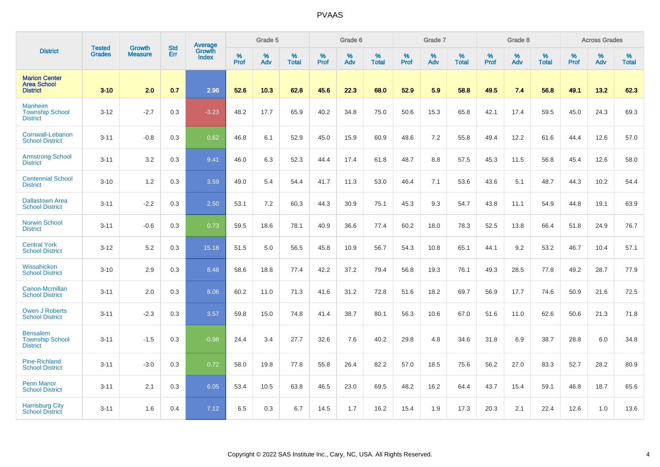|                                                               | <b>Tested</b> | <b>Growth</b>  | <b>Std</b> | Average                       |           | Grade 5  |                   |           | Grade 6  |                   |           | Grade 7  |                   |           | Grade 8  |                   |           | <b>Across Grades</b> |                   |
|---------------------------------------------------------------|---------------|----------------|------------|-------------------------------|-----------|----------|-------------------|-----------|----------|-------------------|-----------|----------|-------------------|-----------|----------|-------------------|-----------|----------------------|-------------------|
| <b>District</b>                                               | <b>Grades</b> | <b>Measure</b> | Err        | <b>Growth</b><br><b>Index</b> | %<br>Prof | %<br>Adv | %<br><b>Total</b> | %<br>Prof | %<br>Adv | %<br><b>Total</b> | %<br>Prof | %<br>Adv | %<br><b>Total</b> | %<br>Prof | %<br>Adv | %<br><b>Total</b> | %<br>Prof | %<br>Adv             | %<br><b>Total</b> |
| <b>Marion Center</b><br><b>Area School</b><br><b>District</b> | $3 - 10$      | 2.0            | 0.7        | 2.96                          | 52.6      | 10.3     | 62.8              | 45.6      | 22.3     | 68.0              | 52.9      | 5.9      | 58.8              | 49.5      | 7.4      | 56.8              | 49.1      | 13.2                 | 62.3              |
| <b>Manheim</b><br><b>Township School</b><br><b>District</b>   | $3 - 12$      | $-2.7$         | 0.3        | $-3.23$                       | 48.2      | 17.7     | 65.9              | 40.2      | 34.8     | 75.0              | 50.6      | 15.3     | 65.8              | 42.1      | 17.4     | 59.5              | 45.0      | 24.3                 | 69.3              |
| Cornwall-Lebanon<br><b>School District</b>                    | $3 - 11$      | $-0.8$         | 0.3        | 0.62                          | 46.8      | 6.1      | 52.9              | 45.0      | 15.9     | 60.9              | 48.6      | 7.2      | 55.8              | 49.4      | 12.2     | 61.6              | 44.4      | 12.6                 | 57.0              |
| <b>Armstrong School</b><br><b>District</b>                    | $3 - 11$      | 3.2            | 0.3        | 9.41                          | 46.0      | 6.3      | 52.3              | 44.4      | 17.4     | 61.8              | 48.7      | 8.8      | 57.5              | 45.3      | 11.5     | 56.8              | 45.4      | 12.6                 | 58.0              |
| <b>Centennial School</b><br><b>District</b>                   | $3 - 10$      | 1.2            | 0.3        | 3.59                          | 49.0      | 5.4      | 54.4              | 41.7      | 11.3     | 53.0              | 46.4      | 7.1      | 53.6              | 43.6      | 5.1      | 48.7              | 44.3      | 10.2                 | 54.4              |
| <b>Dallastown Area</b><br><b>School District</b>              | $3 - 11$      | $-2.2$         | 0.3        | 2.50                          | 53.1      | 7.2      | 60.3              | 44.3      | 30.9     | 75.1              | 45.3      | 9.3      | 54.7              | 43.8      | 11.1     | 54.9              | 44.8      | 19.1                 | 63.9              |
| <b>Norwin School</b><br><b>District</b>                       | $3 - 11$      | $-0.6$         | 0.3        | 0.73                          | 59.5      | 18.6     | 78.1              | 40.9      | 36.6     | 77.4              | 60.2      | 18.0     | 78.3              | 52.5      | 13.8     | 66.4              | 51.8      | 24.9                 | 76.7              |
| <b>Central York</b><br><b>School District</b>                 | $3 - 12$      | 5.2            | 0.3        | 15.18                         | 51.5      | 5.0      | 56.5              | 45.8      | 10.9     | 56.7              | 54.3      | 10.8     | 65.1              | 44.1      | 9.2      | 53.2              | 46.7      | 10.4                 | 57.1              |
| Wissahickon<br><b>School District</b>                         | $3 - 10$      | 2.9            | 0.3        | 8.48                          | 58.6      | 18.8     | 77.4              | 42.2      | 37.2     | 79.4              | 56.8      | 19.3     | 76.1              | 49.3      | 28.5     | 77.8              | 49.2      | 28.7                 | 77.9              |
| Canon-Mcmillan<br><b>School District</b>                      | $3 - 11$      | 2.0            | 0.3        | 8.06                          | 60.2      | 11.0     | 71.3              | 41.6      | 31.2     | 72.8              | 51.6      | 18.2     | 69.7              | 56.9      | 17.7     | 74.6              | 50.9      | 21.6                 | 72.5              |
| <b>Owen J Roberts</b><br><b>School District</b>               | $3 - 11$      | $-2.3$         | 0.3        | 3.57                          | 59.8      | 15.0     | 74.8              | 41.4      | 38.7     | 80.1              | 56.3      | 10.6     | 67.0              | 51.6      | 11.0     | 62.6              | 50.6      | 21.3                 | 71.8              |
| <b>Bensalem</b><br><b>Township School</b><br><b>District</b>  | $3 - 11$      | $-1.5$         | 0.3        | $-0.98$                       | 24.4      | 3.4      | 27.7              | 32.6      | 7.6      | 40.2              | 29.8      | 4.8      | 34.6              | 31.8      | 6.9      | 38.7              | 28.8      | 6.0                  | 34.8              |
| <b>Pine-Richland</b><br><b>School District</b>                | $3 - 11$      | $-3.0$         | 0.3        | 0.72                          | 58.0      | 19.8     | 77.8              | 55.8      | 26.4     | 82.2              | 57.0      | 18.5     | 75.6              | 56.2      | 27.0     | 83.3              | 52.7      | 28.2                 | 80.9              |
| <b>Penn Manor</b><br><b>School District</b>                   | $3 - 11$      | 2.1            | 0.3        | 6.05                          | 53.4      | 10.5     | 63.8              | 46.5      | 23.0     | 69.5              | 48.2      | 16.2     | 64.4              | 43.7      | 15.4     | 59.1              | 46.8      | 18.7                 | 65.6              |
| <b>Harrisburg City</b><br><b>School District</b>              | $3 - 11$      | 1.6            | 0.4        | 7.12                          | 6.5       | 0.3      | 6.7               | 14.5      | 1.7      | 16.2              | 15.4      | 1.9      | 17.3              | 20.3      | 2.1      | 22.4              | 12.6      | 1.0                  | 13.6              |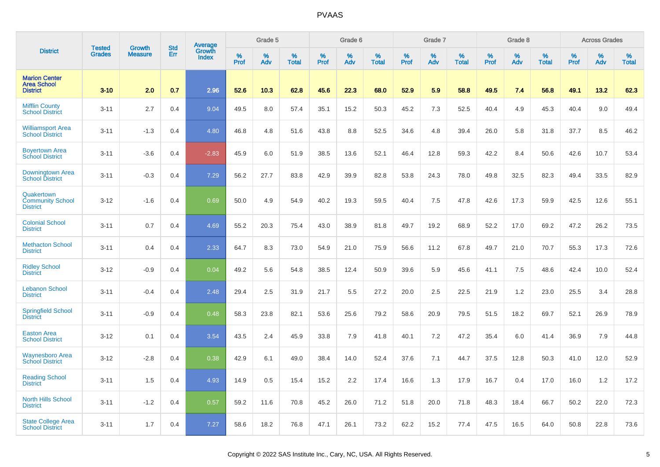|                                                               | <b>Tested</b> | <b>Growth</b>  | <b>Std</b> |                                   |              | Grade 5  |                   |           | Grade 6  |                   |              | Grade 7  |                   |              | Grade 8  |                   |                     | <b>Across Grades</b> |                   |
|---------------------------------------------------------------|---------------|----------------|------------|-----------------------------------|--------------|----------|-------------------|-----------|----------|-------------------|--------------|----------|-------------------|--------------|----------|-------------------|---------------------|----------------------|-------------------|
| <b>District</b>                                               | <b>Grades</b> | <b>Measure</b> | Err        | Average<br>Growth<br><b>Index</b> | $\%$<br>Prof | %<br>Adv | %<br><b>Total</b> | %<br>Prof | %<br>Adv | %<br><b>Total</b> | $\%$<br>Prof | %<br>Adv | %<br><b>Total</b> | $\%$<br>Prof | %<br>Adv | %<br><b>Total</b> | $\%$<br><b>Prof</b> | $\%$<br>Adv          | %<br><b>Total</b> |
| <b>Marion Center</b><br><b>Area School</b><br><b>District</b> | $3 - 10$      | 2.0            | 0.7        | 2.96                              | 52.6         | 10.3     | 62.8              | 45.6      | 22.3     | 68.0              | 52.9         | 5.9      | 58.8              | 49.5         | 7.4      | 56.8              | 49.1                | 13.2                 | 62.3              |
| <b>Mifflin County</b><br><b>School District</b>               | $3 - 11$      | 2.7            | 0.4        | 9.04                              | 49.5         | 8.0      | 57.4              | 35.1      | 15.2     | 50.3              | 45.2         | 7.3      | 52.5              | 40.4         | 4.9      | 45.3              | 40.4                | 9.0                  | 49.4              |
| <b>Williamsport Area</b><br><b>School District</b>            | $3 - 11$      | $-1.3$         | 0.4        | 4.80                              | 46.8         | 4.8      | 51.6              | 43.8      | 8.8      | 52.5              | 34.6         | 4.8      | 39.4              | 26.0         | 5.8      | 31.8              | 37.7                | 8.5                  | 46.2              |
| <b>Boyertown Area</b><br><b>School District</b>               | $3 - 11$      | $-3.6$         | 0.4        | $-2.83$                           | 45.9         | 6.0      | 51.9              | 38.5      | 13.6     | 52.1              | 46.4         | 12.8     | 59.3              | 42.2         | 8.4      | 50.6              | 42.6                | 10.7                 | 53.4              |
| Downingtown Area<br><b>School District</b>                    | $3 - 11$      | $-0.3$         | 0.4        | 7.29                              | 56.2         | 27.7     | 83.8              | 42.9      | 39.9     | 82.8              | 53.8         | 24.3     | 78.0              | 49.8         | 32.5     | 82.3              | 49.4                | 33.5                 | 82.9              |
| Quakertown<br><b>Community School</b><br><b>District</b>      | $3 - 12$      | $-1.6$         | 0.4        | 0.69                              | 50.0         | 4.9      | 54.9              | 40.2      | 19.3     | 59.5              | 40.4         | 7.5      | 47.8              | 42.6         | 17.3     | 59.9              | 42.5                | 12.6                 | 55.1              |
| <b>Colonial School</b><br><b>District</b>                     | $3 - 11$      | 0.7            | 0.4        | 4.69                              | 55.2         | 20.3     | 75.4              | 43.0      | 38.9     | 81.8              | 49.7         | 19.2     | 68.9              | 52.2         | 17.0     | 69.2              | 47.2                | 26.2                 | 73.5              |
| <b>Methacton School</b><br><b>District</b>                    | $3 - 11$      | 0.4            | 0.4        | 2.33                              | 64.7         | 8.3      | 73.0              | 54.9      | 21.0     | 75.9              | 56.6         | 11.2     | 67.8              | 49.7         | 21.0     | 70.7              | 55.3                | 17.3                 | 72.6              |
| <b>Ridley School</b><br><b>District</b>                       | $3 - 12$      | $-0.9$         | 0.4        | 0.04                              | 49.2         | 5.6      | 54.8              | 38.5      | 12.4     | 50.9              | 39.6         | 5.9      | 45.6              | 41.1         | 7.5      | 48.6              | 42.4                | 10.0                 | 52.4              |
| <b>Lebanon School</b><br><b>District</b>                      | $3 - 11$      | $-0.4$         | 0.4        | 2.48                              | 29.4         | 2.5      | 31.9              | 21.7      | 5.5      | 27.2              | 20.0         | 2.5      | 22.5              | 21.9         | 1.2      | 23.0              | 25.5                | 3.4                  | 28.8              |
| <b>Springfield School</b><br><b>District</b>                  | $3 - 11$      | $-0.9$         | 0.4        | 0.48                              | 58.3         | 23.8     | 82.1              | 53.6      | 25.6     | 79.2              | 58.6         | 20.9     | 79.5              | 51.5         | 18.2     | 69.7              | 52.1                | 26.9                 | 78.9              |
| <b>Easton Area</b><br><b>School District</b>                  | $3 - 12$      | 0.1            | 0.4        | 3.54                              | 43.5         | 2.4      | 45.9              | 33.8      | 7.9      | 41.8              | 40.1         | 7.2      | 47.2              | 35.4         | 6.0      | 41.4              | 36.9                | 7.9                  | 44.8              |
| <b>Waynesboro Area</b><br><b>School District</b>              | $3 - 12$      | $-2.8$         | 0.4        | 0.38                              | 42.9         | 6.1      | 49.0              | 38.4      | 14.0     | 52.4              | 37.6         | 7.1      | 44.7              | 37.5         | 12.8     | 50.3              | 41.0                | 12.0                 | 52.9              |
| <b>Reading School</b><br><b>District</b>                      | $3 - 11$      | 1.5            | 0.4        | 4.93                              | 14.9         | 0.5      | 15.4              | 15.2      | 2.2      | 17.4              | 16.6         | 1.3      | 17.9              | 16.7         | 0.4      | 17.0              | 16.0                | 1.2                  | 17.2              |
| <b>North Hills School</b><br><b>District</b>                  | $3 - 11$      | $-1.2$         | 0.4        | 0.57                              | 59.2         | 11.6     | 70.8              | 45.2      | 26.0     | 71.2              | 51.8         | 20.0     | 71.8              | 48.3         | 18.4     | 66.7              | 50.2                | 22.0                 | 72.3              |
| <b>State College Area</b><br><b>School District</b>           | $3 - 11$      | 1.7            | 0.4        | 7.27                              | 58.6         | 18.2     | 76.8              | 47.1      | 26.1     | 73.2              | 62.2         | 15.2     | 77.4              | 47.5         | 16.5     | 64.0              | 50.8                | 22.8                 | 73.6              |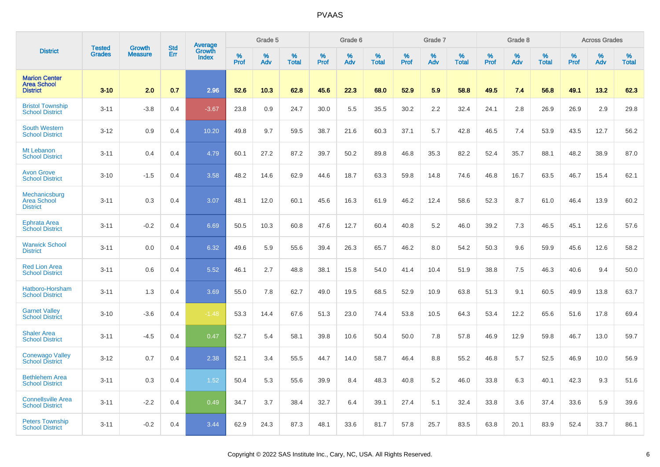|                                                               | <b>Tested</b> | <b>Growth</b>  | <b>Std</b> |                                   |           | Grade 5  |                   |           | Grade 6  |                   |           | Grade 7  |                   |           | Grade 8  |                   |                     | <b>Across Grades</b> |                   |
|---------------------------------------------------------------|---------------|----------------|------------|-----------------------------------|-----------|----------|-------------------|-----------|----------|-------------------|-----------|----------|-------------------|-----------|----------|-------------------|---------------------|----------------------|-------------------|
| <b>District</b>                                               | <b>Grades</b> | <b>Measure</b> | Err        | Average<br>Growth<br><b>Index</b> | %<br>Prof | %<br>Adv | %<br><b>Total</b> | %<br>Prof | %<br>Adv | %<br><b>Total</b> | %<br>Prof | %<br>Adv | %<br><b>Total</b> | %<br>Prof | %<br>Adv | %<br><b>Total</b> | $\%$<br><b>Prof</b> | %<br>Adv             | %<br><b>Total</b> |
| <b>Marion Center</b><br><b>Area School</b><br><b>District</b> | $3 - 10$      | 2.0            | 0.7        | 2.96                              | 52.6      | 10.3     | 62.8              | 45.6      | 22.3     | 68.0              | 52.9      | 5.9      | 58.8              | 49.5      | 7.4      | 56.8              | 49.1                | 13.2                 | 62.3              |
| <b>Bristol Township</b><br><b>School District</b>             | $3 - 11$      | $-3.8$         | 0.4        | $-3.67$                           | 23.8      | 0.9      | 24.7              | 30.0      | 5.5      | 35.5              | 30.2      | 2.2      | 32.4              | 24.1      | 2.8      | 26.9              | 26.9                | 2.9                  | 29.8              |
| <b>South Western</b><br><b>School District</b>                | $3 - 12$      | 0.9            | 0.4        | 10.20                             | 49.8      | 9.7      | 59.5              | 38.7      | 21.6     | 60.3              | 37.1      | 5.7      | 42.8              | 46.5      | 7.4      | 53.9              | 43.5                | 12.7                 | 56.2              |
| Mt Lebanon<br><b>School District</b>                          | $3 - 11$      | 0.4            | 0.4        | 4.79                              | 60.1      | 27.2     | 87.2              | 39.7      | 50.2     | 89.8              | 46.8      | 35.3     | 82.2              | 52.4      | 35.7     | 88.1              | 48.2                | 38.9                 | 87.0              |
| <b>Avon Grove</b><br><b>School District</b>                   | $3 - 10$      | $-1.5$         | 0.4        | 3.58                              | 48.2      | 14.6     | 62.9              | 44.6      | 18.7     | 63.3              | 59.8      | 14.8     | 74.6              | 46.8      | 16.7     | 63.5              | 46.7                | 15.4                 | 62.1              |
| Mechanicsburg<br><b>Area School</b><br><b>District</b>        | $3 - 11$      | 0.3            | 0.4        | 3.07                              | 48.1      | 12.0     | 60.1              | 45.6      | 16.3     | 61.9              | 46.2      | 12.4     | 58.6              | 52.3      | 8.7      | 61.0              | 46.4                | 13.9                 | 60.2              |
| <b>Ephrata Area</b><br><b>School District</b>                 | $3 - 11$      | $-0.2$         | 0.4        | 6.69                              | 50.5      | 10.3     | 60.8              | 47.6      | 12.7     | 60.4              | 40.8      | 5.2      | 46.0              | 39.2      | 7.3      | 46.5              | 45.1                | 12.6                 | 57.6              |
| <b>Warwick School</b><br><b>District</b>                      | $3 - 11$      | 0.0            | 0.4        | 6.32                              | 49.6      | 5.9      | 55.6              | 39.4      | 26.3     | 65.7              | 46.2      | 8.0      | 54.2              | 50.3      | 9.6      | 59.9              | 45.6                | 12.6                 | 58.2              |
| <b>Red Lion Area</b><br><b>School District</b>                | $3 - 11$      | 0.6            | 0.4        | 5.52                              | 46.1      | 2.7      | 48.8              | 38.1      | 15.8     | 54.0              | 41.4      | 10.4     | 51.9              | 38.8      | 7.5      | 46.3              | 40.6                | 9.4                  | 50.0              |
| Hatboro-Horsham<br><b>School District</b>                     | $3 - 11$      | 1.3            | 0.4        | 3.69                              | 55.0      | 7.8      | 62.7              | 49.0      | 19.5     | 68.5              | 52.9      | 10.9     | 63.8              | 51.3      | 9.1      | 60.5              | 49.9                | 13.8                 | 63.7              |
| <b>Garnet Valley</b><br><b>School District</b>                | $3 - 10$      | $-3.6$         | 0.4        | $-1.48$                           | 53.3      | 14.4     | 67.6              | 51.3      | 23.0     | 74.4              | 53.8      | 10.5     | 64.3              | 53.4      | 12.2     | 65.6              | 51.6                | 17.8                 | 69.4              |
| <b>Shaler Area</b><br><b>School District</b>                  | $3 - 11$      | $-4.5$         | 0.4        | 0.47                              | 52.7      | 5.4      | 58.1              | 39.8      | 10.6     | 50.4              | 50.0      | 7.8      | 57.8              | 46.9      | 12.9     | 59.8              | 46.7                | 13.0                 | 59.7              |
| <b>Conewago Valley</b><br><b>School District</b>              | $3 - 12$      | 0.7            | 0.4        | 2.38                              | 52.1      | 3.4      | 55.5              | 44.7      | 14.0     | 58.7              | 46.4      | 8.8      | 55.2              | 46.8      | 5.7      | 52.5              | 46.9                | 10.0                 | 56.9              |
| <b>Bethlehem Area</b><br><b>School District</b>               | $3 - 11$      | 0.3            | 0.4        | 1.52                              | 50.4      | 5.3      | 55.6              | 39.9      | 8.4      | 48.3              | 40.8      | 5.2      | 46.0              | 33.8      | 6.3      | 40.1              | 42.3                | 9.3                  | 51.6              |
| <b>Connellsville Area</b><br><b>School District</b>           | $3 - 11$      | $-2.2$         | 0.4        | 0.49                              | 34.7      | 3.7      | 38.4              | 32.7      | 6.4      | 39.1              | 27.4      | 5.1      | 32.4              | 33.8      | 3.6      | 37.4              | 33.6                | 5.9                  | 39.6              |
| <b>Peters Township</b><br><b>School District</b>              | $3 - 11$      | $-0.2$         | 0.4        | 3.44                              | 62.9      | 24.3     | 87.3              | 48.1      | 33.6     | 81.7              | 57.8      | 25.7     | 83.5              | 63.8      | 20.1     | 83.9              | 52.4                | 33.7                 | 86.1              |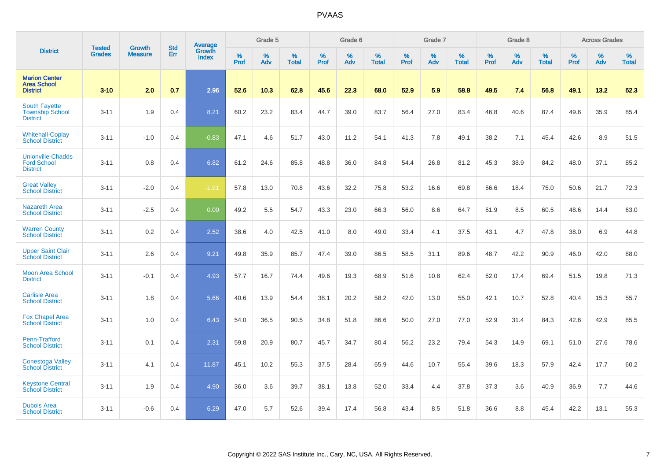|                                                                   | <b>Tested</b> | <b>Growth</b>  | <b>Std</b> | Average                |           | Grade 5  |                   |           | Grade 6  |                   |           | Grade 7  |                   |           | Grade 8  |                   |           | <b>Across Grades</b> |                   |
|-------------------------------------------------------------------|---------------|----------------|------------|------------------------|-----------|----------|-------------------|-----------|----------|-------------------|-----------|----------|-------------------|-----------|----------|-------------------|-----------|----------------------|-------------------|
| <b>District</b>                                                   | <b>Grades</b> | <b>Measure</b> | Err        | <b>Growth</b><br>Index | %<br>Prof | %<br>Adv | %<br><b>Total</b> | %<br>Prof | %<br>Adv | %<br><b>Total</b> | %<br>Prof | %<br>Adv | %<br><b>Total</b> | %<br>Prof | %<br>Adv | %<br><b>Total</b> | %<br>Prof | %<br>Adv             | %<br><b>Total</b> |
| <b>Marion Center</b><br><b>Area School</b><br><b>District</b>     | $3 - 10$      | 2.0            | 0.7        | 2.96                   | 52.6      | 10.3     | 62.8              | 45.6      | 22.3     | 68.0              | 52.9      | 5.9      | 58.8              | 49.5      | 7.4      | 56.8              | 49.1      | 13.2                 | 62.3              |
| <b>South Fayette</b><br><b>Township School</b><br><b>District</b> | $3 - 11$      | 1.9            | 0.4        | 8.21                   | 60.2      | 23.2     | 83.4              | 44.7      | 39.0     | 83.7              | 56.4      | 27.0     | 83.4              | 46.8      | 40.6     | 87.4              | 49.6      | 35.9                 | 85.4              |
| <b>Whitehall-Coplay</b><br><b>School District</b>                 | $3 - 11$      | $-1.0$         | 0.4        | $-0.83$                | 47.1      | 4.6      | 51.7              | 43.0      | 11.2     | 54.1              | 41.3      | 7.8      | 49.1              | 38.2      | 7.1      | 45.4              | 42.6      | 8.9                  | 51.5              |
| <b>Unionville-Chadds</b><br><b>Ford School</b><br><b>District</b> | $3 - 11$      | 0.8            | 0.4        | 6.82                   | 61.2      | 24.6     | 85.8              | 48.8      | 36.0     | 84.8              | 54.4      | 26.8     | 81.2              | 45.3      | 38.9     | 84.2              | 48.0      | 37.1                 | 85.2              |
| <b>Great Valley</b><br><b>School District</b>                     | $3 - 11$      | $-2.0$         | 0.4        | $-1.91$                | 57.8      | 13.0     | 70.8              | 43.6      | 32.2     | 75.8              | 53.2      | 16.6     | 69.8              | 56.6      | 18.4     | 75.0              | 50.6      | 21.7                 | 72.3              |
| <b>Nazareth Area</b><br><b>School District</b>                    | $3 - 11$      | $-2.5$         | 0.4        | 0.00                   | 49.2      | 5.5      | 54.7              | 43.3      | 23.0     | 66.3              | 56.0      | 8.6      | 64.7              | 51.9      | 8.5      | 60.5              | 48.6      | 14.4                 | 63.0              |
| <b>Warren County</b><br><b>School District</b>                    | $3 - 11$      | 0.2            | 0.4        | 2.52                   | 38.6      | 4.0      | 42.5              | 41.0      | 8.0      | 49.0              | 33.4      | 4.1      | 37.5              | 43.1      | 4.7      | 47.8              | 38.0      | 6.9                  | 44.8              |
| <b>Upper Saint Clair</b><br><b>School District</b>                | $3 - 11$      | 2.6            | 0.4        | 9.21                   | 49.8      | 35.9     | 85.7              | 47.4      | 39.0     | 86.5              | 58.5      | 31.1     | 89.6              | 48.7      | 42.2     | 90.9              | 46.0      | 42.0                 | 88.0              |
| <b>Moon Area School</b><br><b>District</b>                        | $3 - 11$      | $-0.1$         | 0.4        | 4.93                   | 57.7      | 16.7     | 74.4              | 49.6      | 19.3     | 68.9              | 51.6      | 10.8     | 62.4              | 52.0      | 17.4     | 69.4              | 51.5      | 19.8                 | 71.3              |
| <b>Carlisle Area</b><br><b>School District</b>                    | $3 - 11$      | 1.8            | 0.4        | 5.66                   | 40.6      | 13.9     | 54.4              | 38.1      | 20.2     | 58.2              | 42.0      | 13.0     | 55.0              | 42.1      | 10.7     | 52.8              | 40.4      | 15.3                 | 55.7              |
| <b>Fox Chapel Area</b><br><b>School District</b>                  | $3 - 11$      | 1.0            | 0.4        | 6.43                   | 54.0      | 36.5     | 90.5              | 34.8      | 51.8     | 86.6              | 50.0      | 27.0     | 77.0              | 52.9      | 31.4     | 84.3              | 42.6      | 42.9                 | 85.5              |
| Penn-Trafford<br><b>School District</b>                           | $3 - 11$      | 0.1            | 0.4        | 2.31                   | 59.8      | 20.9     | 80.7              | 45.7      | 34.7     | 80.4              | 56.2      | 23.2     | 79.4              | 54.3      | 14.9     | 69.1              | 51.0      | 27.6                 | 78.6              |
| <b>Conestoga Valley</b><br><b>School District</b>                 | $3 - 11$      | 4.1            | 0.4        | 11.87                  | 45.1      | 10.2     | 55.3              | 37.5      | 28.4     | 65.9              | 44.6      | 10.7     | 55.4              | 39.6      | 18.3     | 57.9              | 42.4      | 17.7                 | 60.2              |
| <b>Keystone Central</b><br><b>School District</b>                 | $3 - 11$      | 1.9            | 0.4        | 4.90                   | 36.0      | 3.6      | 39.7              | 38.1      | 13.8     | 52.0              | 33.4      | 4.4      | 37.8              | 37.3      | 3.6      | 40.9              | 36.9      | 7.7                  | 44.6              |
| <b>Dubois Area</b><br><b>School District</b>                      | $3 - 11$      | $-0.6$         | 0.4        | 6.29                   | 47.0      | 5.7      | 52.6              | 39.4      | 17.4     | 56.8              | 43.4      | 8.5      | 51.8              | 36.6      | 8.8      | 45.4              | 42.2      | 13.1                 | 55.3              |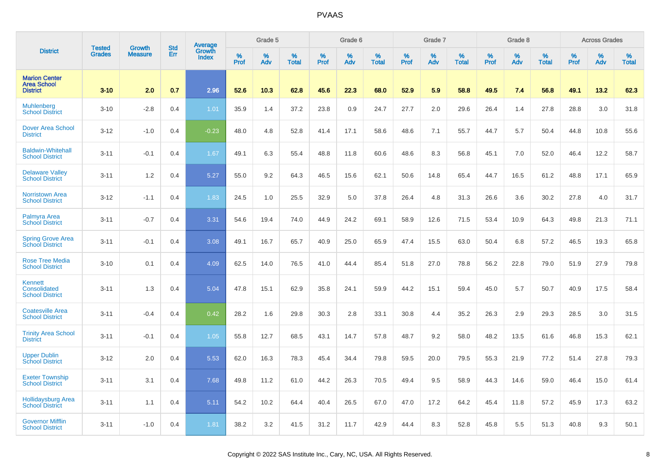|                                                               | <b>Tested</b> | <b>Growth</b>  | <b>Std</b> | Average                |              | Grade 5  |                   |           | Grade 6  |                   |              | Grade 7  |                   |           | Grade 8  |                   |                     | <b>Across Grades</b> |                   |
|---------------------------------------------------------------|---------------|----------------|------------|------------------------|--------------|----------|-------------------|-----------|----------|-------------------|--------------|----------|-------------------|-----------|----------|-------------------|---------------------|----------------------|-------------------|
| <b>District</b>                                               | <b>Grades</b> | <b>Measure</b> | Err        | Growth<br><b>Index</b> | $\%$<br>Prof | %<br>Adv | %<br><b>Total</b> | %<br>Prof | %<br>Adv | %<br><b>Total</b> | $\%$<br>Prof | %<br>Adv | %<br><b>Total</b> | %<br>Prof | %<br>Adv | %<br><b>Total</b> | $\%$<br><b>Prof</b> | %<br>Adv             | %<br><b>Total</b> |
| <b>Marion Center</b><br><b>Area School</b><br><b>District</b> | $3 - 10$      | 2.0            | 0.7        | 2.96                   | 52.6         | 10.3     | 62.8              | 45.6      | 22.3     | 68.0              | 52.9         | 5.9      | 58.8              | 49.5      | 7.4      | 56.8              | 49.1                | 13.2                 | 62.3              |
| Muhlenberg<br><b>School District</b>                          | $3 - 10$      | $-2.8$         | 0.4        | 1.01                   | 35.9         | 1.4      | 37.2              | 23.8      | 0.9      | 24.7              | 27.7         | 2.0      | 29.6              | 26.4      | 1.4      | 27.8              | 28.8                | 3.0                  | 31.8              |
| <b>Dover Area School</b><br><b>District</b>                   | $3 - 12$      | $-1.0$         | 0.4        | $-0.23$                | 48.0         | 4.8      | 52.8              | 41.4      | 17.1     | 58.6              | 48.6         | 7.1      | 55.7              | 44.7      | 5.7      | 50.4              | 44.8                | 10.8                 | 55.6              |
| <b>Baldwin-Whitehall</b><br><b>School District</b>            | $3 - 11$      | $-0.1$         | 0.4        | 1.67                   | 49.1         | 6.3      | 55.4              | 48.8      | 11.8     | 60.6              | 48.6         | 8.3      | 56.8              | 45.1      | 7.0      | 52.0              | 46.4                | 12.2                 | 58.7              |
| <b>Delaware Valley</b><br><b>School District</b>              | $3 - 11$      | 1.2            | 0.4        | 5.27                   | 55.0         | 9.2      | 64.3              | 46.5      | 15.6     | 62.1              | 50.6         | 14.8     | 65.4              | 44.7      | 16.5     | 61.2              | 48.8                | 17.1                 | 65.9              |
| <b>Norristown Area</b><br><b>School District</b>              | $3 - 12$      | $-1.1$         | 0.4        | 1.83                   | 24.5         | 1.0      | 25.5              | 32.9      | 5.0      | 37.8              | 26.4         | 4.8      | 31.3              | 26.6      | 3.6      | 30.2              | 27.8                | 4.0                  | 31.7              |
| <b>Palmyra Area</b><br><b>School District</b>                 | $3 - 11$      | $-0.7$         | 0.4        | 3.31                   | 54.6         | 19.4     | 74.0              | 44.9      | 24.2     | 69.1              | 58.9         | 12.6     | 71.5              | 53.4      | 10.9     | 64.3              | 49.8                | 21.3                 | 71.1              |
| <b>Spring Grove Area</b><br><b>School District</b>            | $3 - 11$      | $-0.1$         | 0.4        | 3.08                   | 49.1         | 16.7     | 65.7              | 40.9      | 25.0     | 65.9              | 47.4         | 15.5     | 63.0              | 50.4      | 6.8      | 57.2              | 46.5                | 19.3                 | 65.8              |
| <b>Rose Tree Media</b><br><b>School District</b>              | $3 - 10$      | 0.1            | 0.4        | 4.09                   | 62.5         | 14.0     | 76.5              | 41.0      | 44.4     | 85.4              | 51.8         | 27.0     | 78.8              | 56.2      | 22.8     | 79.0              | 51.9                | 27.9                 | 79.8              |
| <b>Kennett</b><br>Consolidated<br><b>School District</b>      | $3 - 11$      | 1.3            | 0.4        | 5.04                   | 47.8         | 15.1     | 62.9              | 35.8      | 24.1     | 59.9              | 44.2         | 15.1     | 59.4              | 45.0      | 5.7      | 50.7              | 40.9                | 17.5                 | 58.4              |
| <b>Coatesville Area</b><br><b>School District</b>             | $3 - 11$      | $-0.4$         | 0.4        | 0.42                   | 28.2         | 1.6      | 29.8              | 30.3      | 2.8      | 33.1              | 30.8         | 4.4      | 35.2              | 26.3      | 2.9      | 29.3              | 28.5                | 3.0                  | 31.5              |
| <b>Trinity Area School</b><br><b>District</b>                 | $3 - 11$      | $-0.1$         | 0.4        | 1.05                   | 55.8         | 12.7     | 68.5              | 43.1      | 14.7     | 57.8              | 48.7         | 9.2      | 58.0              | 48.2      | 13.5     | 61.6              | 46.8                | 15.3                 | 62.1              |
| <b>Upper Dublin</b><br><b>School District</b>                 | $3 - 12$      | 2.0            | 0.4        | 5.53                   | 62.0         | 16.3     | 78.3              | 45.4      | 34.4     | 79.8              | 59.5         | 20.0     | 79.5              | 55.3      | 21.9     | 77.2              | 51.4                | 27.8                 | 79.3              |
| <b>Exeter Township</b><br><b>School District</b>              | $3 - 11$      | 3.1            | 0.4        | 7.68                   | 49.8         | 11.2     | 61.0              | 44.2      | 26.3     | 70.5              | 49.4         | 9.5      | 58.9              | 44.3      | 14.6     | 59.0              | 46.4                | 15.0                 | 61.4              |
| <b>Hollidaysburg Area</b><br><b>School District</b>           | $3 - 11$      | 1.1            | 0.4        | 5.11                   | 54.2         | 10.2     | 64.4              | 40.4      | 26.5     | 67.0              | 47.0         | 17.2     | 64.2              | 45.4      | 11.8     | 57.2              | 45.9                | 17.3                 | 63.2              |
| <b>Governor Mifflin</b><br><b>School District</b>             | $3 - 11$      | $-1.0$         | 0.4        | 1.81                   | 38.2         | 3.2      | 41.5              | 31.2      | 11.7     | 42.9              | 44.4         | 8.3      | 52.8              | 45.8      | 5.5      | 51.3              | 40.8                | 9.3                  | 50.1              |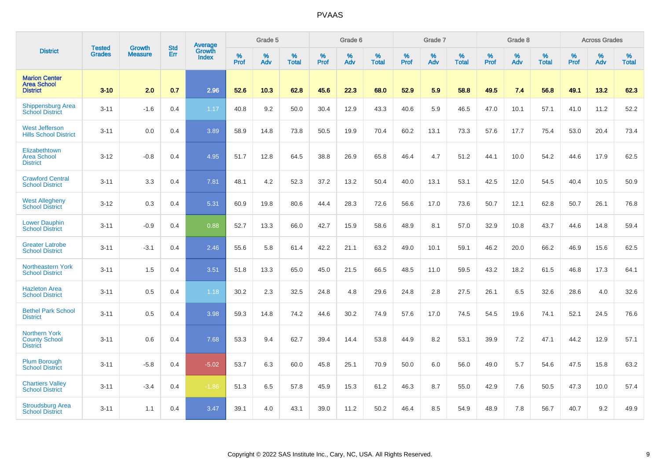|                                                                 | <b>Tested</b> | <b>Growth</b>  | <b>Std</b> | Average                       |           | Grade 5  |                   |           | Grade 6  |                   |           | Grade 7  |                   |           | Grade 8  |                   |           | <b>Across Grades</b> |                   |
|-----------------------------------------------------------------|---------------|----------------|------------|-------------------------------|-----------|----------|-------------------|-----------|----------|-------------------|-----------|----------|-------------------|-----------|----------|-------------------|-----------|----------------------|-------------------|
| <b>District</b>                                                 | <b>Grades</b> | <b>Measure</b> | Err        | <b>Growth</b><br><b>Index</b> | %<br>Prof | %<br>Adv | %<br><b>Total</b> | %<br>Prof | %<br>Adv | %<br><b>Total</b> | %<br>Prof | %<br>Adv | %<br><b>Total</b> | %<br>Prof | %<br>Adv | %<br><b>Total</b> | %<br>Prof | %<br>Adv             | %<br><b>Total</b> |
| <b>Marion Center</b><br><b>Area School</b><br><b>District</b>   | $3 - 10$      | 2.0            | 0.7        | 2.96                          | 52.6      | 10.3     | 62.8              | 45.6      | 22.3     | 68.0              | 52.9      | 5.9      | 58.8              | 49.5      | 7.4      | 56.8              | 49.1      | 13.2                 | 62.3              |
| <b>Shippensburg Area</b><br><b>School District</b>              | $3 - 11$      | $-1.6$         | 0.4        | 1.17                          | 40.8      | 9.2      | 50.0              | 30.4      | 12.9     | 43.3              | 40.6      | 5.9      | 46.5              | 47.0      | 10.1     | 57.1              | 41.0      | 11.2                 | 52.2              |
| <b>West Jefferson</b><br><b>Hills School District</b>           | $3 - 11$      | 0.0            | 0.4        | 3.89                          | 58.9      | 14.8     | 73.8              | 50.5      | 19.9     | 70.4              | 60.2      | 13.1     | 73.3              | 57.6      | 17.7     | 75.4              | 53.0      | 20.4                 | 73.4              |
| Elizabethtown<br><b>Area School</b><br><b>District</b>          | $3 - 12$      | $-0.8$         | 0.4        | 4.95                          | 51.7      | 12.8     | 64.5              | 38.8      | 26.9     | 65.8              | 46.4      | 4.7      | 51.2              | 44.1      | 10.0     | 54.2              | 44.6      | 17.9                 | 62.5              |
| <b>Crawford Central</b><br><b>School District</b>               | $3 - 11$      | 3.3            | 0.4        | 7.81                          | 48.1      | 4.2      | 52.3              | 37.2      | 13.2     | 50.4              | 40.0      | 13.1     | 53.1              | 42.5      | 12.0     | 54.5              | 40.4      | 10.5                 | 50.9              |
| <b>West Allegheny</b><br><b>School District</b>                 | $3 - 12$      | 0.3            | 0.4        | 5.31                          | 60.9      | 19.8     | 80.6              | 44.4      | 28.3     | 72.6              | 56.6      | 17.0     | 73.6              | 50.7      | 12.1     | 62.8              | 50.7      | 26.1                 | 76.8              |
| <b>Lower Dauphin</b><br><b>School District</b>                  | $3 - 11$      | $-0.9$         | 0.4        | 0.88                          | 52.7      | 13.3     | 66.0              | 42.7      | 15.9     | 58.6              | 48.9      | 8.1      | 57.0              | 32.9      | 10.8     | 43.7              | 44.6      | 14.8                 | 59.4              |
| <b>Greater Latrobe</b><br><b>School District</b>                | $3 - 11$      | $-3.1$         | 0.4        | 2.46                          | 55.6      | 5.8      | 61.4              | 42.2      | 21.1     | 63.2              | 49.0      | 10.1     | 59.1              | 46.2      | 20.0     | 66.2              | 46.9      | 15.6                 | 62.5              |
| Northeastern York<br><b>School District</b>                     | $3 - 11$      | 1.5            | 0.4        | 3.51                          | 51.8      | 13.3     | 65.0              | 45.0      | 21.5     | 66.5              | 48.5      | 11.0     | 59.5              | 43.2      | 18.2     | 61.5              | 46.8      | 17.3                 | 64.1              |
| <b>Hazleton Area</b><br><b>School District</b>                  | $3 - 11$      | 0.5            | 0.4        | 1.18                          | 30.2      | 2.3      | 32.5              | 24.8      | 4.8      | 29.6              | 24.8      | 2.8      | 27.5              | 26.1      | 6.5      | 32.6              | 28.6      | 4.0                  | 32.6              |
| <b>Bethel Park School</b><br><b>District</b>                    | $3 - 11$      | 0.5            | 0.4        | 3.98                          | 59.3      | 14.8     | 74.2              | 44.6      | 30.2     | 74.9              | 57.6      | 17.0     | 74.5              | 54.5      | 19.6     | 74.1              | 52.1      | 24.5                 | 76.6              |
| <b>Northern York</b><br><b>County School</b><br><b>District</b> | $3 - 11$      | 0.6            | 0.4        | 7.68                          | 53.3      | 9.4      | 62.7              | 39.4      | 14.4     | 53.8              | 44.9      | 8.2      | 53.1              | 39.9      | 7.2      | 47.1              | 44.2      | 12.9                 | 57.1              |
| <b>Plum Borough</b><br><b>School District</b>                   | $3 - 11$      | $-5.8$         | 0.4        | $-5.02$                       | 53.7      | 6.3      | 60.0              | 45.8      | 25.1     | 70.9              | 50.0      | 6.0      | 56.0              | 49.0      | 5.7      | 54.6              | 47.5      | 15.8                 | 63.2              |
| <b>Chartiers Valley</b><br><b>School District</b>               | $3 - 11$      | $-3.4$         | 0.4        | $-1.86$                       | 51.3      | 6.5      | 57.8              | 45.9      | 15.3     | 61.2              | 46.3      | 8.7      | 55.0              | 42.9      | 7.6      | 50.5              | 47.3      | 10.0                 | 57.4              |
| <b>Stroudsburg Area</b><br><b>School District</b>               | $3 - 11$      | 1.1            | 0.4        | 3.47                          | 39.1      | 4.0      | 43.1              | 39.0      | 11.2     | 50.2              | 46.4      | 8.5      | 54.9              | 48.9      | 7.8      | 56.7              | 40.7      | 9.2                  | 49.9              |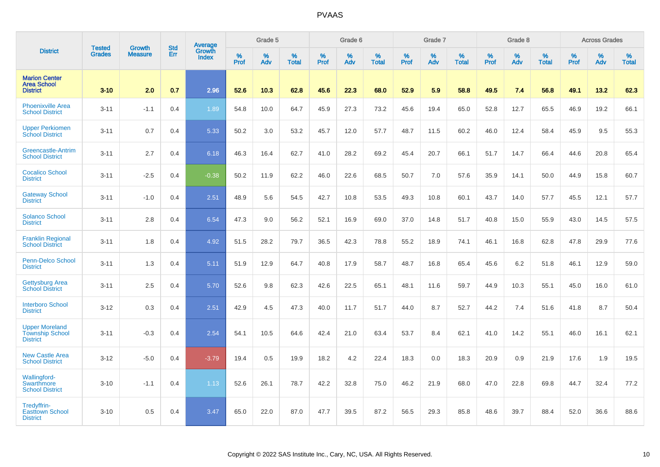|                                                                    |                                |                                 | <b>Std</b> | <b>Average</b>         |           | Grade 5  |                   |           | Grade 6  |                   |           | Grade 7  |                   |           | Grade 8  |                   |           | <b>Across Grades</b> |                   |
|--------------------------------------------------------------------|--------------------------------|---------------------------------|------------|------------------------|-----------|----------|-------------------|-----------|----------|-------------------|-----------|----------|-------------------|-----------|----------|-------------------|-----------|----------------------|-------------------|
| <b>District</b>                                                    | <b>Tested</b><br><b>Grades</b> | <b>Growth</b><br><b>Measure</b> | Err        | Growth<br><b>Index</b> | %<br>Prof | %<br>Adv | %<br><b>Total</b> | %<br>Prof | %<br>Adv | %<br><b>Total</b> | %<br>Prof | %<br>Adv | %<br><b>Total</b> | %<br>Prof | %<br>Adv | %<br><b>Total</b> | %<br>Prof | %<br>Adv             | %<br><b>Total</b> |
| <b>Marion Center</b><br><b>Area School</b><br><b>District</b>      | $3 - 10$                       | 2.0                             | 0.7        | 2.96                   | 52.6      | 10.3     | 62.8              | 45.6      | 22.3     | 68.0              | 52.9      | 5.9      | 58.8              | 49.5      | 7.4      | 56.8              | 49.1      | 13.2                 | 62.3              |
| <b>Phoenixville Area</b><br><b>School District</b>                 | $3 - 11$                       | $-1.1$                          | 0.4        | 1.89                   | 54.8      | 10.0     | 64.7              | 45.9      | 27.3     | 73.2              | 45.6      | 19.4     | 65.0              | 52.8      | 12.7     | 65.5              | 46.9      | 19.2                 | 66.1              |
| <b>Upper Perkiomen</b><br><b>School District</b>                   | $3 - 11$                       | 0.7                             | 0.4        | 5.33                   | 50.2      | 3.0      | 53.2              | 45.7      | 12.0     | 57.7              | 48.7      | 11.5     | 60.2              | 46.0      | 12.4     | 58.4              | 45.9      | 9.5                  | 55.3              |
| Greencastle-Antrim<br><b>School District</b>                       | $3 - 11$                       | 2.7                             | 0.4        | 6.18                   | 46.3      | 16.4     | 62.7              | 41.0      | 28.2     | 69.2              | 45.4      | 20.7     | 66.1              | 51.7      | 14.7     | 66.4              | 44.6      | 20.8                 | 65.4              |
| <b>Cocalico School</b><br><b>District</b>                          | $3 - 11$                       | $-2.5$                          | 0.4        | $-0.38$                | 50.2      | 11.9     | 62.2              | 46.0      | 22.6     | 68.5              | 50.7      | 7.0      | 57.6              | 35.9      | 14.1     | 50.0              | 44.9      | 15.8                 | 60.7              |
| <b>Gateway School</b><br><b>District</b>                           | $3 - 11$                       | $-1.0$                          | 0.4        | 2.51                   | 48.9      | 5.6      | 54.5              | 42.7      | 10.8     | 53.5              | 49.3      | 10.8     | 60.1              | 43.7      | 14.0     | 57.7              | 45.5      | 12.1                 | 57.7              |
| <b>Solanco School</b><br><b>District</b>                           | $3 - 11$                       | 2.8                             | 0.4        | 6.54                   | 47.3      | 9.0      | 56.2              | 52.1      | 16.9     | 69.0              | 37.0      | 14.8     | 51.7              | 40.8      | 15.0     | 55.9              | 43.0      | 14.5                 | 57.5              |
| <b>Franklin Regional</b><br><b>School District</b>                 | $3 - 11$                       | 1.8                             | 0.4        | 4.92                   | 51.5      | 28.2     | 79.7              | 36.5      | 42.3     | 78.8              | 55.2      | 18.9     | 74.1              | 46.1      | 16.8     | 62.8              | 47.8      | 29.9                 | 77.6              |
| Penn-Delco School<br><b>District</b>                               | $3 - 11$                       | 1.3                             | 0.4        | 5.11                   | 51.9      | 12.9     | 64.7              | 40.8      | 17.9     | 58.7              | 48.7      | 16.8     | 65.4              | 45.6      | 6.2      | 51.8              | 46.1      | 12.9                 | 59.0              |
| <b>Gettysburg Area</b><br><b>School District</b>                   | $3 - 11$                       | 2.5                             | 0.4        | 5.70                   | 52.6      | 9.8      | 62.3              | 42.6      | 22.5     | 65.1              | 48.1      | 11.6     | 59.7              | 44.9      | 10.3     | 55.1              | 45.0      | 16.0                 | 61.0              |
| <b>Interboro School</b><br><b>District</b>                         | $3-12$                         | 0.3                             | 0.4        | 2.51                   | 42.9      | 4.5      | 47.3              | 40.0      | 11.7     | 51.7              | 44.0      | 8.7      | 52.7              | 44.2      | 7.4      | 51.6              | 41.8      | 8.7                  | 50.4              |
| <b>Upper Moreland</b><br><b>Township School</b><br><b>District</b> | $3 - 11$                       | $-0.3$                          | 0.4        | 2.54                   | 54.1      | 10.5     | 64.6              | 42.4      | 21.0     | 63.4              | 53.7      | 8.4      | 62.1              | 41.0      | 14.2     | 55.1              | 46.0      | 16.1                 | 62.1              |
| <b>New Castle Area</b><br><b>School District</b>                   | $3 - 12$                       | $-5.0$                          | 0.4        | $-3.79$                | 19.4      | 0.5      | 19.9              | 18.2      | 4.2      | 22.4              | 18.3      | 0.0      | 18.3              | 20.9      | 0.9      | 21.9              | 17.6      | 1.9                  | 19.5              |
| Wallingford-<br>Swarthmore<br><b>School District</b>               | $3 - 10$                       | $-1.1$                          | 0.4        | 1.13                   | 52.6      | 26.1     | 78.7              | 42.2      | 32.8     | 75.0              | 46.2      | 21.9     | 68.0              | 47.0      | 22.8     | 69.8              | 44.7      | 32.4                 | 77.2              |
| Tredyffrin-<br><b>Easttown School</b><br><b>District</b>           | $3 - 10$                       | 0.5                             | 0.4        | 3.47                   | 65.0      | 22.0     | 87.0              | 47.7      | 39.5     | 87.2              | 56.5      | 29.3     | 85.8              | 48.6      | 39.7     | 88.4              | 52.0      | 36.6                 | 88.6              |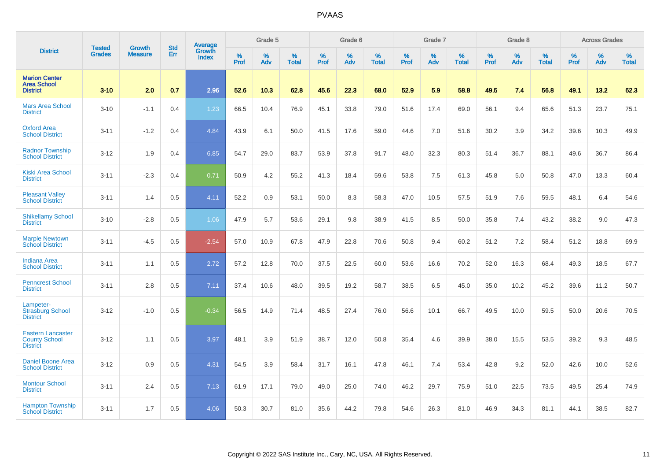|                                                                     |                                |                                 | <b>Std</b> | Average                |           | Grade 5  |                   |           | Grade 6  |                   |           | Grade 7  |                   |           | Grade 8  |                   |           | <b>Across Grades</b> |                   |
|---------------------------------------------------------------------|--------------------------------|---------------------------------|------------|------------------------|-----------|----------|-------------------|-----------|----------|-------------------|-----------|----------|-------------------|-----------|----------|-------------------|-----------|----------------------|-------------------|
| <b>District</b>                                                     | <b>Tested</b><br><b>Grades</b> | <b>Growth</b><br><b>Measure</b> | Err        | <b>Growth</b><br>Index | %<br>Prof | %<br>Adv | %<br><b>Total</b> | %<br>Prof | %<br>Adv | %<br><b>Total</b> | %<br>Prof | %<br>Adv | %<br><b>Total</b> | %<br>Prof | %<br>Adv | %<br><b>Total</b> | %<br>Prof | %<br>Adv             | %<br><b>Total</b> |
| <b>Marion Center</b><br><b>Area School</b><br><b>District</b>       | $3 - 10$                       | 2.0                             | 0.7        | 2.96                   | 52.6      | 10.3     | 62.8              | 45.6      | 22.3     | 68.0              | 52.9      | 5.9      | 58.8              | 49.5      | 7.4      | 56.8              | 49.1      | 13.2                 | 62.3              |
| <b>Mars Area School</b><br><b>District</b>                          | $3 - 10$                       | $-1.1$                          | 0.4        | 1.23                   | 66.5      | 10.4     | 76.9              | 45.1      | 33.8     | 79.0              | 51.6      | 17.4     | 69.0              | 56.1      | 9.4      | 65.6              | 51.3      | 23.7                 | 75.1              |
| <b>Oxford Area</b><br><b>School District</b>                        | $3 - 11$                       | $-1.2$                          | 0.4        | 4.84                   | 43.9      | 6.1      | 50.0              | 41.5      | 17.6     | 59.0              | 44.6      | 7.0      | 51.6              | 30.2      | 3.9      | 34.2              | 39.6      | 10.3                 | 49.9              |
| <b>Radnor Township</b><br><b>School District</b>                    | $3 - 12$                       | 1.9                             | 0.4        | 6.85                   | 54.7      | 29.0     | 83.7              | 53.9      | 37.8     | 91.7              | 48.0      | 32.3     | 80.3              | 51.4      | 36.7     | 88.1              | 49.6      | 36.7                 | 86.4              |
| <b>Kiski Area School</b><br><b>District</b>                         | $3 - 11$                       | $-2.3$                          | 0.4        | 0.71                   | 50.9      | 4.2      | 55.2              | 41.3      | 18.4     | 59.6              | 53.8      | 7.5      | 61.3              | 45.8      | 5.0      | 50.8              | 47.0      | 13.3                 | 60.4              |
| <b>Pleasant Valley</b><br><b>School District</b>                    | $3 - 11$                       | 1.4                             | 0.5        | 4.11                   | 52.2      | 0.9      | 53.1              | 50.0      | 8.3      | 58.3              | 47.0      | 10.5     | 57.5              | 51.9      | 7.6      | 59.5              | 48.1      | 6.4                  | 54.6              |
| <b>Shikellamy School</b><br><b>District</b>                         | $3 - 10$                       | $-2.8$                          | 0.5        | 1.06                   | 47.9      | 5.7      | 53.6              | 29.1      | 9.8      | 38.9              | 41.5      | 8.5      | 50.0              | 35.8      | 7.4      | 43.2              | 38.2      | 9.0                  | 47.3              |
| <b>Marple Newtown</b><br><b>School District</b>                     | $3 - 11$                       | $-4.5$                          | 0.5        | $-2.54$                | 57.0      | 10.9     | 67.8              | 47.9      | 22.8     | 70.6              | 50.8      | 9.4      | 60.2              | 51.2      | 7.2      | 58.4              | 51.2      | 18.8                 | 69.9              |
| <b>Indiana Area</b><br><b>School District</b>                       | $3 - 11$                       | 1.1                             | 0.5        | 2.72                   | 57.2      | 12.8     | 70.0              | 37.5      | 22.5     | 60.0              | 53.6      | 16.6     | 70.2              | 52.0      | 16.3     | 68.4              | 49.3      | 18.5                 | 67.7              |
| <b>Penncrest School</b><br><b>District</b>                          | $3 - 11$                       | 2.8                             | 0.5        | 7.11                   | 37.4      | 10.6     | 48.0              | 39.5      | 19.2     | 58.7              | 38.5      | 6.5      | 45.0              | 35.0      | 10.2     | 45.2              | 39.6      | 11.2                 | 50.7              |
| Lampeter-<br><b>Strasburg School</b><br><b>District</b>             | $3 - 12$                       | $-1.0$                          | 0.5        | $-0.34$                | 56.5      | 14.9     | 71.4              | 48.5      | 27.4     | 76.0              | 56.6      | 10.1     | 66.7              | 49.5      | 10.0     | 59.5              | 50.0      | 20.6                 | 70.5              |
| <b>Eastern Lancaster</b><br><b>County School</b><br><b>District</b> | $3 - 12$                       | 1.1                             | 0.5        | 3.97                   | 48.1      | 3.9      | 51.9              | 38.7      | 12.0     | 50.8              | 35.4      | 4.6      | 39.9              | 38.0      | 15.5     | 53.5              | 39.2      | 9.3                  | 48.5              |
| <b>Daniel Boone Area</b><br><b>School District</b>                  | $3 - 12$                       | 0.9                             | 0.5        | 4.31                   | 54.5      | 3.9      | 58.4              | 31.7      | 16.1     | 47.8              | 46.1      | 7.4      | 53.4              | 42.8      | 9.2      | 52.0              | 42.6      | 10.0                 | 52.6              |
| <b>Montour School</b><br><b>District</b>                            | $3 - 11$                       | 2.4                             | 0.5        | 7.13                   | 61.9      | 17.1     | 79.0              | 49.0      | 25.0     | 74.0              | 46.2      | 29.7     | 75.9              | 51.0      | 22.5     | 73.5              | 49.5      | 25.4                 | 74.9              |
| <b>Hampton Township</b><br><b>School District</b>                   | $3 - 11$                       | 1.7                             | 0.5        | 4.06                   | 50.3      | 30.7     | 81.0              | 35.6      | 44.2     | 79.8              | 54.6      | 26.3     | 81.0              | 46.9      | 34.3     | 81.1              | 44.1      | 38.5                 | 82.7              |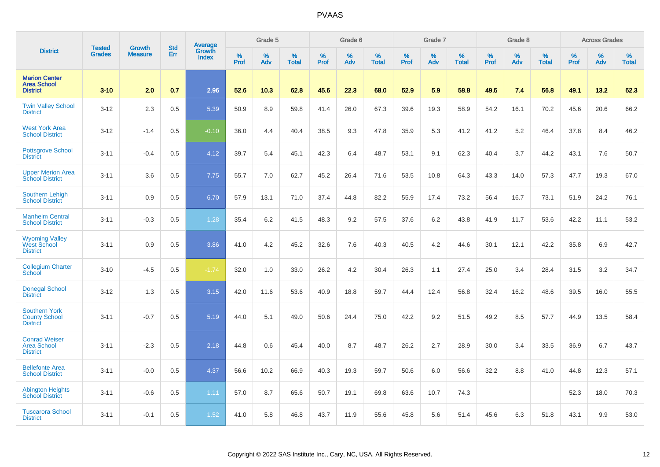|                                                                 |                                | <b>Growth</b>  | <b>Std</b> | <b>Average</b><br>Growth |                     | Grade 5  |                   |              | Grade 6  |                   |           | Grade 7  |                   |           | Grade 8  |                   |           | <b>Across Grades</b> |                   |
|-----------------------------------------------------------------|--------------------------------|----------------|------------|--------------------------|---------------------|----------|-------------------|--------------|----------|-------------------|-----------|----------|-------------------|-----------|----------|-------------------|-----------|----------------------|-------------------|
| <b>District</b>                                                 | <b>Tested</b><br><b>Grades</b> | <b>Measure</b> | <b>Err</b> | <b>Index</b>             | $\%$<br><b>Prof</b> | %<br>Adv | %<br><b>Total</b> | $\%$<br>Prof | %<br>Adv | %<br><b>Total</b> | %<br>Prof | %<br>Adv | %<br><b>Total</b> | %<br>Prof | %<br>Adv | %<br><b>Total</b> | %<br>Prof | $\%$<br>Adv          | %<br><b>Total</b> |
| <b>Marion Center</b><br><b>Area School</b><br><b>District</b>   | $3 - 10$                       | 2.0            | 0.7        | 2.96                     | 52.6                | 10.3     | 62.8              | 45.6         | 22.3     | 68.0              | 52.9      | 5.9      | 58.8              | 49.5      | 7.4      | 56.8              | 49.1      | 13.2                 | 62.3              |
| <b>Twin Valley School</b><br><b>District</b>                    | $3 - 12$                       | 2.3            | 0.5        | 5.39                     | 50.9                | 8.9      | 59.8              | 41.4         | 26.0     | 67.3              | 39.6      | 19.3     | 58.9              | 54.2      | 16.1     | 70.2              | 45.6      | 20.6                 | 66.2              |
| <b>West York Area</b><br><b>School District</b>                 | $3 - 12$                       | $-1.4$         | 0.5        | $-0.10$                  | 36.0                | 4.4      | 40.4              | 38.5         | 9.3      | 47.8              | 35.9      | 5.3      | 41.2              | 41.2      | 5.2      | 46.4              | 37.8      | 8.4                  | 46.2              |
| <b>Pottsgrove School</b><br><b>District</b>                     | $3 - 11$                       | $-0.4$         | 0.5        | 4.12                     | 39.7                | 5.4      | 45.1              | 42.3         | 6.4      | 48.7              | 53.1      | 9.1      | 62.3              | 40.4      | 3.7      | 44.2              | 43.1      | 7.6                  | 50.7              |
| <b>Upper Merion Area</b><br><b>School District</b>              | $3 - 11$                       | 3.6            | 0.5        | 7.75                     | 55.7                | 7.0      | 62.7              | 45.2         | 26.4     | 71.6              | 53.5      | 10.8     | 64.3              | 43.3      | 14.0     | 57.3              | 47.7      | 19.3                 | 67.0              |
| <b>Southern Lehigh</b><br><b>School District</b>                | $3 - 11$                       | 0.9            | 0.5        | 6.70                     | 57.9                | 13.1     | 71.0              | 37.4         | 44.8     | 82.2              | 55.9      | 17.4     | 73.2              | 56.4      | 16.7     | 73.1              | 51.9      | 24.2                 | 76.1              |
| <b>Manheim Central</b><br><b>School District</b>                | $3 - 11$                       | $-0.3$         | 0.5        | 1.28                     | 35.4                | 6.2      | 41.5              | 48.3         | 9.2      | 57.5              | 37.6      | 6.2      | 43.8              | 41.9      | 11.7     | 53.6              | 42.2      | 11.1                 | 53.2              |
| <b>Wyoming Valley</b><br>West School<br><b>District</b>         | $3 - 11$                       | 0.9            | 0.5        | 3.86                     | 41.0                | 4.2      | 45.2              | 32.6         | 7.6      | 40.3              | 40.5      | 4.2      | 44.6              | 30.1      | 12.1     | 42.2              | 35.8      | 6.9                  | 42.7              |
| <b>Collegium Charter</b><br>School                              | $3 - 10$                       | $-4.5$         | 0.5        | $-1.74$                  | 32.0                | 1.0      | 33.0              | 26.2         | 4.2      | 30.4              | 26.3      | 1.1      | 27.4              | 25.0      | 3.4      | 28.4              | 31.5      | 3.2                  | 34.7              |
| <b>Donegal School</b><br><b>District</b>                        | $3 - 12$                       | 1.3            | 0.5        | 3.15                     | 42.0                | 11.6     | 53.6              | 40.9         | 18.8     | 59.7              | 44.4      | 12.4     | 56.8              | 32.4      | 16.2     | 48.6              | 39.5      | 16.0                 | 55.5              |
| <b>Southern York</b><br><b>County School</b><br><b>District</b> | $3 - 11$                       | $-0.7$         | 0.5        | 5.19                     | 44.0                | 5.1      | 49.0              | 50.6         | 24.4     | 75.0              | 42.2      | 9.2      | 51.5              | 49.2      | 8.5      | 57.7              | 44.9      | 13.5                 | 58.4              |
| <b>Conrad Weiser</b><br><b>Area School</b><br><b>District</b>   | $3 - 11$                       | $-2.3$         | 0.5        | 2.18                     | 44.8                | 0.6      | 45.4              | 40.0         | 8.7      | 48.7              | 26.2      | 2.7      | 28.9              | 30.0      | 3.4      | 33.5              | 36.9      | 6.7                  | 43.7              |
| <b>Bellefonte Area</b><br><b>School District</b>                | $3 - 11$                       | $-0.0$         | 0.5        | 4.37                     | 56.6                | 10.2     | 66.9              | 40.3         | 19.3     | 59.7              | 50.6      | 6.0      | 56.6              | 32.2      | 8.8      | 41.0              | 44.8      | 12.3                 | 57.1              |
| <b>Abington Heights</b><br><b>School District</b>               | $3 - 11$                       | $-0.6$         | 0.5        | 1.11                     | 57.0                | 8.7      | 65.6              | 50.7         | 19.1     | 69.8              | 63.6      | 10.7     | 74.3              |           |          |                   | 52.3      | 18.0                 | 70.3              |
| <b>Tuscarora School</b><br><b>District</b>                      | $3 - 11$                       | $-0.1$         | 0.5        | 1.52                     | 41.0                | 5.8      | 46.8              | 43.7         | 11.9     | 55.6              | 45.8      | 5.6      | 51.4              | 45.6      | 6.3      | 51.8              | 43.1      | 9.9                  | 53.0              |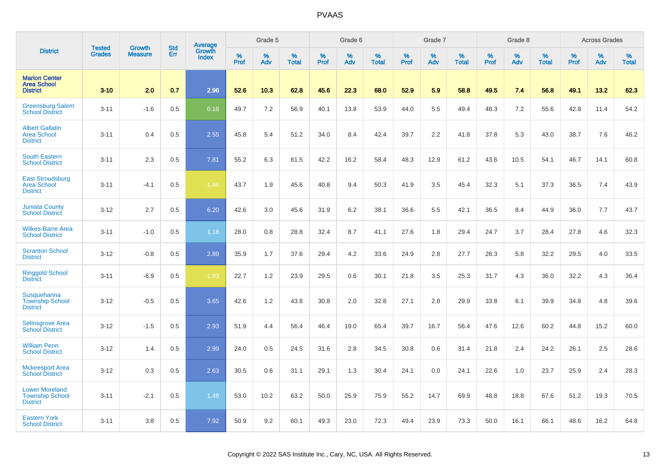|                                                                    | <b>Tested</b> | <b>Growth</b>  | <b>Std</b> |                                          |              | Grade 5  |                   |           | Grade 6  |                   |           | Grade 7  |                   |           | Grade 8  |                   |           | <b>Across Grades</b> |                   |
|--------------------------------------------------------------------|---------------|----------------|------------|------------------------------------------|--------------|----------|-------------------|-----------|----------|-------------------|-----------|----------|-------------------|-----------|----------|-------------------|-----------|----------------------|-------------------|
| <b>District</b>                                                    | <b>Grades</b> | <b>Measure</b> | Err        | <b>Average</b><br>Growth<br><b>Index</b> | $\%$<br>Prof | %<br>Adv | %<br><b>Total</b> | %<br>Prof | %<br>Adv | %<br><b>Total</b> | %<br>Prof | %<br>Adv | %<br><b>Total</b> | %<br>Prof | %<br>Adv | %<br><b>Total</b> | %<br>Prof | %<br>Adv             | %<br><b>Total</b> |
| <b>Marion Center</b><br><b>Area School</b><br><b>District</b>      | $3 - 10$      | 2.0            | 0.7        | 2.96                                     | 52.6         | 10.3     | 62.8              | 45.6      | 22.3     | 68.0              | 52.9      | 5.9      | 58.8              | 49.5      | 7.4      | 56.8              | 49.1      | 13.2                 | 62.3              |
| <b>Greensburg Salem</b><br><b>School District</b>                  | $3 - 11$      | $-1.6$         | 0.5        | 0.18                                     | 49.7         | 7.2      | 56.9              | 40.1      | 13.8     | 53.9              | 44.0      | 5.5      | 49.4              | 48.3      | 7.2      | 55.6              | 42.8      | 11.4                 | 54.2              |
| <b>Albert Gallatin</b><br><b>Area School</b><br><b>District</b>    | $3 - 11$      | 0.4            | 0.5        | 2.55                                     | 45.8         | 5.4      | 51.2              | 34.0      | 8.4      | 42.4              | 39.7      | 2.2      | 41.8              | 37.8      | 5.3      | 43.0              | 38.7      | 7.6                  | 46.2              |
| <b>South Eastern</b><br><b>School District</b>                     | $3 - 11$      | 2.3            | 0.5        | 7.81                                     | 55.2         | 6.3      | 61.5              | 42.2      | 16.2     | 58.4              | 48.3      | 12.9     | 61.2              | 43.6      | 10.5     | 54.1              | 46.7      | 14.1                 | 60.8              |
| <b>East Stroudsburg</b><br><b>Area School</b><br><b>District</b>   | $3 - 11$      | $-4.1$         | 0.5        | $-1.46$                                  | 43.7         | 1.9      | 45.6              | 40.8      | 9.4      | 50.3              | 41.9      | 3.5      | 45.4              | 32.3      | 5.1      | 37.3              | 36.5      | 7.4                  | 43.9              |
| <b>Juniata County</b><br><b>School District</b>                    | $3 - 12$      | 2.7            | 0.5        | 6.20                                     | 42.6         | 3.0      | 45.6              | 31.9      | 6.2      | 38.1              | 36.6      | 5.5      | 42.1              | 36.5      | 8.4      | 44.9              | 36.0      | 7.7                  | 43.7              |
| <b>Wilkes-Barre Area</b><br><b>School District</b>                 | $3 - 11$      | $-1.0$         | 0.5        | 1.18                                     | 28.0         | 0.8      | 28.8              | 32.4      | 8.7      | 41.1              | 27.6      | 1.8      | 29.4              | 24.7      | 3.7      | 28.4              | 27.8      | 4.6                  | 32.3              |
| <b>Scranton School</b><br><b>District</b>                          | $3 - 12$      | $-0.8$         | 0.5        | 2.89                                     | 35.9         | 1.7      | 37.6              | 29.4      | 4.2      | 33.6              | 24.9      | 2.8      | 27.7              | 26.3      | 5.8      | 32.2              | 29.5      | 4.0                  | 33.5              |
| <b>Ringgold School</b><br><b>District</b>                          | $3 - 11$      | $-6.9$         | 0.5        | $-1.93$                                  | 22.7         | 1.2      | 23.9              | 29.5      | 0.6      | 30.1              | 21.8      | 3.5      | 25.3              | 31.7      | 4.3      | 36.0              | 32.2      | 4.3                  | 36.4              |
| Susquehanna<br><b>Township School</b><br><b>District</b>           | $3 - 12$      | $-0.5$         | 0.5        | 3.65                                     | 42.6         | 1.2      | 43.8              | 30.8      | 2.0      | 32.8              | 27.1      | 2.8      | 29.9              | 33.8      | 6.1      | 39.9              | 34.8      | 4.8                  | 39.6              |
| <b>Selinsgrove Area</b><br><b>School District</b>                  | $3 - 12$      | $-1.5$         | 0.5        | 2.93                                     | 51.9         | 4.4      | 56.4              | 46.4      | 19.0     | 65.4              | 39.7      | 16.7     | 56.4              | 47.6      | 12.6     | 60.2              | 44.8      | 15.2                 | 60.0              |
| <b>William Penn</b><br><b>School District</b>                      | $3 - 12$      | 1.4            | 0.5        | 2.99                                     | 24.0         | 0.5      | 24.5              | 31.6      | 2.8      | 34.5              | 30.8      | 0.6      | 31.4              | 21.8      | 2.4      | 24.2              | 26.1      | 2.5                  | 28.6              |
| <b>Mckeesport Area</b><br><b>School District</b>                   | $3 - 12$      | 0.3            | 0.5        | 2.63                                     | 30.5         | 0.6      | 31.1              | 29.1      | 1.3      | 30.4              | 24.1      | 0.0      | 24.1              | 22.6      | 1.0      | 23.7              | 25.9      | 2.4                  | 28.3              |
| <b>Lower Moreland</b><br><b>Township School</b><br><b>District</b> | $3 - 11$      | $-2.1$         | 0.5        | 1.48                                     | 53.0         | 10.2     | 63.2              | 50.0      | 25.9     | 75.9              | 55.2      | 14.7     | 69.9              | 48.8      | 18.8     | 67.6              | 51.2      | 19.3                 | 70.5              |
| <b>Eastern York</b><br><b>School District</b>                      | $3 - 11$      | 3.8            | 0.5        | 7.92                                     | 50.9         | 9.2      | 60.1              | 49.3      | 23.0     | 72.3              | 49.4      | 23.9     | 73.3              | 50.0      | 16.1     | 66.1              | 48.6      | 16.2                 | 64.8              |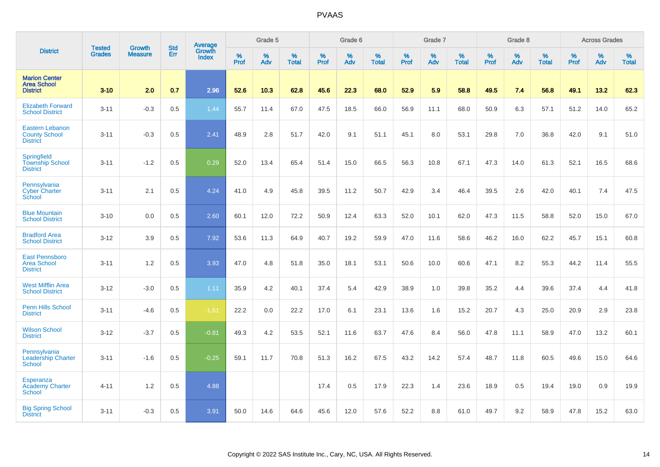|                                                                   |                                |                                 | <b>Std</b> | Average                |           | Grade 5  |                   |           | Grade 6  |                   |           | Grade 7  |                   |           | Grade 8  |                   |           | <b>Across Grades</b> |                   |
|-------------------------------------------------------------------|--------------------------------|---------------------------------|------------|------------------------|-----------|----------|-------------------|-----------|----------|-------------------|-----------|----------|-------------------|-----------|----------|-------------------|-----------|----------------------|-------------------|
| <b>District</b>                                                   | <b>Tested</b><br><b>Grades</b> | <b>Growth</b><br><b>Measure</b> | Err        | Growth<br><b>Index</b> | %<br>Prof | %<br>Adv | %<br><b>Total</b> | %<br>Prof | %<br>Adv | %<br><b>Total</b> | %<br>Prof | %<br>Adv | %<br><b>Total</b> | %<br>Prof | %<br>Adv | %<br><b>Total</b> | %<br>Prof | %<br>Adv             | %<br><b>Total</b> |
| <b>Marion Center</b><br><b>Area School</b><br><b>District</b>     | $3 - 10$                       | 2.0                             | 0.7        | 2.96                   | 52.6      | 10.3     | 62.8              | 45.6      | 22.3     | 68.0              | 52.9      | 5.9      | 58.8              | 49.5      | 7.4      | 56.8              | 49.1      | 13.2                 | 62.3              |
| <b>Elizabeth Forward</b><br><b>School District</b>                | $3 - 11$                       | $-0.3$                          | 0.5        | 1.44                   | 55.7      | 11.4     | 67.0              | 47.5      | 18.5     | 66.0              | 56.9      | 11.1     | 68.0              | 50.9      | 6.3      | 57.1              | 51.2      | 14.0                 | 65.2              |
| <b>Eastern Lebanon</b><br><b>County School</b><br><b>District</b> | $3 - 11$                       | $-0.3$                          | 0.5        | 2.41                   | 48.9      | 2.8      | 51.7              | 42.0      | 9.1      | 51.1              | 45.1      | 8.0      | 53.1              | 29.8      | 7.0      | 36.8              | 42.0      | 9.1                  | 51.0              |
| <b>Springfield</b><br><b>Township School</b><br><b>District</b>   | $3 - 11$                       | $-1.2$                          | 0.5        | 0.29                   | 52.0      | 13.4     | 65.4              | 51.4      | 15.0     | 66.5              | 56.3      | 10.8     | 67.1              | 47.3      | 14.0     | 61.3              | 52.1      | 16.5                 | 68.6              |
| Pennsylvania<br><b>Cyber Charter</b><br>School                    | $3 - 11$                       | 2.1                             | 0.5        | 4.24                   | 41.0      | 4.9      | 45.8              | 39.5      | 11.2     | 50.7              | 42.9      | 3.4      | 46.4              | 39.5      | 2.6      | 42.0              | 40.1      | 7.4                  | 47.5              |
| <b>Blue Mountain</b><br><b>School District</b>                    | $3 - 10$                       | 0.0                             | 0.5        | 2.60                   | 60.1      | 12.0     | 72.2              | 50.9      | 12.4     | 63.3              | 52.0      | 10.1     | 62.0              | 47.3      | 11.5     | 58.8              | 52.0      | 15.0                 | 67.0              |
| <b>Bradford Area</b><br><b>School District</b>                    | $3 - 12$                       | 3.9                             | 0.5        | 7.92                   | 53.6      | 11.3     | 64.9              | 40.7      | 19.2     | 59.9              | 47.0      | 11.6     | 58.6              | 46.2      | 16.0     | 62.2              | 45.7      | 15.1                 | 60.8              |
| <b>East Pennsboro</b><br>Area School<br><b>District</b>           | $3 - 11$                       | 1.2                             | 0.5        | 3.93                   | 47.0      | 4.8      | 51.8              | 35.0      | 18.1     | 53.1              | 50.6      | 10.0     | 60.6              | 47.1      | 8.2      | 55.3              | 44.2      | 11.4                 | 55.5              |
| <b>West Mifflin Area</b><br><b>School District</b>                | $3 - 12$                       | $-3.0$                          | 0.5        | 1.11                   | 35.9      | 4.2      | 40.1              | 37.4      | 5.4      | 42.9              | 38.9      | 1.0      | 39.8              | 35.2      | 4.4      | 39.6              | 37.4      | 4.4                  | 41.8              |
| <b>Penn Hills School</b><br><b>District</b>                       | $3 - 11$                       | $-4.6$                          | 0.5        | $-1.61$                | 22.2      | 0.0      | 22.2              | 17.0      | 6.1      | 23.1              | 13.6      | 1.6      | 15.2              | 20.7      | 4.3      | 25.0              | 20.9      | 2.9                  | 23.8              |
| <b>Wilson School</b><br><b>District</b>                           | $3-12$                         | $-3.7$                          | 0.5        | $-0.81$                | 49.3      | 4.2      | 53.5              | 52.1      | 11.6     | 63.7              | 47.6      | 8.4      | 56.0              | 47.8      | 11.1     | 58.9              | 47.0      | 13.2                 | 60.1              |
| Pennsylvania<br><b>Leadership Charter</b><br><b>School</b>        | $3 - 11$                       | $-1.6$                          | 0.5        | $-0.25$                | 59.1      | 11.7     | 70.8              | 51.3      | 16.2     | 67.5              | 43.2      | 14.2     | 57.4              | 48.7      | 11.8     | 60.5              | 49.6      | 15.0                 | 64.6              |
| Esperanza<br><b>Academy Charter</b><br>School                     | $4 - 11$                       | 1.2                             | 0.5        | 4.88                   |           |          |                   | 17.4      | 0.5      | 17.9              | 22.3      | 1.4      | 23.6              | 18.9      | 0.5      | 19.4              | 19.0      | 0.9                  | 19.9              |
| <b>Big Spring School</b><br><b>District</b>                       | $3 - 11$                       | $-0.3$                          | 0.5        | 3.91                   | 50.0      | 14.6     | 64.6              | 45.6      | 12.0     | 57.6              | 52.2      | 8.8      | 61.0              | 49.7      | 9.2      | 58.9              | 47.8      | 15.2                 | 63.0              |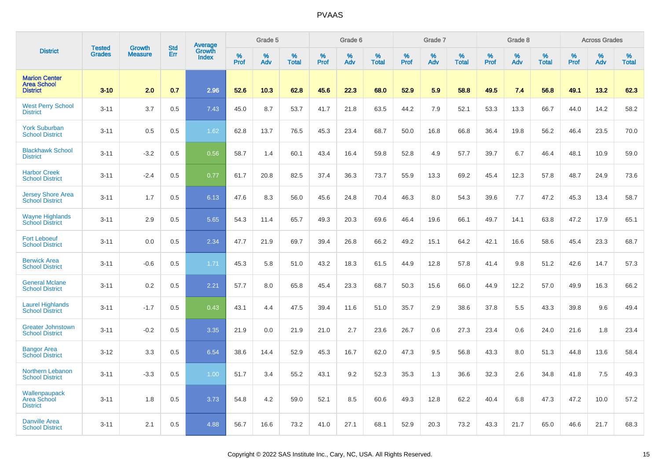|                                                               | <b>Tested</b> | <b>Growth</b>  | <b>Std</b> |                                   |                     | Grade 5  |                   |              | Grade 6  |                   |              | Grade 7  |                   |              | Grade 8  |                   |                  | <b>Across Grades</b> |                   |
|---------------------------------------------------------------|---------------|----------------|------------|-----------------------------------|---------------------|----------|-------------------|--------------|----------|-------------------|--------------|----------|-------------------|--------------|----------|-------------------|------------------|----------------------|-------------------|
| <b>District</b>                                               | <b>Grades</b> | <b>Measure</b> | Err        | Average<br>Growth<br><b>Index</b> | $\%$<br><b>Prof</b> | %<br>Adv | %<br><b>Total</b> | $\%$<br>Prof | %<br>Adv | %<br><b>Total</b> | $\%$<br>Prof | %<br>Adv | %<br><b>Total</b> | $\%$<br>Prof | %<br>Adv | %<br><b>Total</b> | %<br><b>Prof</b> | %<br>Adv             | %<br><b>Total</b> |
| <b>Marion Center</b><br><b>Area School</b><br><b>District</b> | $3 - 10$      | 2.0            | 0.7        | 2.96                              | 52.6                | 10.3     | 62.8              | 45.6         | 22.3     | 68.0              | 52.9         | 5.9      | 58.8              | 49.5         | 7.4      | 56.8              | 49.1             | 13.2                 | 62.3              |
| <b>West Perry School</b><br><b>District</b>                   | $3 - 11$      | 3.7            | 0.5        | 7.43                              | 45.0                | 8.7      | 53.7              | 41.7         | 21.8     | 63.5              | 44.2         | 7.9      | 52.1              | 53.3         | 13.3     | 66.7              | 44.0             | 14.2                 | 58.2              |
| <b>York Suburban</b><br><b>School District</b>                | $3 - 11$      | 0.5            | 0.5        | 1.62                              | 62.8                | 13.7     | 76.5              | 45.3         | 23.4     | 68.7              | 50.0         | 16.8     | 66.8              | 36.4         | 19.8     | 56.2              | 46.4             | 23.5                 | 70.0              |
| <b>Blackhawk School</b><br><b>District</b>                    | $3 - 11$      | $-3.2$         | 0.5        | 0.56                              | 58.7                | 1.4      | 60.1              | 43.4         | 16.4     | 59.8              | 52.8         | 4.9      | 57.7              | 39.7         | 6.7      | 46.4              | 48.1             | 10.9                 | 59.0              |
| <b>Harbor Creek</b><br><b>School District</b>                 | $3 - 11$      | $-2.4$         | 0.5        | 0.77                              | 61.7                | 20.8     | 82.5              | 37.4         | 36.3     | 73.7              | 55.9         | 13.3     | 69.2              | 45.4         | 12.3     | 57.8              | 48.7             | 24.9                 | 73.6              |
| <b>Jersey Shore Area</b><br><b>School District</b>            | $3 - 11$      | 1.7            | 0.5        | 6.13                              | 47.6                | 8.3      | 56.0              | 45.6         | 24.8     | 70.4              | 46.3         | 8.0      | 54.3              | 39.6         | 7.7      | 47.2              | 45.3             | 13.4                 | 58.7              |
| <b>Wayne Highlands</b><br><b>School District</b>              | $3 - 11$      | 2.9            | 0.5        | 5.65                              | 54.3                | 11.4     | 65.7              | 49.3         | 20.3     | 69.6              | 46.4         | 19.6     | 66.1              | 49.7         | 14.1     | 63.8              | 47.2             | 17.9                 | 65.1              |
| <b>Fort Leboeuf</b><br><b>School District</b>                 | $3 - 11$      | 0.0            | 0.5        | 2.34                              | 47.7                | 21.9     | 69.7              | 39.4         | 26.8     | 66.2              | 49.2         | 15.1     | 64.2              | 42.1         | 16.6     | 58.6              | 45.4             | 23.3                 | 68.7              |
| <b>Berwick Area</b><br><b>School District</b>                 | $3 - 11$      | $-0.6$         | 0.5        | 1.71                              | 45.3                | 5.8      | 51.0              | 43.2         | 18.3     | 61.5              | 44.9         | 12.8     | 57.8              | 41.4         | 9.8      | 51.2              | 42.6             | 14.7                 | 57.3              |
| <b>General Mclane</b><br><b>School District</b>               | $3 - 11$      | 0.2            | 0.5        | 2.21                              | 57.7                | 8.0      | 65.8              | 45.4         | 23.3     | 68.7              | 50.3         | 15.6     | 66.0              | 44.9         | 12.2     | 57.0              | 49.9             | 16.3                 | 66.2              |
| <b>Laurel Highlands</b><br><b>School District</b>             | $3 - 11$      | $-1.7$         | 0.5        | 0.43                              | 43.1                | 4.4      | 47.5              | 39.4         | 11.6     | 51.0              | 35.7         | 2.9      | 38.6              | 37.8         | 5.5      | 43.3              | 39.8             | 9.6                  | 49.4              |
| <b>Greater Johnstown</b><br><b>School District</b>            | $3 - 11$      | $-0.2$         | 0.5        | 3.35                              | 21.9                | 0.0      | 21.9              | 21.0         | 2.7      | 23.6              | 26.7         | 0.6      | 27.3              | 23.4         | 0.6      | 24.0              | 21.6             | 1.8                  | 23.4              |
| <b>Bangor Area</b><br><b>School District</b>                  | $3 - 12$      | 3.3            | 0.5        | 6.54                              | 38.6                | 14.4     | 52.9              | 45.3         | 16.7     | 62.0              | 47.3         | 9.5      | 56.8              | 43.3         | 8.0      | 51.3              | 44.8             | 13.6                 | 58.4              |
| <b>Northern Lebanon</b><br><b>School District</b>             | $3 - 11$      | $-3.3$         | 0.5        | 1.00                              | 51.7                | 3.4      | 55.2              | 43.1         | 9.2      | 52.3              | 35.3         | 1.3      | 36.6              | 32.3         | 2.6      | 34.8              | 41.8             | 7.5                  | 49.3              |
| Wallenpaupack<br>Area School<br><b>District</b>               | $3 - 11$      | 1.8            | 0.5        | 3.73                              | 54.8                | 4.2      | 59.0              | 52.1         | 8.5      | 60.6              | 49.3         | 12.8     | 62.2              | 40.4         | 6.8      | 47.3              | 47.2             | 10.0                 | 57.2              |
| <b>Danville Area</b><br><b>School District</b>                | $3 - 11$      | 2.1            | 0.5        | 4.88                              | 56.7                | 16.6     | 73.2              | 41.0         | 27.1     | 68.1              | 52.9         | 20.3     | 73.2              | 43.3         | 21.7     | 65.0              | 46.6             | 21.7                 | 68.3              |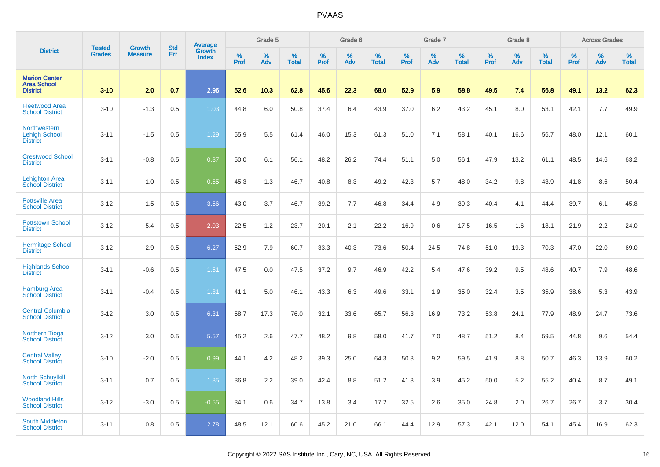|                                                                | <b>Tested</b> | <b>Growth</b>  | <b>Std</b> |                                   |              | Grade 5  |                   |              | Grade 6  |                   |              | Grade 7  |                   |              | Grade 8  |                   |                     | <b>Across Grades</b> |                   |
|----------------------------------------------------------------|---------------|----------------|------------|-----------------------------------|--------------|----------|-------------------|--------------|----------|-------------------|--------------|----------|-------------------|--------------|----------|-------------------|---------------------|----------------------|-------------------|
| <b>District</b>                                                | <b>Grades</b> | <b>Measure</b> | Err        | Average<br>Growth<br><b>Index</b> | $\%$<br>Prof | %<br>Adv | %<br><b>Total</b> | $\%$<br>Prof | %<br>Adv | %<br><b>Total</b> | $\%$<br>Prof | %<br>Adv | %<br><b>Total</b> | $\%$<br>Prof | %<br>Adv | %<br><b>Total</b> | $\%$<br><b>Prof</b> | %<br>Adv             | %<br><b>Total</b> |
| <b>Marion Center</b><br><b>Area School</b><br><b>District</b>  | $3 - 10$      | 2.0            | 0.7        | 2.96                              | 52.6         | 10.3     | 62.8              | 45.6         | 22.3     | 68.0              | 52.9         | 5.9      | 58.8              | 49.5         | 7.4      | 56.8              | 49.1                | 13.2                 | 62.3              |
| <b>Fleetwood Area</b><br><b>School District</b>                | $3 - 10$      | $-1.3$         | 0.5        | 1.03                              | 44.8         | 6.0      | 50.8              | 37.4         | 6.4      | 43.9              | 37.0         | 6.2      | 43.2              | 45.1         | 8.0      | 53.1              | 42.1                | 7.7                  | 49.9              |
| <b>Northwestern</b><br><b>Lehigh School</b><br><b>District</b> | $3 - 11$      | $-1.5$         | 0.5        | 1.29                              | 55.9         | 5.5      | 61.4              | 46.0         | 15.3     | 61.3              | 51.0         | 7.1      | 58.1              | 40.1         | 16.6     | 56.7              | 48.0                | 12.1                 | 60.1              |
| <b>Crestwood School</b><br><b>District</b>                     | $3 - 11$      | $-0.8$         | 0.5        | 0.87                              | 50.0         | 6.1      | 56.1              | 48.2         | 26.2     | 74.4              | 51.1         | 5.0      | 56.1              | 47.9         | 13.2     | 61.1              | 48.5                | 14.6                 | 63.2              |
| <b>Lehighton Area</b><br><b>School District</b>                | $3 - 11$      | $-1.0$         | 0.5        | 0.55                              | 45.3         | 1.3      | 46.7              | 40.8         | 8.3      | 49.2              | 42.3         | 5.7      | 48.0              | 34.2         | 9.8      | 43.9              | 41.8                | 8.6                  | 50.4              |
| <b>Pottsville Area</b><br><b>School District</b>               | $3 - 12$      | $-1.5$         | 0.5        | 3.56                              | 43.0         | 3.7      | 46.7              | 39.2         | 7.7      | 46.8              | 34.4         | 4.9      | 39.3              | 40.4         | 4.1      | 44.4              | 39.7                | 6.1                  | 45.8              |
| <b>Pottstown School</b><br><b>District</b>                     | $3 - 12$      | $-5.4$         | 0.5        | $-2.03$                           | 22.5         | 1.2      | 23.7              | 20.1         | 2.1      | 22.2              | 16.9         | 0.6      | 17.5              | 16.5         | 1.6      | 18.1              | 21.9                | 2.2                  | 24.0              |
| <b>Hermitage School</b><br><b>District</b>                     | $3 - 12$      | 2.9            | 0.5        | 6.27                              | 52.9         | 7.9      | 60.7              | 33.3         | 40.3     | 73.6              | 50.4         | 24.5     | 74.8              | 51.0         | 19.3     | 70.3              | 47.0                | 22.0                 | 69.0              |
| <b>Highlands School</b><br><b>District</b>                     | $3 - 11$      | $-0.6$         | 0.5        | 1.51                              | 47.5         | 0.0      | 47.5              | 37.2         | 9.7      | 46.9              | 42.2         | 5.4      | 47.6              | 39.2         | 9.5      | 48.6              | 40.7                | 7.9                  | 48.6              |
| <b>Hamburg Area</b><br><b>School District</b>                  | $3 - 11$      | $-0.4$         | 0.5        | 1.81                              | 41.1         | 5.0      | 46.1              | 43.3         | 6.3      | 49.6              | 33.1         | 1.9      | 35.0              | 32.4         | 3.5      | 35.9              | 38.6                | 5.3                  | 43.9              |
| <b>Central Columbia</b><br><b>School District</b>              | $3-12$        | 3.0            | 0.5        | 6.31                              | 58.7         | 17.3     | 76.0              | 32.1         | 33.6     | 65.7              | 56.3         | 16.9     | 73.2              | 53.8         | 24.1     | 77.9              | 48.9                | 24.7                 | 73.6              |
| <b>Northern Tioga</b><br><b>School District</b>                | $3 - 12$      | 3.0            | 0.5        | 5.57                              | 45.2         | 2.6      | 47.7              | 48.2         | 9.8      | 58.0              | 41.7         | 7.0      | 48.7              | 51.2         | 8.4      | 59.5              | 44.8                | 9.6                  | 54.4              |
| <b>Central Valley</b><br><b>School District</b>                | $3 - 10$      | $-2.0$         | 0.5        | 0.99                              | 44.1         | 4.2      | 48.2              | 39.3         | 25.0     | 64.3              | 50.3         | 9.2      | 59.5              | 41.9         | 8.8      | 50.7              | 46.3                | 13.9                 | 60.2              |
| <b>North Schuylkill</b><br><b>School District</b>              | $3 - 11$      | 0.7            | 0.5        | 1.85                              | 36.8         | 2.2      | 39.0              | 42.4         | 8.8      | 51.2              | 41.3         | 3.9      | 45.2              | 50.0         | 5.2      | 55.2              | 40.4                | 8.7                  | 49.1              |
| <b>Woodland Hills</b><br><b>School District</b>                | $3 - 12$      | $-3.0$         | 0.5        | $-0.55$                           | 34.1         | 0.6      | 34.7              | 13.8         | 3.4      | 17.2              | 32.5         | 2.6      | 35.0              | 24.8         | 2.0      | 26.7              | 26.7                | 3.7                  | 30.4              |
| <b>South Middleton</b><br><b>School District</b>               | $3 - 11$      | 0.8            | 0.5        | 2.78                              | 48.5         | 12.1     | 60.6              | 45.2         | 21.0     | 66.1              | 44.4         | 12.9     | 57.3              | 42.1         | 12.0     | 54.1              | 45.4                | 16.9                 | 62.3              |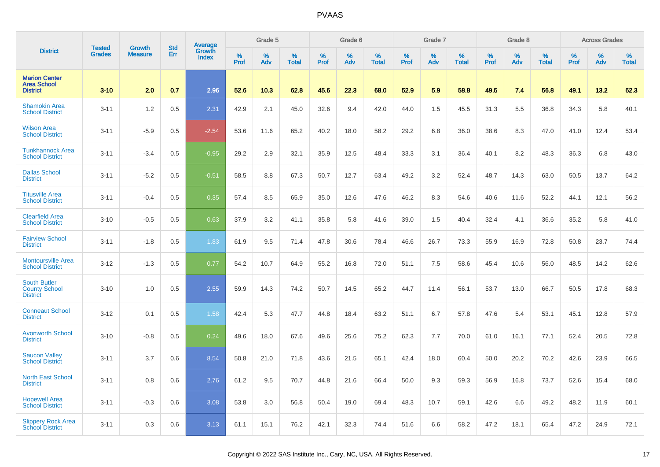|                                                                | <b>Tested</b> | <b>Growth</b>  | <b>Std</b> |                                   |           | Grade 5  |                   |              | Grade 6  |                   |              | Grade 7  |                   |           | Grade 8  |                   |                  | <b>Across Grades</b> |                   |
|----------------------------------------------------------------|---------------|----------------|------------|-----------------------------------|-----------|----------|-------------------|--------------|----------|-------------------|--------------|----------|-------------------|-----------|----------|-------------------|------------------|----------------------|-------------------|
| <b>District</b>                                                | <b>Grades</b> | <b>Measure</b> | Err        | Average<br>Growth<br><b>Index</b> | %<br>Prof | %<br>Adv | %<br><b>Total</b> | $\%$<br>Prof | %<br>Adv | %<br><b>Total</b> | $\%$<br>Prof | %<br>Adv | %<br><b>Total</b> | %<br>Prof | %<br>Adv | %<br><b>Total</b> | %<br><b>Prof</b> | $\%$<br>Adv          | %<br><b>Total</b> |
| <b>Marion Center</b><br><b>Area School</b><br><b>District</b>  | $3 - 10$      | 2.0            | 0.7        | 2.96                              | 52.6      | 10.3     | 62.8              | 45.6         | 22.3     | 68.0              | 52.9         | 5.9      | 58.8              | 49.5      | 7.4      | 56.8              | 49.1             | 13.2                 | 62.3              |
| <b>Shamokin Area</b><br><b>School District</b>                 | $3 - 11$      | 1.2            | 0.5        | 2.31                              | 42.9      | 2.1      | 45.0              | 32.6         | 9.4      | 42.0              | 44.0         | 1.5      | 45.5              | 31.3      | 5.5      | 36.8              | 34.3             | 5.8                  | 40.1              |
| <b>Wilson Area</b><br><b>School District</b>                   | $3 - 11$      | $-5.9$         | 0.5        | $-2.54$                           | 53.6      | 11.6     | 65.2              | 40.2         | 18.0     | 58.2              | 29.2         | 6.8      | 36.0              | 38.6      | 8.3      | 47.0              | 41.0             | 12.4                 | 53.4              |
| <b>Tunkhannock Area</b><br><b>School District</b>              | $3 - 11$      | $-3.4$         | 0.5        | $-0.95$                           | 29.2      | 2.9      | 32.1              | 35.9         | 12.5     | 48.4              | 33.3         | 3.1      | 36.4              | 40.1      | 8.2      | 48.3              | 36.3             | 6.8                  | 43.0              |
| <b>Dallas School</b><br><b>District</b>                        | $3 - 11$      | $-5.2$         | 0.5        | $-0.51$                           | 58.5      | 8.8      | 67.3              | 50.7         | 12.7     | 63.4              | 49.2         | 3.2      | 52.4              | 48.7      | 14.3     | 63.0              | 50.5             | 13.7                 | 64.2              |
| <b>Titusville Area</b><br><b>School District</b>               | $3 - 11$      | $-0.4$         | 0.5        | 0.35                              | 57.4      | 8.5      | 65.9              | 35.0         | 12.6     | 47.6              | 46.2         | 8.3      | 54.6              | 40.6      | 11.6     | 52.2              | 44.1             | 12.1                 | 56.2              |
| <b>Clearfield Area</b><br><b>School District</b>               | $3 - 10$      | $-0.5$         | 0.5        | 0.63                              | 37.9      | 3.2      | 41.1              | 35.8         | 5.8      | 41.6              | 39.0         | 1.5      | 40.4              | 32.4      | 4.1      | 36.6              | 35.2             | 5.8                  | 41.0              |
| <b>Fairview School</b><br><b>District</b>                      | $3 - 11$      | $-1.8$         | 0.5        | 1.83                              | 61.9      | 9.5      | 71.4              | 47.8         | 30.6     | 78.4              | 46.6         | 26.7     | 73.3              | 55.9      | 16.9     | 72.8              | 50.8             | 23.7                 | 74.4              |
| <b>Montoursville Area</b><br><b>School District</b>            | $3 - 12$      | $-1.3$         | 0.5        | 0.77                              | 54.2      | 10.7     | 64.9              | 55.2         | 16.8     | 72.0              | 51.1         | 7.5      | 58.6              | 45.4      | 10.6     | 56.0              | 48.5             | 14.2                 | 62.6              |
| <b>South Butler</b><br><b>County School</b><br><b>District</b> | $3 - 10$      | 1.0            | 0.5        | 2.55                              | 59.9      | 14.3     | 74.2              | 50.7         | 14.5     | 65.2              | 44.7         | 11.4     | 56.1              | 53.7      | 13.0     | 66.7              | 50.5             | 17.8                 | 68.3              |
| <b>Conneaut School</b><br><b>District</b>                      | $3 - 12$      | 0.1            | 0.5        | 1.58                              | 42.4      | 5.3      | 47.7              | 44.8         | 18.4     | 63.2              | 51.1         | 6.7      | 57.8              | 47.6      | 5.4      | 53.1              | 45.1             | 12.8                 | 57.9              |
| <b>Avonworth School</b><br><b>District</b>                     | $3 - 10$      | $-0.8$         | 0.5        | 0.24                              | 49.6      | 18.0     | 67.6              | 49.6         | 25.6     | 75.2              | 62.3         | 7.7      | 70.0              | 61.0      | 16.1     | 77.1              | 52.4             | 20.5                 | 72.8              |
| <b>Saucon Valley</b><br><b>School District</b>                 | $3 - 11$      | 3.7            | 0.6        | 8.54                              | 50.8      | 21.0     | 71.8              | 43.6         | 21.5     | 65.1              | 42.4         | 18.0     | 60.4              | 50.0      | 20.2     | 70.2              | 42.6             | 23.9                 | 66.5              |
| <b>North East School</b><br><b>District</b>                    | $3 - 11$      | 0.8            | 0.6        | 2.76                              | 61.2      | 9.5      | 70.7              | 44.8         | 21.6     | 66.4              | 50.0         | 9.3      | 59.3              | 56.9      | 16.8     | 73.7              | 52.6             | 15.4                 | 68.0              |
| <b>Hopewell Area</b><br><b>School District</b>                 | $3 - 11$      | $-0.3$         | 0.6        | 3.08                              | 53.8      | 3.0      | 56.8              | 50.4         | 19.0     | 69.4              | 48.3         | 10.7     | 59.1              | 42.6      | 6.6      | 49.2              | 48.2             | 11.9                 | 60.1              |
| <b>Slippery Rock Area</b><br><b>School District</b>            | $3 - 11$      | 0.3            | 0.6        | 3.13                              | 61.1      | 15.1     | 76.2              | 42.1         | 32.3     | 74.4              | 51.6         | 6.6      | 58.2              | 47.2      | 18.1     | 65.4              | 47.2             | 24.9                 | 72.1              |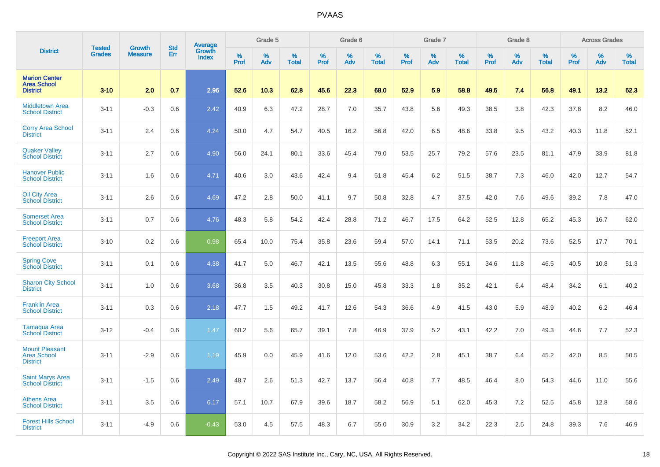|                                                                | <b>Tested</b> | <b>Growth</b>  | <b>Std</b> | Average<br>Growth |              | Grade 5  |                   |              | Grade 6  |                   |              | Grade 7  |                   |              | Grade 8  |                   |              | <b>Across Grades</b> |                   |
|----------------------------------------------------------------|---------------|----------------|------------|-------------------|--------------|----------|-------------------|--------------|----------|-------------------|--------------|----------|-------------------|--------------|----------|-------------------|--------------|----------------------|-------------------|
| <b>District</b>                                                | <b>Grades</b> | <b>Measure</b> | Err        | <b>Index</b>      | $\%$<br>Prof | %<br>Adv | %<br><b>Total</b> | $\%$<br>Prof | %<br>Adv | %<br><b>Total</b> | $\%$<br>Prof | %<br>Adv | %<br><b>Total</b> | $\%$<br>Prof | %<br>Adv | %<br><b>Total</b> | $\%$<br>Prof | $\%$<br>Adv          | %<br><b>Total</b> |
| <b>Marion Center</b><br><b>Area School</b><br><b>District</b>  | $3 - 10$      | 2.0            | 0.7        | 2.96              | 52.6         | 10.3     | 62.8              | 45.6         | 22.3     | 68.0              | 52.9         | 5.9      | 58.8              | 49.5         | 7.4      | 56.8              | 49.1         | 13.2                 | 62.3              |
| <b>Middletown Area</b><br><b>School District</b>               | $3 - 11$      | $-0.3$         | 0.6        | 2.42              | 40.9         | 6.3      | 47.2              | 28.7         | 7.0      | 35.7              | 43.8         | 5.6      | 49.3              | 38.5         | 3.8      | 42.3              | 37.8         | 8.2                  | 46.0              |
| <b>Corry Area School</b><br><b>District</b>                    | $3 - 11$      | 2.4            | 0.6        | 4.24              | 50.0         | 4.7      | 54.7              | 40.5         | 16.2     | 56.8              | 42.0         | 6.5      | 48.6              | 33.8         | 9.5      | 43.2              | 40.3         | 11.8                 | 52.1              |
| <b>Quaker Valley</b><br><b>School District</b>                 | $3 - 11$      | 2.7            | 0.6        | 4.90              | 56.0         | 24.1     | 80.1              | 33.6         | 45.4     | 79.0              | 53.5         | 25.7     | 79.2              | 57.6         | 23.5     | 81.1              | 47.9         | 33.9                 | 81.8              |
| <b>Hanover Public</b><br><b>School District</b>                | $3 - 11$      | 1.6            | 0.6        | 4.71              | 40.6         | 3.0      | 43.6              | 42.4         | 9.4      | 51.8              | 45.4         | 6.2      | 51.5              | 38.7         | 7.3      | 46.0              | 42.0         | 12.7                 | 54.7              |
| <b>Oil City Area</b><br><b>School District</b>                 | $3 - 11$      | 2.6            | 0.6        | 4.69              | 47.2         | 2.8      | 50.0              | 41.1         | 9.7      | 50.8              | 32.8         | 4.7      | 37.5              | 42.0         | 7.6      | 49.6              | 39.2         | 7.8                  | 47.0              |
| <b>Somerset Area</b><br><b>School District</b>                 | $3 - 11$      | 0.7            | 0.6        | 4.76              | 48.3         | 5.8      | 54.2              | 42.4         | 28.8     | 71.2              | 46.7         | 17.5     | 64.2              | 52.5         | 12.8     | 65.2              | 45.3         | 16.7                 | 62.0              |
| <b>Freeport Area</b><br><b>School District</b>                 | $3 - 10$      | 0.2            | 0.6        | 0.98              | 65.4         | 10.0     | 75.4              | 35.8         | 23.6     | 59.4              | 57.0         | 14.1     | 71.1              | 53.5         | 20.2     | 73.6              | 52.5         | 17.7                 | 70.1              |
| <b>Spring Cove</b><br>School District                          | $3 - 11$      | 0.1            | 0.6        | 4.38              | 41.7         | 5.0      | 46.7              | 42.1         | 13.5     | 55.6              | 48.8         | 6.3      | 55.1              | 34.6         | 11.8     | 46.5              | 40.5         | 10.8                 | 51.3              |
| <b>Sharon City School</b><br><b>District</b>                   | $3 - 11$      | 1.0            | 0.6        | 3.68              | 36.8         | 3.5      | 40.3              | 30.8         | 15.0     | 45.8              | 33.3         | 1.8      | 35.2              | 42.1         | 6.4      | 48.4              | 34.2         | 6.1                  | 40.2              |
| <b>Franklin Area</b><br><b>School District</b>                 | $3 - 11$      | 0.3            | 0.6        | 2.18              | 47.7         | 1.5      | 49.2              | 41.7         | 12.6     | 54.3              | 36.6         | 4.9      | 41.5              | 43.0         | 5.9      | 48.9              | 40.2         | 6.2                  | 46.4              |
| <b>Tamaqua Area</b><br><b>School District</b>                  | $3 - 12$      | $-0.4$         | 0.6        | 1.47              | 60.2         | 5.6      | 65.7              | 39.1         | 7.8      | 46.9              | 37.9         | 5.2      | 43.1              | 42.2         | 7.0      | 49.3              | 44.6         | 7.7                  | 52.3              |
| <b>Mount Pleasant</b><br><b>Area School</b><br><b>District</b> | $3 - 11$      | $-2.9$         | 0.6        | 1.19              | 45.9         | 0.0      | 45.9              | 41.6         | 12.0     | 53.6              | 42.2         | 2.8      | 45.1              | 38.7         | 6.4      | 45.2              | 42.0         | 8.5                  | 50.5              |
| <b>Saint Marys Area</b><br><b>School District</b>              | $3 - 11$      | $-1.5$         | 0.6        | 2.49              | 48.7         | 2.6      | 51.3              | 42.7         | 13.7     | 56.4              | 40.8         | 7.7      | 48.5              | 46.4         | 8.0      | 54.3              | 44.6         | 11.0                 | 55.6              |
| <b>Athens Area</b><br><b>School District</b>                   | $3 - 11$      | 3.5            | 0.6        | 6.17              | 57.1         | 10.7     | 67.9              | 39.6         | 18.7     | 58.2              | 56.9         | 5.1      | 62.0              | 45.3         | 7.2      | 52.5              | 45.8         | 12.8                 | 58.6              |
| <b>Forest Hills School</b><br><b>District</b>                  | $3 - 11$      | $-4.9$         | 0.6        | $-0.43$           | 53.0         | 4.5      | 57.5              | 48.3         | 6.7      | 55.0              | 30.9         | 3.2      | 34.2              | 22.3         | 2.5      | 24.8              | 39.3         | 7.6                  | 46.9              |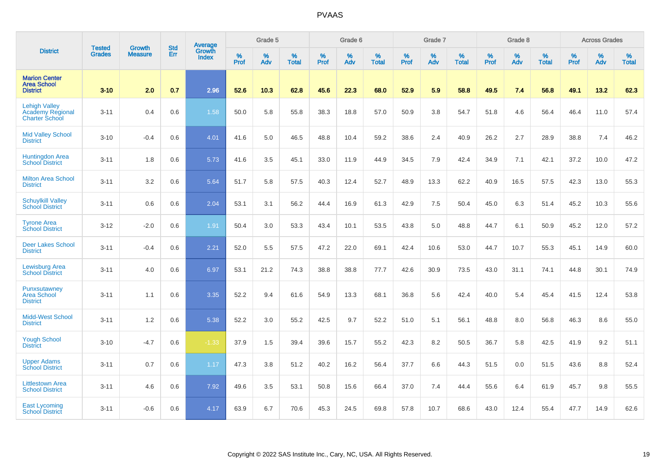|                                                                          | <b>Tested</b> | <b>Growth</b>  | <b>Std</b> | Average                       |           | Grade 5  |                   |           | Grade 6  |                   |           | Grade 7  |                   |           | Grade 8  |                   |           | <b>Across Grades</b> |                   |
|--------------------------------------------------------------------------|---------------|----------------|------------|-------------------------------|-----------|----------|-------------------|-----------|----------|-------------------|-----------|----------|-------------------|-----------|----------|-------------------|-----------|----------------------|-------------------|
| <b>District</b>                                                          | <b>Grades</b> | <b>Measure</b> | Err        | <b>Growth</b><br><b>Index</b> | %<br>Prof | %<br>Adv | %<br><b>Total</b> | %<br>Prof | %<br>Adv | %<br><b>Total</b> | %<br>Prof | %<br>Adv | %<br><b>Total</b> | %<br>Prof | %<br>Adv | %<br><b>Total</b> | %<br>Prof | %<br>Adv             | %<br><b>Total</b> |
| <b>Marion Center</b><br><b>Area School</b><br><b>District</b>            | $3 - 10$      | 2.0            | 0.7        | 2.96                          | 52.6      | 10.3     | 62.8              | 45.6      | 22.3     | 68.0              | 52.9      | 5.9      | 58.8              | 49.5      | 7.4      | 56.8              | 49.1      | 13.2                 | 62.3              |
| <b>Lehigh Valley</b><br><b>Academy Regional</b><br><b>Charter School</b> | $3 - 11$      | 0.4            | 0.6        | 1.58                          | 50.0      | 5.8      | 55.8              | 38.3      | 18.8     | 57.0              | 50.9      | 3.8      | 54.7              | 51.8      | 4.6      | 56.4              | 46.4      | 11.0                 | 57.4              |
| <b>Mid Valley School</b><br><b>District</b>                              | $3 - 10$      | $-0.4$         | 0.6        | 4.01                          | 41.6      | 5.0      | 46.5              | 48.8      | 10.4     | 59.2              | 38.6      | 2.4      | 40.9              | 26.2      | 2.7      | 28.9              | 38.8      | 7.4                  | 46.2              |
| <b>Huntingdon Area</b><br><b>School District</b>                         | $3 - 11$      | 1.8            | 0.6        | 5.73                          | 41.6      | 3.5      | 45.1              | 33.0      | 11.9     | 44.9              | 34.5      | 7.9      | 42.4              | 34.9      | 7.1      | 42.1              | 37.2      | 10.0                 | 47.2              |
| <b>Milton Area School</b><br><b>District</b>                             | $3 - 11$      | 3.2            | 0.6        | 5.64                          | 51.7      | 5.8      | 57.5              | 40.3      | 12.4     | 52.7              | 48.9      | 13.3     | 62.2              | 40.9      | 16.5     | 57.5              | 42.3      | 13.0                 | 55.3              |
| <b>Schuylkill Valley</b><br><b>School District</b>                       | $3 - 11$      | 0.6            | 0.6        | 2.04                          | 53.1      | 3.1      | 56.2              | 44.4      | 16.9     | 61.3              | 42.9      | 7.5      | 50.4              | 45.0      | 6.3      | 51.4              | 45.2      | 10.3                 | 55.6              |
| <b>Tyrone Area</b><br><b>School District</b>                             | $3 - 12$      | $-2.0$         | 0.6        | 1.91                          | 50.4      | 3.0      | 53.3              | 43.4      | 10.1     | 53.5              | 43.8      | 5.0      | 48.8              | 44.7      | 6.1      | 50.9              | 45.2      | 12.0                 | 57.2              |
| <b>Deer Lakes School</b><br><b>District</b>                              | $3 - 11$      | $-0.4$         | 0.6        | 2.21                          | 52.0      | 5.5      | 57.5              | 47.2      | 22.0     | 69.1              | 42.4      | 10.6     | 53.0              | 44.7      | 10.7     | 55.3              | 45.1      | 14.9                 | 60.0              |
| <b>Lewisburg Area</b><br><b>School District</b>                          | $3 - 11$      | 4.0            | 0.6        | 6.97                          | 53.1      | 21.2     | 74.3              | 38.8      | 38.8     | 77.7              | 42.6      | 30.9     | 73.5              | 43.0      | 31.1     | 74.1              | 44.8      | 30.1                 | 74.9              |
| Punxsutawney<br><b>Area School</b><br><b>District</b>                    | $3 - 11$      | 1.1            | 0.6        | 3.35                          | 52.2      | 9.4      | 61.6              | 54.9      | 13.3     | 68.1              | 36.8      | 5.6      | 42.4              | 40.0      | 5.4      | 45.4              | 41.5      | 12.4                 | 53.8              |
| <b>Midd-West School</b><br><b>District</b>                               | $3 - 11$      | 1.2            | 0.6        | 5.38                          | 52.2      | 3.0      | 55.2              | 42.5      | 9.7      | 52.2              | 51.0      | 5.1      | 56.1              | 48.8      | 8.0      | 56.8              | 46.3      | 8.6                  | 55.0              |
| <b>Yough School</b><br><b>District</b>                                   | $3 - 10$      | $-4.7$         | 0.6        | $-1.33$                       | 37.9      | 1.5      | 39.4              | 39.6      | 15.7     | 55.2              | 42.3      | 8.2      | 50.5              | 36.7      | 5.8      | 42.5              | 41.9      | 9.2                  | 51.1              |
| <b>Upper Adams</b><br><b>School District</b>                             | $3 - 11$      | 0.7            | 0.6        | 1.17                          | 47.3      | 3.8      | 51.2              | 40.2      | 16.2     | 56.4              | 37.7      | 6.6      | 44.3              | 51.5      | 0.0      | 51.5              | 43.6      | 8.8                  | 52.4              |
| <b>Littlestown Area</b><br><b>School District</b>                        | $3 - 11$      | 4.6            | 0.6        | 7.92                          | 49.6      | 3.5      | 53.1              | 50.8      | 15.6     | 66.4              | 37.0      | 7.4      | 44.4              | 55.6      | 6.4      | 61.9              | 45.7      | 9.8                  | 55.5              |
| <b>East Lycoming</b><br><b>School District</b>                           | $3 - 11$      | $-0.6$         | 0.6        | 4.17                          | 63.9      | 6.7      | 70.6              | 45.3      | 24.5     | 69.8              | 57.8      | 10.7     | 68.6              | 43.0      | 12.4     | 55.4              | 47.7      | 14.9                 | 62.6              |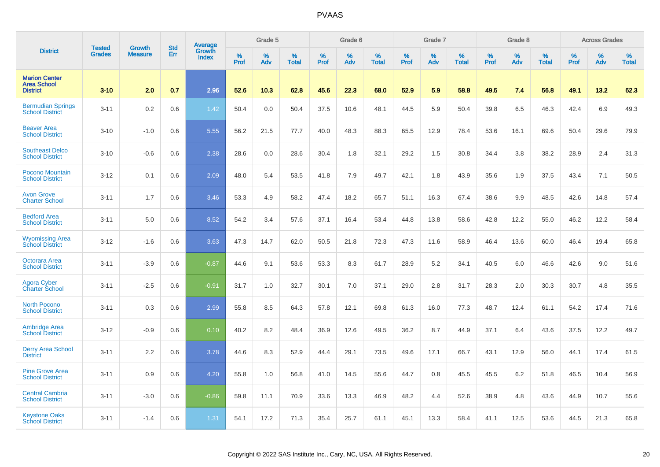|                                                               |                         | <b>Growth</b>  | <b>Std</b> | Average                |                     | Grade 5  |                      |              | Grade 6  |                      |                     | Grade 7     |                      |                     | Grade 8     |                   |                     | <b>Across Grades</b> |                   |
|---------------------------------------------------------------|-------------------------|----------------|------------|------------------------|---------------------|----------|----------------------|--------------|----------|----------------------|---------------------|-------------|----------------------|---------------------|-------------|-------------------|---------------------|----------------------|-------------------|
| <b>District</b>                                               | <b>Tested</b><br>Grades | <b>Measure</b> | Err        | Growth<br><b>Index</b> | $\%$<br><b>Prof</b> | %<br>Adv | $\%$<br><b>Total</b> | $\%$<br>Prof | %<br>Adv | $\%$<br><b>Total</b> | $\%$<br><b>Prof</b> | $\%$<br>Adv | $\%$<br><b>Total</b> | $\%$<br><b>Prof</b> | $\%$<br>Adv | %<br><b>Total</b> | $\%$<br><b>Prof</b> | %<br>Adv             | %<br><b>Total</b> |
| <b>Marion Center</b><br><b>Area School</b><br><b>District</b> | $3 - 10$                | 2.0            | 0.7        | 2.96                   | 52.6                | 10.3     | 62.8                 | 45.6         | 22.3     | 68.0                 | 52.9                | 5.9         | 58.8                 | 49.5                | 7.4         | 56.8              | 49.1                | 13.2                 | 62.3              |
| <b>Bermudian Springs</b><br><b>School District</b>            | $3 - 11$                | 0.2            | 0.6        | 1.42                   | 50.4                | 0.0      | 50.4                 | 37.5         | 10.6     | 48.1                 | 44.5                | 5.9         | 50.4                 | 39.8                | 6.5         | 46.3              | 42.4                | 6.9                  | 49.3              |
| <b>Beaver Area</b><br><b>School District</b>                  | $3 - 10$                | $-1.0$         | 0.6        | 5.55                   | 56.2                | 21.5     | 77.7                 | 40.0         | 48.3     | 88.3                 | 65.5                | 12.9        | 78.4                 | 53.6                | 16.1        | 69.6              | 50.4                | 29.6                 | 79.9              |
| <b>Southeast Delco</b><br><b>School District</b>              | $3 - 10$                | $-0.6$         | 0.6        | 2.38                   | 28.6                | 0.0      | 28.6                 | 30.4         | 1.8      | 32.1                 | 29.2                | 1.5         | 30.8                 | 34.4                | 3.8         | 38.2              | 28.9                | 2.4                  | 31.3              |
| <b>Pocono Mountain</b><br><b>School District</b>              | $3 - 12$                | 0.1            | 0.6        | 2.09                   | 48.0                | 5.4      | 53.5                 | 41.8         | 7.9      | 49.7                 | 42.1                | 1.8         | 43.9                 | 35.6                | 1.9         | 37.5              | 43.4                | 7.1                  | 50.5              |
| <b>Avon Grove</b><br><b>Charter School</b>                    | $3 - 11$                | 1.7            | 0.6        | 3.46                   | 53.3                | 4.9      | 58.2                 | 47.4         | 18.2     | 65.7                 | 51.1                | 16.3        | 67.4                 | 38.6                | 9.9         | 48.5              | 42.6                | 14.8                 | 57.4              |
| <b>Bedford Area</b><br><b>School District</b>                 | $3 - 11$                | 5.0            | 0.6        | 8.52                   | 54.2                | 3.4      | 57.6                 | 37.1         | 16.4     | 53.4                 | 44.8                | 13.8        | 58.6                 | 42.8                | 12.2        | 55.0              | 46.2                | 12.2                 | 58.4              |
| <b>Wyomissing Area</b><br><b>School District</b>              | $3 - 12$                | $-1.6$         | 0.6        | 3.63                   | 47.3                | 14.7     | 62.0                 | 50.5         | 21.8     | 72.3                 | 47.3                | 11.6        | 58.9                 | 46.4                | 13.6        | 60.0              | 46.4                | 19.4                 | 65.8              |
| <b>Octorara Area</b><br><b>School District</b>                | $3 - 11$                | $-3.9$         | 0.6        | $-0.87$                | 44.6                | 9.1      | 53.6                 | 53.3         | 8.3      | 61.7                 | 28.9                | 5.2         | 34.1                 | 40.5                | 6.0         | 46.6              | 42.6                | 9.0                  | 51.6              |
| Agora Cyber<br>Charter School                                 | $3 - 11$                | $-2.5$         | 0.6        | $-0.91$                | 31.7                | 1.0      | 32.7                 | 30.1         | 7.0      | 37.1                 | 29.0                | 2.8         | 31.7                 | 28.3                | 2.0         | 30.3              | 30.7                | 4.8                  | 35.5              |
| <b>North Pocono</b><br><b>School District</b>                 | $3 - 11$                | 0.3            | 0.6        | 2.99                   | 55.8                | 8.5      | 64.3                 | 57.8         | 12.1     | 69.8                 | 61.3                | 16.0        | 77.3                 | 48.7                | 12.4        | 61.1              | 54.2                | 17.4                 | 71.6              |
| <b>Ambridge Area</b><br><b>School District</b>                | $3 - 12$                | $-0.9$         | 0.6        | 0.10                   | 40.2                | 8.2      | 48.4                 | 36.9         | 12.6     | 49.5                 | 36.2                | 8.7         | 44.9                 | 37.1                | 6.4         | 43.6              | 37.5                | 12.2                 | 49.7              |
| <b>Derry Area School</b><br><b>District</b>                   | $3 - 11$                | 2.2            | 0.6        | 3.78                   | 44.6                | 8.3      | 52.9                 | 44.4         | 29.1     | 73.5                 | 49.6                | 17.1        | 66.7                 | 43.1                | 12.9        | 56.0              | 44.1                | 17.4                 | 61.5              |
| <b>Pine Grove Area</b><br><b>School District</b>              | $3 - 11$                | 0.9            | 0.6        | 4.20                   | 55.8                | 1.0      | 56.8                 | 41.0         | 14.5     | 55.6                 | 44.7                | 0.8         | 45.5                 | 45.5                | 6.2         | 51.8              | 46.5                | 10.4                 | 56.9              |
| <b>Central Cambria</b><br><b>School District</b>              | $3 - 11$                | $-3.0$         | 0.6        | $-0.86$                | 59.8                | 11.1     | 70.9                 | 33.6         | 13.3     | 46.9                 | 48.2                | 4.4         | 52.6                 | 38.9                | 4.8         | 43.6              | 44.9                | 10.7                 | 55.6              |
| <b>Keystone Oaks</b><br><b>School District</b>                | $3 - 11$                | $-1.4$         | 0.6        | 1.31                   | 54.1                | 17.2     | 71.3                 | 35.4         | 25.7     | 61.1                 | 45.1                | 13.3        | 58.4                 | 41.1                | 12.5        | 53.6              | 44.5                | 21.3                 | 65.8              |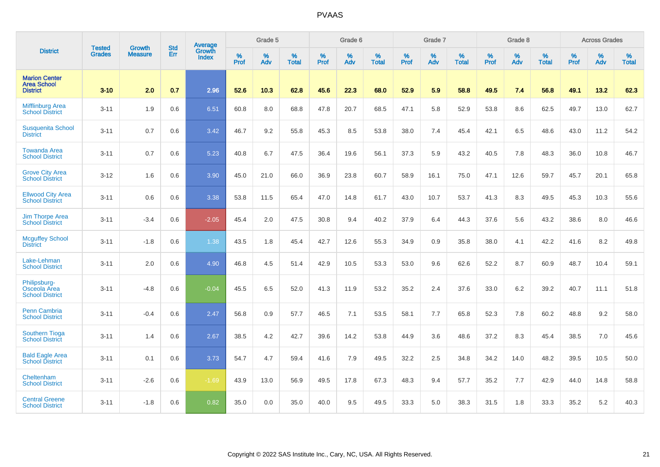|                                                               | <b>Tested</b> | <b>Growth</b>  | <b>Std</b> | <b>Average</b>                |           | Grade 5  |                   |           | Grade 6  |                   |           | Grade 7  |                   |           | Grade 8  |                   |           | <b>Across Grades</b> |                   |
|---------------------------------------------------------------|---------------|----------------|------------|-------------------------------|-----------|----------|-------------------|-----------|----------|-------------------|-----------|----------|-------------------|-----------|----------|-------------------|-----------|----------------------|-------------------|
| <b>District</b>                                               | <b>Grades</b> | <b>Measure</b> | Err        | <b>Growth</b><br><b>Index</b> | %<br>Prof | %<br>Adv | %<br><b>Total</b> | %<br>Prof | %<br>Adv | %<br><b>Total</b> | %<br>Prof | %<br>Adv | %<br><b>Total</b> | %<br>Prof | %<br>Adv | %<br><b>Total</b> | %<br>Prof | %<br>Adv             | %<br><b>Total</b> |
| <b>Marion Center</b><br><b>Area School</b><br><b>District</b> | $3 - 10$      | 2.0            | 0.7        | 2.96                          | 52.6      | 10.3     | 62.8              | 45.6      | 22.3     | 68.0              | 52.9      | 5.9      | 58.8              | 49.5      | 7.4      | 56.8              | 49.1      | 13.2                 | 62.3              |
| <b>Mifflinburg Area</b><br><b>School District</b>             | $3 - 11$      | 1.9            | 0.6        | 6.51                          | 60.8      | 8.0      | 68.8              | 47.8      | 20.7     | 68.5              | 47.1      | 5.8      | 52.9              | 53.8      | 8.6      | 62.5              | 49.7      | 13.0                 | 62.7              |
| <b>Susquenita School</b><br><b>District</b>                   | $3 - 11$      | 0.7            | 0.6        | 3.42                          | 46.7      | 9.2      | 55.8              | 45.3      | 8.5      | 53.8              | 38.0      | 7.4      | 45.4              | 42.1      | 6.5      | 48.6              | 43.0      | 11.2                 | 54.2              |
| <b>Towanda Area</b><br><b>School District</b>                 | $3 - 11$      | 0.7            | 0.6        | 5.23                          | 40.8      | 6.7      | 47.5              | 36.4      | 19.6     | 56.1              | 37.3      | 5.9      | 43.2              | 40.5      | 7.8      | 48.3              | 36.0      | 10.8                 | 46.7              |
| <b>Grove City Area</b><br><b>School District</b>              | $3 - 12$      | 1.6            | 0.6        | 3.90                          | 45.0      | 21.0     | 66.0              | 36.9      | 23.8     | 60.7              | 58.9      | 16.1     | 75.0              | 47.1      | 12.6     | 59.7              | 45.7      | 20.1                 | 65.8              |
| <b>Ellwood City Area</b><br><b>School District</b>            | $3 - 11$      | 0.6            | 0.6        | 3.38                          | 53.8      | 11.5     | 65.4              | 47.0      | 14.8     | 61.7              | 43.0      | 10.7     | 53.7              | 41.3      | 8.3      | 49.5              | 45.3      | 10.3                 | 55.6              |
| Jim Thorpe Area<br><b>School District</b>                     | $3 - 11$      | $-3.4$         | 0.6        | $-2.05$                       | 45.4      | 2.0      | 47.5              | 30.8      | 9.4      | 40.2              | 37.9      | 6.4      | 44.3              | 37.6      | 5.6      | 43.2              | 38.6      | 8.0                  | 46.6              |
| <b>Mcguffey School</b><br><b>District</b>                     | $3 - 11$      | $-1.8$         | 0.6        | 1.38                          | 43.5      | 1.8      | 45.4              | 42.7      | 12.6     | 55.3              | 34.9      | 0.9      | 35.8              | 38.0      | 4.1      | 42.2              | 41.6      | 8.2                  | 49.8              |
| Lake-Lehman<br><b>School District</b>                         | $3 - 11$      | 2.0            | 0.6        | 4.90                          | 46.8      | 4.5      | 51.4              | 42.9      | 10.5     | 53.3              | 53.0      | 9.6      | 62.6              | 52.2      | 8.7      | 60.9              | 48.7      | 10.4                 | 59.1              |
| Philipsburg-<br>Osceola Area<br><b>School District</b>        | $3 - 11$      | $-4.8$         | 0.6        | $-0.04$                       | 45.5      | 6.5      | 52.0              | 41.3      | 11.9     | 53.2              | 35.2      | 2.4      | 37.6              | 33.0      | 6.2      | 39.2              | 40.7      | 11.1                 | 51.8              |
| <b>Penn Cambria</b><br><b>School District</b>                 | $3 - 11$      | $-0.4$         | 0.6        | 2.47                          | 56.8      | 0.9      | 57.7              | 46.5      | 7.1      | 53.5              | 58.1      | 7.7      | 65.8              | 52.3      | 7.8      | 60.2              | 48.8      | 9.2                  | 58.0              |
| <b>Southern Tioga</b><br><b>School District</b>               | $3 - 11$      | 1.4            | 0.6        | 2.67                          | 38.5      | 4.2      | 42.7              | 39.6      | 14.2     | 53.8              | 44.9      | 3.6      | 48.6              | 37.2      | 8.3      | 45.4              | 38.5      | 7.0                  | 45.6              |
| <b>Bald Eagle Area</b><br><b>School District</b>              | $3 - 11$      | 0.1            | 0.6        | 3.73                          | 54.7      | 4.7      | 59.4              | 41.6      | 7.9      | 49.5              | 32.2      | 2.5      | 34.8              | 34.2      | 14.0     | 48.2              | 39.5      | 10.5                 | 50.0              |
| Cheltenham<br><b>School District</b>                          | $3 - 11$      | $-2.6$         | 0.6        | $-1.69$                       | 43.9      | 13.0     | 56.9              | 49.5      | 17.8     | 67.3              | 48.3      | 9.4      | 57.7              | 35.2      | 7.7      | 42.9              | 44.0      | 14.8                 | 58.8              |
| <b>Central Greene</b><br><b>School District</b>               | $3 - 11$      | $-1.8$         | 0.6        | 0.82                          | 35.0      | 0.0      | 35.0              | 40.0      | 9.5      | 49.5              | 33.3      | 5.0      | 38.3              | 31.5      | 1.8      | 33.3              | 35.2      | 5.2                  | 40.3              |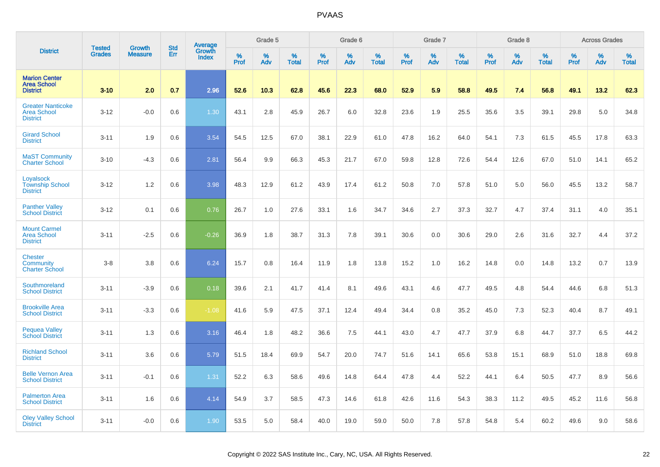|                                                                   |                                | <b>Growth</b>  | <b>Std</b> |                                          |                     | Grade 5  |                   |           | Grade 6  |                   |           | Grade 7  |                   |           | Grade 8  |                   |           | <b>Across Grades</b> |                   |
|-------------------------------------------------------------------|--------------------------------|----------------|------------|------------------------------------------|---------------------|----------|-------------------|-----------|----------|-------------------|-----------|----------|-------------------|-----------|----------|-------------------|-----------|----------------------|-------------------|
| <b>District</b>                                                   | <b>Tested</b><br><b>Grades</b> | <b>Measure</b> | Err        | <b>Average</b><br>Growth<br><b>Index</b> | $\%$<br><b>Prof</b> | %<br>Adv | %<br><b>Total</b> | %<br>Prof | %<br>Adv | %<br><b>Total</b> | %<br>Prof | %<br>Adv | %<br><b>Total</b> | %<br>Prof | %<br>Adv | %<br><b>Total</b> | %<br>Prof | %<br>Adv             | %<br><b>Total</b> |
| <b>Marion Center</b><br><b>Area School</b><br><b>District</b>     | $3 - 10$                       | 2.0            | 0.7        | 2.96                                     | 52.6                | 10.3     | 62.8              | 45.6      | 22.3     | 68.0              | 52.9      | 5.9      | 58.8              | 49.5      | 7.4      | 56.8              | 49.1      | 13.2                 | 62.3              |
| <b>Greater Nanticoke</b><br><b>Area School</b><br><b>District</b> | $3 - 12$                       | $-0.0$         | 0.6        | 1.30                                     | 43.1                | 2.8      | 45.9              | 26.7      | 6.0      | 32.8              | 23.6      | 1.9      | 25.5              | 35.6      | 3.5      | 39.1              | 29.8      | 5.0                  | 34.8              |
| <b>Girard School</b><br><b>District</b>                           | $3 - 11$                       | 1.9            | 0.6        | 3.54                                     | 54.5                | 12.5     | 67.0              | 38.1      | 22.9     | 61.0              | 47.8      | 16.2     | 64.0              | 54.1      | 7.3      | 61.5              | 45.5      | 17.8                 | 63.3              |
| <b>MaST Community</b><br><b>Charter School</b>                    | $3 - 10$                       | $-4.3$         | 0.6        | 2.81                                     | 56.4                | 9.9      | 66.3              | 45.3      | 21.7     | 67.0              | 59.8      | 12.8     | 72.6              | 54.4      | 12.6     | 67.0              | 51.0      | 14.1                 | 65.2              |
| Loyalsock<br><b>Township School</b><br><b>District</b>            | $3 - 12$                       | 1.2            | 0.6        | 3.98                                     | 48.3                | 12.9     | 61.2              | 43.9      | 17.4     | 61.2              | 50.8      | 7.0      | 57.8              | 51.0      | 5.0      | 56.0              | 45.5      | 13.2                 | 58.7              |
| <b>Panther Valley</b><br><b>School District</b>                   | $3 - 12$                       | 0.1            | 0.6        | 0.76                                     | 26.7                | 1.0      | 27.6              | 33.1      | 1.6      | 34.7              | 34.6      | 2.7      | 37.3              | 32.7      | 4.7      | 37.4              | 31.1      | 4.0                  | 35.1              |
| <b>Mount Carmel</b><br><b>Area School</b><br><b>District</b>      | $3 - 11$                       | $-2.5$         | 0.6        | $-0.26$                                  | 36.9                | 1.8      | 38.7              | 31.3      | 7.8      | 39.1              | 30.6      | 0.0      | 30.6              | 29.0      | 2.6      | 31.6              | 32.7      | 4.4                  | 37.2              |
| <b>Chester</b><br><b>Community</b><br><b>Charter School</b>       | $3 - 8$                        | 3.8            | 0.6        | 6.24                                     | 15.7                | 0.8      | 16.4              | 11.9      | 1.8      | 13.8              | 15.2      | 1.0      | 16.2              | 14.8      | 0.0      | 14.8              | 13.2      | 0.7                  | 13.9              |
| Southmoreland<br><b>School District</b>                           | $3 - 11$                       | $-3.9$         | 0.6        | 0.18                                     | 39.6                | 2.1      | 41.7              | 41.4      | 8.1      | 49.6              | 43.1      | 4.6      | 47.7              | 49.5      | 4.8      | 54.4              | 44.6      | 6.8                  | 51.3              |
| <b>Brookville Area</b><br><b>School District</b>                  | $3 - 11$                       | $-3.3$         | 0.6        | $-1.08$                                  | 41.6                | 5.9      | 47.5              | 37.1      | 12.4     | 49.4              | 34.4      | 0.8      | 35.2              | 45.0      | 7.3      | 52.3              | 40.4      | 8.7                  | 49.1              |
| <b>Pequea Valley</b><br><b>School District</b>                    | $3 - 11$                       | 1.3            | 0.6        | 3.16                                     | 46.4                | 1.8      | 48.2              | 36.6      | 7.5      | 44.1              | 43.0      | 4.7      | 47.7              | 37.9      | 6.8      | 44.7              | 37.7      | 6.5                  | 44.2              |
| <b>Richland School</b><br><b>District</b>                         | $3 - 11$                       | 3.6            | 0.6        | 5.79                                     | 51.5                | 18.4     | 69.9              | 54.7      | 20.0     | 74.7              | 51.6      | 14.1     | 65.6              | 53.8      | 15.1     | 68.9              | 51.0      | 18.8                 | 69.8              |
| <b>Belle Vernon Area</b><br><b>School District</b>                | $3 - 11$                       | $-0.1$         | 0.6        | 1.31                                     | 52.2                | 6.3      | 58.6              | 49.6      | 14.8     | 64.4              | 47.8      | 4.4      | 52.2              | 44.1      | 6.4      | 50.5              | 47.7      | 8.9                  | 56.6              |
| <b>Palmerton Area</b><br><b>School District</b>                   | $3 - 11$                       | 1.6            | 0.6        | 4.14                                     | 54.9                | 3.7      | 58.5              | 47.3      | 14.6     | 61.8              | 42.6      | 11.6     | 54.3              | 38.3      | 11.2     | 49.5              | 45.2      | 11.6                 | 56.8              |
| <b>Oley Valley School</b><br><b>District</b>                      | $3 - 11$                       | $-0.0$         | 0.6        | 1.90                                     | 53.5                | 5.0      | 58.4              | 40.0      | 19.0     | 59.0              | 50.0      | 7.8      | 57.8              | 54.8      | 5.4      | 60.2              | 49.6      | 9.0                  | 58.6              |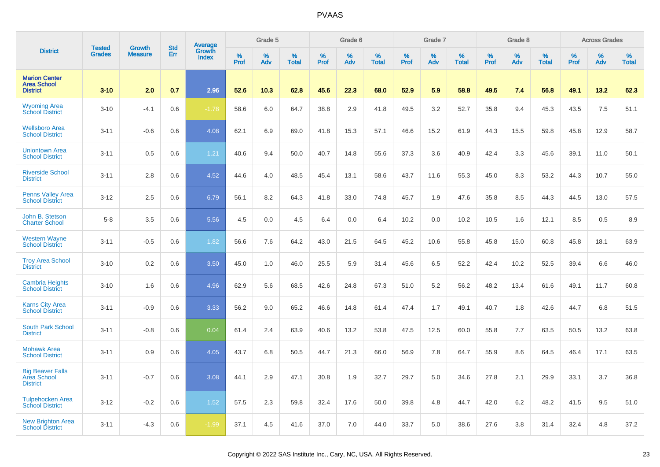|                                                               | <b>Tested</b> | <b>Growth</b>  | <b>Std</b> |                                   |                     | Grade 5  |                   |              | Grade 6  |                   |              | Grade 7  |                   |              | Grade 8  |                   |                  | <b>Across Grades</b> |                   |
|---------------------------------------------------------------|---------------|----------------|------------|-----------------------------------|---------------------|----------|-------------------|--------------|----------|-------------------|--------------|----------|-------------------|--------------|----------|-------------------|------------------|----------------------|-------------------|
| <b>District</b>                                               | <b>Grades</b> | <b>Measure</b> | Err        | Average<br>Growth<br><b>Index</b> | $\%$<br><b>Prof</b> | %<br>Adv | %<br><b>Total</b> | $\%$<br>Prof | %<br>Adv | %<br><b>Total</b> | $\%$<br>Prof | %<br>Adv | %<br><b>Total</b> | $\%$<br>Prof | %<br>Adv | %<br><b>Total</b> | %<br><b>Prof</b> | %<br>Adv             | %<br><b>Total</b> |
| <b>Marion Center</b><br><b>Area School</b><br><b>District</b> | $3 - 10$      | 2.0            | 0.7        | 2.96                              | 52.6                | 10.3     | 62.8              | 45.6         | 22.3     | 68.0              | 52.9         | 5.9      | 58.8              | 49.5         | 7.4      | 56.8              | 49.1             | 13.2                 | 62.3              |
| <b>Wyoming Area</b><br><b>School District</b>                 | $3 - 10$      | $-4.1$         | 0.6        | $-1.78$                           | 58.6                | 6.0      | 64.7              | 38.8         | 2.9      | 41.8              | 49.5         | 3.2      | 52.7              | 35.8         | 9.4      | 45.3              | 43.5             | 7.5                  | 51.1              |
| <b>Wellsboro Area</b><br><b>School District</b>               | $3 - 11$      | $-0.6$         | 0.6        | 4.08                              | 62.1                | 6.9      | 69.0              | 41.8         | 15.3     | 57.1              | 46.6         | 15.2     | 61.9              | 44.3         | 15.5     | 59.8              | 45.8             | 12.9                 | 58.7              |
| <b>Uniontown Area</b><br><b>School District</b>               | $3 - 11$      | 0.5            | 0.6        | 1.21                              | 40.6                | 9.4      | 50.0              | 40.7         | 14.8     | 55.6              | 37.3         | 3.6      | 40.9              | 42.4         | 3.3      | 45.6              | 39.1             | 11.0                 | 50.1              |
| <b>Riverside School</b><br><b>District</b>                    | $3 - 11$      | 2.8            | 0.6        | 4.52                              | 44.6                | 4.0      | 48.5              | 45.4         | 13.1     | 58.6              | 43.7         | 11.6     | 55.3              | 45.0         | 8.3      | 53.2              | 44.3             | 10.7                 | 55.0              |
| Penns Valley Area<br><b>School District</b>                   | $3-12$        | 2.5            | 0.6        | 6.79                              | 56.1                | 8.2      | 64.3              | 41.8         | 33.0     | 74.8              | 45.7         | 1.9      | 47.6              | 35.8         | 8.5      | 44.3              | 44.5             | 13.0                 | 57.5              |
| John B. Stetson<br><b>Charter School</b>                      | $5-8$         | 3.5            | 0.6        | 5.56                              | 4.5                 | 0.0      | 4.5               | 6.4          | 0.0      | 6.4               | 10.2         | 0.0      | 10.2              | 10.5         | 1.6      | 12.1              | 8.5              | 0.5                  | 8.9               |
| <b>Western Wayne</b><br><b>School District</b>                | $3 - 11$      | $-0.5$         | 0.6        | 1.82                              | 56.6                | 7.6      | 64.2              | 43.0         | 21.5     | 64.5              | 45.2         | 10.6     | 55.8              | 45.8         | 15.0     | 60.8              | 45.8             | 18.1                 | 63.9              |
| <b>Troy Area School</b><br><b>District</b>                    | $3 - 10$      | 0.2            | 0.6        | 3.50                              | 45.0                | 1.0      | 46.0              | 25.5         | 5.9      | 31.4              | 45.6         | 6.5      | 52.2              | 42.4         | 10.2     | 52.5              | 39.4             | 6.6                  | 46.0              |
| <b>Cambria Heights</b><br><b>School District</b>              | $3 - 10$      | 1.6            | 0.6        | 4.96                              | 62.9                | 5.6      | 68.5              | 42.6         | 24.8     | 67.3              | 51.0         | 5.2      | 56.2              | 48.2         | 13.4     | 61.6              | 49.1             | 11.7                 | 60.8              |
| <b>Karns City Area</b><br><b>School District</b>              | $3 - 11$      | $-0.9$         | 0.6        | 3.33                              | 56.2                | 9.0      | 65.2              | 46.6         | 14.8     | 61.4              | 47.4         | 1.7      | 49.1              | 40.7         | 1.8      | 42.6              | 44.7             | 6.8                  | 51.5              |
| <b>South Park School</b><br><b>District</b>                   | $3 - 11$      | $-0.8$         | 0.6        | 0.04                              | 61.4                | 2.4      | 63.9              | 40.6         | 13.2     | 53.8              | 47.5         | 12.5     | 60.0              | 55.8         | 7.7      | 63.5              | 50.5             | 13.2                 | 63.8              |
| <b>Mohawk Area</b><br><b>School District</b>                  | $3 - 11$      | 0.9            | 0.6        | 4.05                              | 43.7                | 6.8      | 50.5              | 44.7         | 21.3     | 66.0              | 56.9         | 7.8      | 64.7              | 55.9         | 8.6      | 64.5              | 46.4             | 17.1                 | 63.5              |
| <b>Big Beaver Falls</b><br>Area School<br><b>District</b>     | $3 - 11$      | $-0.7$         | 0.6        | 3.08                              | 44.1                | 2.9      | 47.1              | 30.8         | 1.9      | 32.7              | 29.7         | 5.0      | 34.6              | 27.8         | 2.1      | 29.9              | 33.1             | 3.7                  | 36.8              |
| <b>Tulpehocken Area</b><br><b>School District</b>             | $3 - 12$      | $-0.2$         | 0.6        | 1.52                              | 57.5                | 2.3      | 59.8              | 32.4         | 17.6     | 50.0              | 39.8         | 4.8      | 44.7              | 42.0         | 6.2      | 48.2              | 41.5             | 9.5                  | 51.0              |
| <b>New Brighton Area</b><br><b>School District</b>            | $3 - 11$      | $-4.3$         | 0.6        | $-1.99$                           | 37.1                | 4.5      | 41.6              | 37.0         | 7.0      | 44.0              | 33.7         | 5.0      | 38.6              | 27.6         | 3.8      | 31.4              | 32.4             | 4.8                  | 37.2              |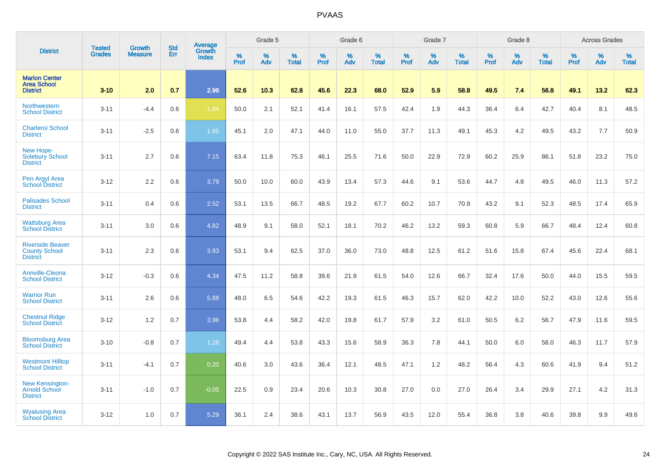|                                                                    | <b>Tested</b> | <b>Growth</b>  | <b>Std</b> | Average                |                  | Grade 5  |                   |                  | Grade 6  |                   |           | Grade 7  |                   |           | Grade 8  |                   |                  | <b>Across Grades</b> |                   |
|--------------------------------------------------------------------|---------------|----------------|------------|------------------------|------------------|----------|-------------------|------------------|----------|-------------------|-----------|----------|-------------------|-----------|----------|-------------------|------------------|----------------------|-------------------|
| <b>District</b>                                                    | <b>Grades</b> | <b>Measure</b> | Err        | Growth<br><b>Index</b> | %<br><b>Prof</b> | %<br>Adv | %<br><b>Total</b> | %<br><b>Prof</b> | %<br>Adv | %<br><b>Total</b> | %<br>Prof | %<br>Adv | %<br><b>Total</b> | %<br>Prof | %<br>Adv | %<br><b>Total</b> | %<br><b>Prof</b> | %<br>Adv             | %<br><b>Total</b> |
| <b>Marion Center</b><br><b>Area School</b><br><b>District</b>      | $3 - 10$      | 2.0            | 0.7        | 2.96                   | 52.6             | 10.3     | 62.8              | 45.6             | 22.3     | 68.0              | 52.9      | 5.9      | 58.8              | 49.5      | 7.4      | 56.8              | 49.1             | 13.2                 | 62.3              |
| <b>Northwestern</b><br><b>School District</b>                      | $3 - 11$      | $-4.4$         | 0.6        | $-1.84$                | 50.0             | 2.1      | 52.1              | 41.4             | 16.1     | 57.5              | 42.4      | 1.9      | 44.3              | 36.4      | 6.4      | 42.7              | 40.4             | 8.1                  | 48.5              |
| <b>Charleroi School</b><br><b>District</b>                         | $3 - 11$      | $-2.5$         | 0.6        | 1.65                   | 45.1             | 2.0      | 47.1              | 44.0             | 11.0     | 55.0              | 37.7      | 11.3     | 49.1              | 45.3      | 4.2      | 49.5              | 43.2             | 7.7                  | 50.9              |
| New Hope-<br>Solebury School<br><b>District</b>                    | $3 - 11$      | 2.7            | 0.6        | 7.15                   | 63.4             | 11.8     | 75.3              | 46.1             | 25.5     | 71.6              | 50.0      | 22.9     | 72.9              | 60.2      | 25.9     | 86.1              | 51.8             | 23.2                 | 75.0              |
| Pen Argyl Area<br><b>School District</b>                           | $3 - 12$      | 2.2            | 0.6        | 3.79                   | 50.0             | 10.0     | 60.0              | 43.9             | 13.4     | 57.3              | 44.6      | 9.1      | 53.6              | 44.7      | 4.8      | 49.5              | 46.0             | 11.3                 | 57.2              |
| <b>Palisades School</b><br><b>District</b>                         | $3 - 11$      | 0.4            | 0.6        | 2.52                   | 53.1             | 13.5     | 66.7              | 48.5             | 19.2     | 67.7              | 60.2      | 10.7     | 70.9              | 43.2      | 9.1      | 52.3              | 48.5             | 17.4                 | 65.9              |
| <b>Wattsburg Area</b><br><b>School District</b>                    | $3 - 11$      | 3.0            | 0.6        | 4.82                   | 48.9             | 9.1      | 58.0              | 52.1             | 18.1     | 70.2              | 46.2      | 13.2     | 59.3              | 60.8      | 5.9      | 66.7              | 48.4             | 12.4                 | 60.8              |
| <b>Riverside Beaver</b><br><b>County School</b><br><b>District</b> | $3 - 11$      | 2.3            | 0.6        | 3.93                   | 53.1             | 9.4      | 62.5              | 37.0             | 36.0     | 73.0              | 48.8      | 12.5     | 61.2              | 51.6      | 15.8     | 67.4              | 45.6             | 22.4                 | 68.1              |
| Annville-Cleona<br><b>School District</b>                          | $3 - 12$      | $-0.3$         | 0.6        | 4.34                   | 47.5             | 11.2     | 58.8              | 39.6             | 21.9     | 61.5              | 54.0      | 12.6     | 66.7              | 32.4      | 17.6     | 50.0              | 44.0             | 15.5                 | 59.5              |
| <b>Warrior Run</b><br><b>School District</b>                       | $3 - 11$      | 2.6            | 0.6        | 5.88                   | 48.0             | 6.5      | 54.6              | 42.2             | 19.3     | 61.5              | 46.3      | 15.7     | 62.0              | 42.2      | 10.0     | 52.2              | 43.0             | 12.6                 | 55.6              |
| <b>Chestnut Ridge</b><br><b>School District</b>                    | $3 - 12$      | 1.2            | 0.7        | 3.96                   | 53.8             | 4.4      | 58.2              | 42.0             | 19.8     | 61.7              | 57.9      | 3.2      | 61.0              | 50.5      | 6.2      | 56.7              | 47.9             | 11.6                 | 59.5              |
| <b>Bloomsburg Area</b><br><b>School District</b>                   | $3 - 10$      | $-0.8$         | 0.7        | 1.26                   | 49.4             | 4.4      | 53.8              | 43.3             | 15.6     | 58.9              | 36.3      | 7.8      | 44.1              | 50.0      | 6.0      | 56.0              | 46.3             | 11.7                 | 57.9              |
| <b>Westmont Hilltop</b><br><b>School District</b>                  | $3 - 11$      | $-4.1$         | 0.7        | 0.20                   | 40.6             | 3.0      | 43.6              | 36.4             | 12.1     | 48.5              | 47.1      | 1.2      | 48.2              | 56.4      | 4.3      | 60.6              | 41.9             | 9.4                  | 51.2              |
| <b>New Kensington-</b><br>Arnold School<br><b>District</b>         | $3 - 11$      | $-1.0$         | 0.7        | $-0.05$                | 22.5             | 0.9      | 23.4              | 20.6             | 10.3     | 30.8              | 27.0      | 0.0      | 27.0              | 26.4      | 3.4      | 29.9              | 27.1             | 4.2                  | 31.3              |
| <b>Wyalusing Area</b><br><b>School District</b>                    | $3 - 12$      | 1.0            | 0.7        | 5.29                   | 36.1             | 2.4      | 38.6              | 43.1             | 13.7     | 56.9              | 43.5      | 12.0     | 55.4              | 36.8      | 3.8      | 40.6              | 39.8             | 9.9                  | 49.6              |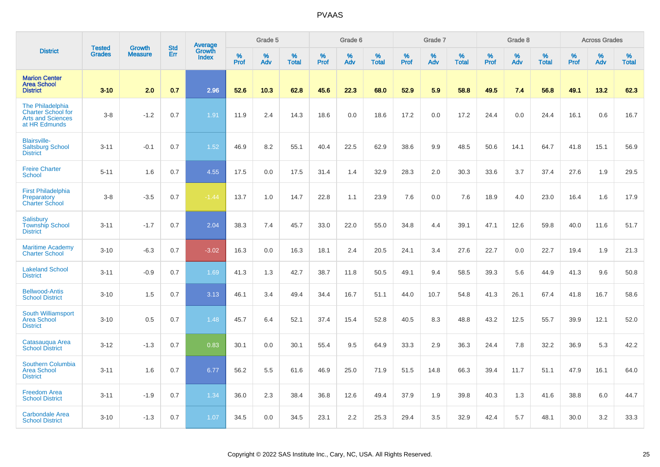|                                                                                            | <b>Tested</b> | <b>Growth</b>  | <b>Std</b> | <b>Average</b><br>Growth |                     | Grade 5     |                   |           | Grade 6  |                   |              | Grade 7  |                   |              | Grade 8  |                   |              | <b>Across Grades</b> |                   |
|--------------------------------------------------------------------------------------------|---------------|----------------|------------|--------------------------|---------------------|-------------|-------------------|-----------|----------|-------------------|--------------|----------|-------------------|--------------|----------|-------------------|--------------|----------------------|-------------------|
| <b>District</b>                                                                            | <b>Grades</b> | <b>Measure</b> | Err        | <b>Index</b>             | $\%$<br><b>Prof</b> | $\%$<br>Adv | %<br><b>Total</b> | %<br>Prof | %<br>Adv | %<br><b>Total</b> | $\%$<br>Prof | %<br>Adv | %<br><b>Total</b> | $\%$<br>Prof | %<br>Adv | %<br><b>Total</b> | $\%$<br>Prof | $\%$<br>Adv          | %<br><b>Total</b> |
| <b>Marion Center</b><br><b>Area School</b><br><b>District</b>                              | $3 - 10$      | 2.0            | 0.7        | 2.96                     | 52.6                | 10.3        | 62.8              | 45.6      | 22.3     | 68.0              | 52.9         | 5.9      | 58.8              | 49.5         | 7.4      | 56.8              | 49.1         | 13.2                 | 62.3              |
| The Philadelphia<br><b>Charter School for</b><br><b>Arts and Sciences</b><br>at HR Edmunds | $3 - 8$       | $-1.2$         | 0.7        | 1.91                     | 11.9                | 2.4         | 14.3              | 18.6      | 0.0      | 18.6              | 17.2         | 0.0      | 17.2              | 24.4         | 0.0      | 24.4              | 16.1         | 0.6                  | 16.7              |
| <b>Blairsville-</b><br><b>Saltsburg School</b><br><b>District</b>                          | $3 - 11$      | $-0.1$         | 0.7        | 1.52                     | 46.9                | 8.2         | 55.1              | 40.4      | 22.5     | 62.9              | 38.6         | 9.9      | 48.5              | 50.6         | 14.1     | 64.7              | 41.8         | 15.1                 | 56.9              |
| <b>Freire Charter</b><br><b>School</b>                                                     | $5 - 11$      | 1.6            | 0.7        | 4.55                     | 17.5                | 0.0         | 17.5              | 31.4      | 1.4      | 32.9              | 28.3         | 2.0      | 30.3              | 33.6         | 3.7      | 37.4              | 27.6         | 1.9                  | 29.5              |
| <b>First Philadelphia</b><br>Preparatory<br><b>Charter School</b>                          | $3 - 8$       | $-3.5$         | 0.7        | $-1.44$                  | 13.7                | 1.0         | 14.7              | 22.8      | 1.1      | 23.9              | 7.6          | 0.0      | 7.6               | 18.9         | 4.0      | 23.0              | 16.4         | 1.6                  | 17.9              |
| <b>Salisbury</b><br><b>Township School</b><br><b>District</b>                              | $3 - 11$      | $-1.7$         | 0.7        | 2.04                     | 38.3                | 7.4         | 45.7              | 33.0      | 22.0     | 55.0              | 34.8         | 4.4      | 39.1              | 47.1         | 12.6     | 59.8              | 40.0         | 11.6                 | 51.7              |
| <b>Maritime Academy</b><br><b>Charter School</b>                                           | $3 - 10$      | $-6.3$         | 0.7        | $-3.02$                  | 16.3                | 0.0         | 16.3              | 18.1      | 2.4      | 20.5              | 24.1         | 3.4      | 27.6              | 22.7         | 0.0      | 22.7              | 19.4         | 1.9                  | 21.3              |
| <b>Lakeland School</b><br><b>District</b>                                                  | $3 - 11$      | $-0.9$         | 0.7        | 1.69                     | 41.3                | 1.3         | 42.7              | 38.7      | 11.8     | 50.5              | 49.1         | 9.4      | 58.5              | 39.3         | 5.6      | 44.9              | 41.3         | 9.6                  | 50.8              |
| <b>Bellwood-Antis</b><br><b>School District</b>                                            | $3 - 10$      | 1.5            | 0.7        | 3.13                     | 46.1                | 3.4         | 49.4              | 34.4      | 16.7     | 51.1              | 44.0         | 10.7     | 54.8              | 41.3         | 26.1     | 67.4              | 41.8         | 16.7                 | 58.6              |
| <b>South Williamsport</b><br><b>Area School</b><br><b>District</b>                         | $3 - 10$      | 0.5            | 0.7        | 1.48                     | 45.7                | 6.4         | 52.1              | 37.4      | 15.4     | 52.8              | 40.5         | 8.3      | 48.8              | 43.2         | 12.5     | 55.7              | 39.9         | 12.1                 | 52.0              |
| Catasauqua Area<br><b>School District</b>                                                  | $3 - 12$      | $-1.3$         | 0.7        | 0.83                     | 30.1                | 0.0         | 30.1              | 55.4      | 9.5      | 64.9              | 33.3         | 2.9      | 36.3              | 24.4         | 7.8      | 32.2              | 36.9         | 5.3                  | 42.2              |
| Southern Columbia<br><b>Area School</b><br><b>District</b>                                 | $3 - 11$      | 1.6            | 0.7        | 6.77                     | 56.2                | 5.5         | 61.6              | 46.9      | 25.0     | 71.9              | 51.5         | 14.8     | 66.3              | 39.4         | 11.7     | 51.1              | 47.9         | 16.1                 | 64.0              |
| <b>Freedom Area</b><br><b>School District</b>                                              | $3 - 11$      | $-1.9$         | 0.7        | 1.34                     | 36.0                | 2.3         | 38.4              | 36.8      | 12.6     | 49.4              | 37.9         | 1.9      | 39.8              | 40.3         | 1.3      | 41.6              | 38.8         | 6.0                  | 44.7              |
| <b>Carbondale Area</b><br><b>School District</b>                                           | $3 - 10$      | $-1.3$         | 0.7        | 1.07                     | 34.5                | 0.0         | 34.5              | 23.1      | 2.2      | 25.3              | 29.4         | 3.5      | 32.9              | 42.4         | 5.7      | 48.1              | 30.0         | 3.2                  | 33.3              |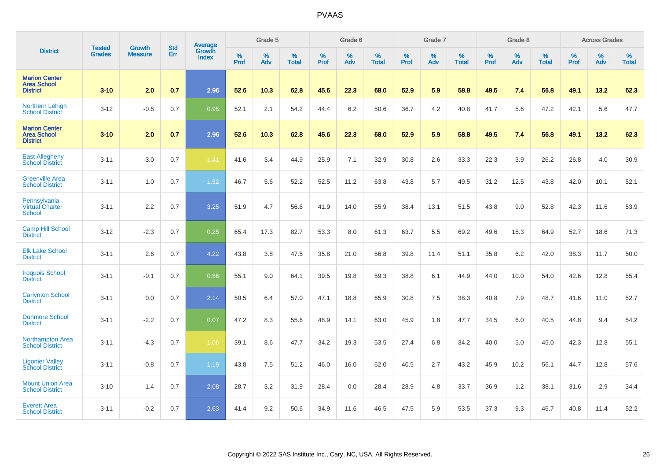|                                                               | <b>Tested</b> | <b>Growth</b>  | <b>Std</b> | Average                       |           | Grade 5  |                   |           | Grade 6  |                   |           | Grade 7  |                   |           | Grade 8  |                   |           | <b>Across Grades</b> |                   |
|---------------------------------------------------------------|---------------|----------------|------------|-------------------------------|-----------|----------|-------------------|-----------|----------|-------------------|-----------|----------|-------------------|-----------|----------|-------------------|-----------|----------------------|-------------------|
| <b>District</b>                                               | <b>Grades</b> | <b>Measure</b> | Err        | <b>Growth</b><br><b>Index</b> | %<br>Prof | %<br>Adv | %<br><b>Total</b> | %<br>Prof | %<br>Adv | %<br><b>Total</b> | %<br>Prof | %<br>Adv | %<br><b>Total</b> | %<br>Prof | %<br>Adv | %<br><b>Total</b> | %<br>Prof | %<br>Adv             | %<br><b>Total</b> |
| <b>Marion Center</b><br><b>Area School</b><br><b>District</b> | $3 - 10$      | 2.0            | 0.7        | 2.96                          | 52.6      | 10.3     | 62.8              | 45.6      | 22.3     | 68.0              | 52.9      | 5.9      | 58.8              | 49.5      | 7.4      | 56.8              | 49.1      | 13.2                 | 62.3              |
| <b>Northern Lehigh</b><br><b>School District</b>              | $3 - 12$      | $-0.6$         | 0.7        | 0.95                          | 52.1      | 2.1      | 54.2              | 44.4      | 6.2      | 50.6              | 36.7      | 4.2      | 40.8              | 41.7      | 5.6      | 47.2              | 42.1      | 5.6                  | 47.7              |
| <b>Marion Center</b><br><b>Area School</b><br><b>District</b> | $3 - 10$      | 2.0            | 0.7        | 2.96                          | 52.6      | 10.3     | 62.8              | 45.6      | 22.3     | 68.0              | 52.9      | 5.9      | 58.8              | 49.5      | 7.4      | 56.8              | 49.1      | 13.2                 | 62.3              |
| <b>East Allegheny</b><br><b>School District</b>               | $3 - 11$      | $-3.0$         | 0.7        | $-1.41$                       | 41.6      | 3.4      | 44.9              | 25.9      | 7.1      | 32.9              | 30.8      | 2.6      | 33.3              | 22.3      | 3.9      | 26.2              | 26.8      | 4.0                  | 30.9              |
| <b>Greenville Area</b><br><b>School District</b>              | $3 - 11$      | 1.0            | 0.7        | 1.92                          | 46.7      | 5.6      | 52.2              | 52.5      | 11.2     | 63.8              | 43.8      | 5.7      | 49.5              | 31.2      | 12.5     | 43.8              | 42.0      | 10.1                 | 52.1              |
| Pennsylvania<br><b>Virtual Charter</b><br><b>School</b>       | $3 - 11$      | 2.2            | 0.7        | 3.25                          | 51.9      | 4.7      | 56.6              | 41.9      | 14.0     | 55.9              | 38.4      | 13.1     | 51.5              | 43.8      | 9.0      | 52.8              | 42.3      | 11.6                 | 53.9              |
| <b>Camp Hill School</b><br><b>District</b>                    | $3 - 12$      | $-2.3$         | 0.7        | 0.25                          | 65.4      | 17.3     | 82.7              | 53.3      | 8.0      | 61.3              | 63.7      | 5.5      | 69.2              | 49.6      | 15.3     | 64.9              | 52.7      | 18.6                 | 71.3              |
| <b>Elk Lake School</b><br><b>District</b>                     | $3 - 11$      | 2.6            | 0.7        | 4.22                          | 43.8      | 3.8      | 47.5              | 35.8      | 21.0     | 56.8              | 39.8      | 11.4     | 51.1              | 35.8      | 6.2      | 42.0              | 38.3      | 11.7                 | 50.0              |
| <b>Iroquois School</b><br><b>District</b>                     | $3 - 11$      | $-0.1$         | 0.7        | 0.56                          | 55.1      | 9.0      | 64.1              | 39.5      | 19.8     | 59.3              | 38.8      | 6.1      | 44.9              | 44.0      | 10.0     | 54.0              | 42.6      | 12.8                 | 55.4              |
| <b>Carlynton School</b><br><b>District</b>                    | $3 - 11$      | 0.0            | 0.7        | 2.14                          | 50.5      | 6.4      | 57.0              | 47.1      | 18.8     | 65.9              | 30.8      | 7.5      | 38.3              | 40.8      | 7.9      | 48.7              | 41.6      | 11.0                 | 52.7              |
| <b>Dunmore School</b><br><b>District</b>                      | $3 - 11$      | $-2.2$         | 0.7        | 0.07                          | 47.2      | 8.3      | 55.6              | 48.9      | 14.1     | 63.0              | 45.9      | 1.8      | 47.7              | 34.5      | 6.0      | 40.5              | 44.8      | 9.4                  | 54.2              |
| <b>Northampton Area</b><br><b>School District</b>             | $3 - 11$      | $-4.3$         | 0.7        | $-1.06$                       | 39.1      | 8.6      | 47.7              | 34.2      | 19.3     | 53.5              | 27.4      | 6.8      | 34.2              | 40.0      | 5.0      | 45.0              | 42.3      | 12.8                 | 55.1              |
| <b>Ligonier Valley</b><br><b>School District</b>              | $3 - 11$      | $-0.8$         | 0.7        | 1.19                          | 43.8      | 7.5      | 51.2              | 46.0      | 16.0     | 62.0              | 40.5      | 2.7      | 43.2              | 45.9      | 10.2     | 56.1              | 44.7      | 12.8                 | 57.6              |
| <b>Mount Union Area</b><br><b>School District</b>             | $3 - 10$      | 1.4            | 0.7        | 2.08                          | 28.7      | 3.2      | 31.9              | 28.4      | 0.0      | 28.4              | 28.9      | 4.8      | 33.7              | 36.9      | 1.2      | 38.1              | 31.6      | 2.9                  | 34.4              |
| <b>Everett Area</b><br><b>School District</b>                 | $3 - 11$      | $-0.2$         | 0.7        | 2.63                          | 41.4      | 9.2      | 50.6              | 34.9      | 11.6     | 46.5              | 47.5      | 5.9      | 53.5              | 37.3      | 9.3      | 46.7              | 40.8      | 11.4                 | 52.2              |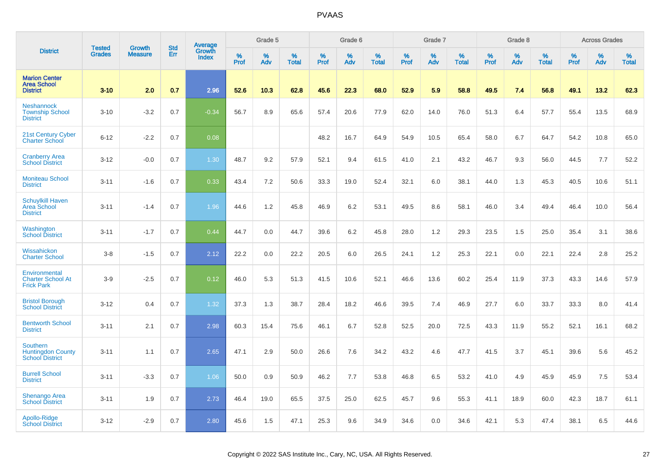|                                                                | <b>Tested</b> | <b>Growth</b>  | <b>Std</b> | <b>Average</b><br>Growth |              | Grade 5  |                   |           | Grade 6  |                   |           | Grade 7  |                   |                  | Grade 8  |                   |           | <b>Across Grades</b> |                   |
|----------------------------------------------------------------|---------------|----------------|------------|--------------------------|--------------|----------|-------------------|-----------|----------|-------------------|-----------|----------|-------------------|------------------|----------|-------------------|-----------|----------------------|-------------------|
| <b>District</b>                                                | <b>Grades</b> | <b>Measure</b> | Err        | <b>Index</b>             | $\%$<br>Prof | %<br>Adv | %<br><b>Total</b> | %<br>Prof | %<br>Adv | %<br><b>Total</b> | %<br>Prof | %<br>Adv | %<br><b>Total</b> | %<br><b>Prof</b> | %<br>Adv | %<br><b>Total</b> | %<br>Prof | %<br>Adv             | %<br><b>Total</b> |
| <b>Marion Center</b><br><b>Area School</b><br><b>District</b>  | $3 - 10$      | 2.0            | 0.7        | 2.96                     | 52.6         | 10.3     | 62.8              | 45.6      | 22.3     | 68.0              | 52.9      | 5.9      | 58.8              | 49.5             | 7.4      | 56.8              | 49.1      | 13.2                 | 62.3              |
| <b>Neshannock</b><br><b>Township School</b><br><b>District</b> | $3 - 10$      | $-3.2$         | 0.7        | $-0.34$                  | 56.7         | 8.9      | 65.6              | 57.4      | 20.6     | 77.9              | 62.0      | 14.0     | 76.0              | 51.3             | 6.4      | 57.7              | 55.4      | 13.5                 | 68.9              |
| 21st Century Cyber<br><b>Charter School</b>                    | $6 - 12$      | $-2.2$         | 0.7        | 0.08                     |              |          |                   | 48.2      | 16.7     | 64.9              | 54.9      | 10.5     | 65.4              | 58.0             | 6.7      | 64.7              | 54.2      | 10.8                 | 65.0              |
| <b>Cranberry Area</b><br><b>School District</b>                | $3 - 12$      | $-0.0$         | 0.7        | 1.30                     | 48.7         | 9.2      | 57.9              | 52.1      | 9.4      | 61.5              | 41.0      | 2.1      | 43.2              | 46.7             | 9.3      | 56.0              | 44.5      | 7.7                  | 52.2              |
| <b>Moniteau School</b><br><b>District</b>                      | $3 - 11$      | $-1.6$         | 0.7        | 0.33                     | 43.4         | 7.2      | 50.6              | 33.3      | 19.0     | 52.4              | 32.1      | 6.0      | 38.1              | 44.0             | 1.3      | 45.3              | 40.5      | 10.6                 | 51.1              |
| <b>Schuylkill Haven</b><br>Area School<br><b>District</b>      | $3 - 11$      | $-1.4$         | 0.7        | 1.96                     | 44.6         | 1.2      | 45.8              | 46.9      | 6.2      | 53.1              | 49.5      | 8.6      | 58.1              | 46.0             | 3.4      | 49.4              | 46.4      | 10.0                 | 56.4              |
| Washington<br><b>School District</b>                           | $3 - 11$      | $-1.7$         | 0.7        | 0.44                     | 44.7         | 0.0      | 44.7              | 39.6      | 6.2      | 45.8              | 28.0      | 1.2      | 29.3              | 23.5             | 1.5      | 25.0              | 35.4      | 3.1                  | 38.6              |
| Wissahickon<br><b>Charter School</b>                           | $3-8$         | $-1.5$         | 0.7        | 2.12                     | 22.2         | 0.0      | 22.2              | 20.5      | 6.0      | 26.5              | 24.1      | 1.2      | 25.3              | 22.1             | 0.0      | 22.1              | 22.4      | 2.8                  | 25.2              |
| Environmental<br><b>Charter School At</b><br><b>Frick Park</b> | $3-9$         | $-2.5$         | 0.7        | 0.12                     | 46.0         | 5.3      | 51.3              | 41.5      | 10.6     | 52.1              | 46.6      | 13.6     | 60.2              | 25.4             | 11.9     | 37.3              | 43.3      | 14.6                 | 57.9              |
| <b>Bristol Borough</b><br><b>School District</b>               | $3 - 12$      | 0.4            | 0.7        | 1.32                     | 37.3         | 1.3      | 38.7              | 28.4      | 18.2     | 46.6              | 39.5      | 7.4      | 46.9              | 27.7             | 6.0      | 33.7              | 33.3      | 8.0                  | 41.4              |
| <b>Bentworth School</b><br><b>District</b>                     | $3 - 11$      | 2.1            | 0.7        | 2.98                     | 60.3         | 15.4     | 75.6              | 46.1      | 6.7      | 52.8              | 52.5      | 20.0     | 72.5              | 43.3             | 11.9     | 55.2              | 52.1      | 16.1                 | 68.2              |
| Southern<br><b>Huntingdon County</b><br><b>School District</b> | $3 - 11$      | 1.1            | 0.7        | 2.65                     | 47.1         | 2.9      | 50.0              | 26.6      | 7.6      | 34.2              | 43.2      | 4.6      | 47.7              | 41.5             | 3.7      | 45.1              | 39.6      | 5.6                  | 45.2              |
| <b>Burrell School</b><br><b>District</b>                       | $3 - 11$      | $-3.3$         | 0.7        | 1.06                     | 50.0         | 0.9      | 50.9              | 46.2      | 7.7      | 53.8              | 46.8      | 6.5      | 53.2              | 41.0             | 4.9      | 45.9              | 45.9      | 7.5                  | 53.4              |
| Shenango Area<br><b>School District</b>                        | $3 - 11$      | 1.9            | 0.7        | 2.73                     | 46.4         | 19.0     | 65.5              | 37.5      | 25.0     | 62.5              | 45.7      | 9.6      | 55.3              | 41.1             | 18.9     | 60.0              | 42.3      | 18.7                 | 61.1              |
| Apollo-Ridge<br><b>School District</b>                         | $3 - 12$      | $-2.9$         | 0.7        | 2.80                     | 45.6         | 1.5      | 47.1              | 25.3      | 9.6      | 34.9              | 34.6      | 0.0      | 34.6              | 42.1             | 5.3      | 47.4              | 38.1      | 6.5                  | 44.6              |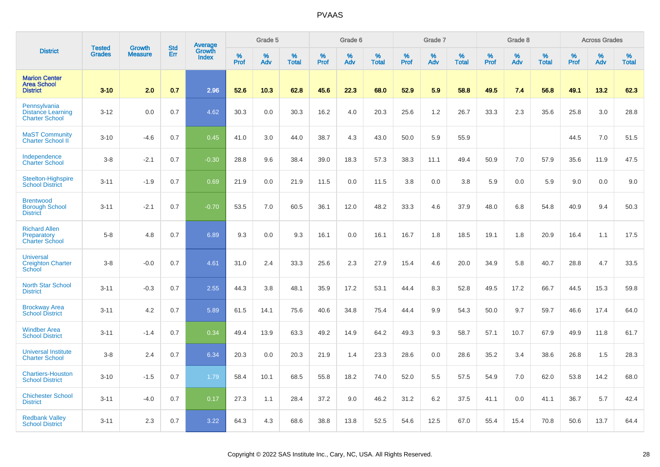|                                                                   | <b>Tested</b> | <b>Growth</b>  | <b>Std</b> | Average         |                  | Grade 5  |                   |           | Grade 6  |                   |           | Grade 7  |                   |           | Grade 8  |                   |                  | <b>Across Grades</b> |                   |
|-------------------------------------------------------------------|---------------|----------------|------------|-----------------|------------------|----------|-------------------|-----------|----------|-------------------|-----------|----------|-------------------|-----------|----------|-------------------|------------------|----------------------|-------------------|
| <b>District</b>                                                   | Grades        | <b>Measure</b> | Err        | Growth<br>Index | %<br><b>Prof</b> | %<br>Adv | %<br><b>Total</b> | %<br>Prof | %<br>Adv | %<br><b>Total</b> | %<br>Prof | %<br>Adv | %<br><b>Total</b> | %<br>Prof | %<br>Adv | %<br><b>Total</b> | %<br><b>Prof</b> | %<br>Adv             | %<br><b>Total</b> |
| <b>Marion Center</b><br><b>Area School</b><br><b>District</b>     | $3 - 10$      | 2.0            | 0.7        | 2.96            | 52.6             | 10.3     | 62.8              | 45.6      | 22.3     | 68.0              | 52.9      | 5.9      | 58.8              | 49.5      | 7.4      | 56.8              | 49.1             | 13.2                 | 62.3              |
| Pennsylvania<br><b>Distance Learning</b><br><b>Charter School</b> | $3 - 12$      | 0.0            | 0.7        | 4.62            | 30.3             | 0.0      | 30.3              | 16.2      | 4.0      | 20.3              | 25.6      | 1.2      | 26.7              | 33.3      | 2.3      | 35.6              | 25.8             | 3.0                  | 28.8              |
| <b>MaST Community</b><br><b>Charter School II</b>                 | $3 - 10$      | $-4.6$         | 0.7        | 0.45            | 41.0             | 3.0      | 44.0              | 38.7      | 4.3      | 43.0              | 50.0      | 5.9      | 55.9              |           |          |                   | 44.5             | 7.0                  | 51.5              |
| Independence<br><b>Charter School</b>                             | $3 - 8$       | $-2.1$         | 0.7        | $-0.30$         | 28.8             | 9.6      | 38.4              | 39.0      | 18.3     | 57.3              | 38.3      | 11.1     | 49.4              | 50.9      | 7.0      | 57.9              | 35.6             | 11.9                 | 47.5              |
| Steelton-Highspire<br><b>School District</b>                      | $3 - 11$      | $-1.9$         | 0.7        | 0.69            | 21.9             | 0.0      | 21.9              | 11.5      | 0.0      | 11.5              | 3.8       | 0.0      | 3.8               | 5.9       | 0.0      | 5.9               | 9.0              | 0.0                  | 9.0               |
| <b>Brentwood</b><br><b>Borough School</b><br><b>District</b>      | $3 - 11$      | $-2.1$         | 0.7        | $-0.70$         | 53.5             | 7.0      | 60.5              | 36.1      | 12.0     | 48.2              | 33.3      | 4.6      | 37.9              | 48.0      | 6.8      | 54.8              | 40.9             | 9.4                  | 50.3              |
| <b>Richard Allen</b><br>Preparatory<br><b>Charter School</b>      | $5 - 8$       | 4.8            | 0.7        | 6.89            | 9.3              | 0.0      | 9.3               | 16.1      | 0.0      | 16.1              | 16.7      | 1.8      | 18.5              | 19.1      | 1.8      | 20.9              | 16.4             | 1.1                  | 17.5              |
| <b>Universal</b><br><b>Creighton Charter</b><br>School            | $3 - 8$       | $-0.0$         | 0.7        | 4.61            | 31.0             | 2.4      | 33.3              | 25.6      | 2.3      | 27.9              | 15.4      | 4.6      | 20.0              | 34.9      | 5.8      | 40.7              | 28.8             | 4.7                  | 33.5              |
| <b>North Star School</b><br><b>District</b>                       | $3 - 11$      | $-0.3$         | 0.7        | 2.55            | 44.3             | 3.8      | 48.1              | 35.9      | 17.2     | 53.1              | 44.4      | 8.3      | 52.8              | 49.5      | 17.2     | 66.7              | 44.5             | 15.3                 | 59.8              |
| <b>Brockway Area</b><br><b>School District</b>                    | $3 - 11$      | 4.2            | 0.7        | 5.89            | 61.5             | 14.1     | 75.6              | 40.6      | 34.8     | 75.4              | 44.4      | 9.9      | 54.3              | 50.0      | 9.7      | 59.7              | 46.6             | 17.4                 | 64.0              |
| <b>Windber Area</b><br><b>School District</b>                     | $3 - 11$      | $-1.4$         | 0.7        | 0.34            | 49.4             | 13.9     | 63.3              | 49.2      | 14.9     | 64.2              | 49.3      | 9.3      | 58.7              | 57.1      | 10.7     | 67.9              | 49.9             | 11.8                 | 61.7              |
| <b>Universal Institute</b><br><b>Charter School</b>               | $3-8$         | 2.4            | 0.7        | 6.34            | 20.3             | 0.0      | 20.3              | 21.9      | 1.4      | 23.3              | 28.6      | 0.0      | 28.6              | 35.2      | 3.4      | 38.6              | 26.8             | 1.5                  | 28.3              |
| <b>Chartiers-Houston</b><br><b>School District</b>                | $3 - 10$      | $-1.5$         | 0.7        | 1.79            | 58.4             | 10.1     | 68.5              | 55.8      | 18.2     | 74.0              | 52.0      | 5.5      | 57.5              | 54.9      | 7.0      | 62.0              | 53.8             | 14.2                 | 68.0              |
| <b>Chichester School</b><br><b>District</b>                       | $3 - 11$      | $-4.0$         | 0.7        | 0.17            | 27.3             | 1.1      | 28.4              | 37.2      | 9.0      | 46.2              | 31.2      | 6.2      | 37.5              | 41.1      | 0.0      | 41.1              | 36.7             | 5.7                  | 42.4              |
| <b>Redbank Valley</b><br><b>School District</b>                   | $3 - 11$      | 2.3            | 0.7        | 3.22            | 64.3             | 4.3      | 68.6              | 38.8      | 13.8     | 52.5              | 54.6      | 12.5     | 67.0              | 55.4      | 15.4     | 70.8              | 50.6             | 13.7                 | 64.4              |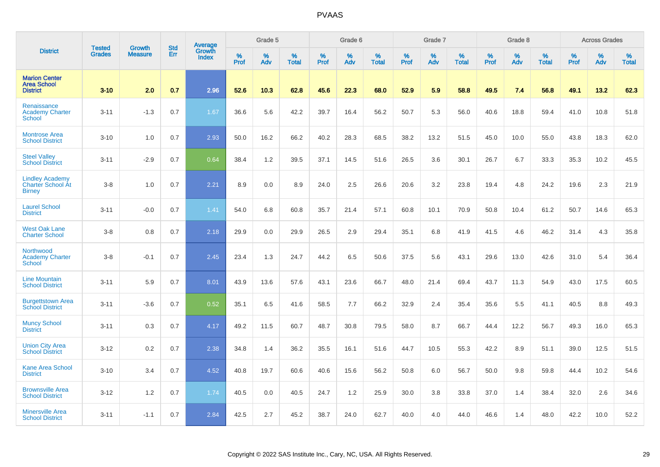|                                                                     |                                | <b>Growth</b>  | <b>Std</b> | Average         |              | Grade 5  |                   |           | Grade 6  |                   |           | Grade 7  |                   |           | Grade 8  |                   |           | <b>Across Grades</b> |                   |
|---------------------------------------------------------------------|--------------------------------|----------------|------------|-----------------|--------------|----------|-------------------|-----------|----------|-------------------|-----------|----------|-------------------|-----------|----------|-------------------|-----------|----------------------|-------------------|
| <b>District</b>                                                     | <b>Tested</b><br><b>Grades</b> | <b>Measure</b> | Err        | Growth<br>Index | $\%$<br>Prof | %<br>Adv | %<br><b>Total</b> | %<br>Prof | %<br>Adv | %<br><b>Total</b> | %<br>Prof | %<br>Adv | %<br><b>Total</b> | %<br>Prof | %<br>Adv | %<br><b>Total</b> | %<br>Prof | %<br>Adv             | %<br><b>Total</b> |
| <b>Marion Center</b><br><b>Area School</b><br><b>District</b>       | $3 - 10$                       | 2.0            | 0.7        | 2.96            | 52.6         | 10.3     | 62.8              | 45.6      | 22.3     | 68.0              | 52.9      | 5.9      | 58.8              | 49.5      | 7.4      | 56.8              | 49.1      | 13.2                 | 62.3              |
| Renaissance<br><b>Academy Charter</b><br><b>School</b>              | $3 - 11$                       | $-1.3$         | 0.7        | 1.67            | 36.6         | 5.6      | 42.2              | 39.7      | 16.4     | 56.2              | 50.7      | 5.3      | 56.0              | 40.6      | 18.8     | 59.4              | 41.0      | 10.8                 | 51.8              |
| <b>Montrose Area</b><br><b>School District</b>                      | $3 - 10$                       | 1.0            | 0.7        | 2.93            | 50.0         | 16.2     | 66.2              | 40.2      | 28.3     | 68.5              | 38.2      | 13.2     | 51.5              | 45.0      | 10.0     | 55.0              | 43.8      | 18.3                 | 62.0              |
| <b>Steel Valley</b><br><b>School District</b>                       | $3 - 11$                       | $-2.9$         | 0.7        | 0.64            | 38.4         | 1.2      | 39.5              | 37.1      | 14.5     | 51.6              | 26.5      | 3.6      | 30.1              | 26.7      | 6.7      | 33.3              | 35.3      | 10.2                 | 45.5              |
| <b>Lindley Academy</b><br><b>Charter School At</b><br><b>Birney</b> | $3-8$                          | 1.0            | 0.7        | 2.21            | 8.9          | 0.0      | 8.9               | 24.0      | 2.5      | 26.6              | 20.6      | 3.2      | 23.8              | 19.4      | 4.8      | 24.2              | 19.6      | 2.3                  | 21.9              |
| <b>Laurel School</b><br><b>District</b>                             | $3 - 11$                       | $-0.0$         | 0.7        | 1.41            | 54.0         | 6.8      | 60.8              | 35.7      | 21.4     | 57.1              | 60.8      | 10.1     | 70.9              | 50.8      | 10.4     | 61.2              | 50.7      | 14.6                 | 65.3              |
| <b>West Oak Lane</b><br><b>Charter School</b>                       | $3 - 8$                        | 0.8            | 0.7        | 2.18            | 29.9         | 0.0      | 29.9              | 26.5      | 2.9      | 29.4              | 35.1      | 6.8      | 41.9              | 41.5      | 4.6      | 46.2              | 31.4      | 4.3                  | 35.8              |
| Northwood<br><b>Academy Charter</b><br><b>School</b>                | $3-8$                          | $-0.1$         | 0.7        | 2.45            | 23.4         | 1.3      | 24.7              | 44.2      | 6.5      | 50.6              | 37.5      | 5.6      | 43.1              | 29.6      | 13.0     | 42.6              | 31.0      | 5.4                  | 36.4              |
| <b>Line Mountain</b><br><b>School District</b>                      | $3 - 11$                       | 5.9            | 0.7        | 8.01            | 43.9         | 13.6     | 57.6              | 43.1      | 23.6     | 66.7              | 48.0      | 21.4     | 69.4              | 43.7      | 11.3     | 54.9              | 43.0      | 17.5                 | 60.5              |
| <b>Burgettstown Area</b><br><b>School District</b>                  | $3 - 11$                       | $-3.6$         | 0.7        | 0.52            | 35.1         | 6.5      | 41.6              | 58.5      | 7.7      | 66.2              | 32.9      | 2.4      | 35.4              | 35.6      | 5.5      | 41.1              | 40.5      | 8.8                  | 49.3              |
| <b>Muncy School</b><br><b>District</b>                              | $3 - 11$                       | 0.3            | 0.7        | 4.17            | 49.2         | 11.5     | 60.7              | 48.7      | 30.8     | 79.5              | 58.0      | 8.7      | 66.7              | 44.4      | 12.2     | 56.7              | 49.3      | 16.0                 | 65.3              |
| <b>Union City Area</b><br><b>School District</b>                    | $3 - 12$                       | 0.2            | 0.7        | 2.38            | 34.8         | 1.4      | 36.2              | 35.5      | 16.1     | 51.6              | 44.7      | 10.5     | 55.3              | 42.2      | 8.9      | 51.1              | 39.0      | 12.5                 | 51.5              |
| <b>Kane Area School</b><br><b>District</b>                          | $3 - 10$                       | 3.4            | 0.7        | 4.52            | 40.8         | 19.7     | 60.6              | 40.6      | 15.6     | 56.2              | 50.8      | 6.0      | 56.7              | 50.0      | 9.8      | 59.8              | 44.4      | 10.2                 | 54.6              |
| <b>Brownsville Area</b><br><b>School District</b>                   | $3-12$                         | 1.2            | 0.7        | 1.74            | 40.5         | 0.0      | 40.5              | 24.7      | 1.2      | 25.9              | 30.0      | 3.8      | 33.8              | 37.0      | 1.4      | 38.4              | 32.0      | 2.6                  | 34.6              |
| <b>Minersville Area</b><br><b>School District</b>                   | $3 - 11$                       | $-1.1$         | 0.7        | 2.84            | 42.5         | 2.7      | 45.2              | 38.7      | 24.0     | 62.7              | 40.0      | 4.0      | 44.0              | 46.6      | 1.4      | 48.0              | 42.2      | 10.0                 | 52.2              |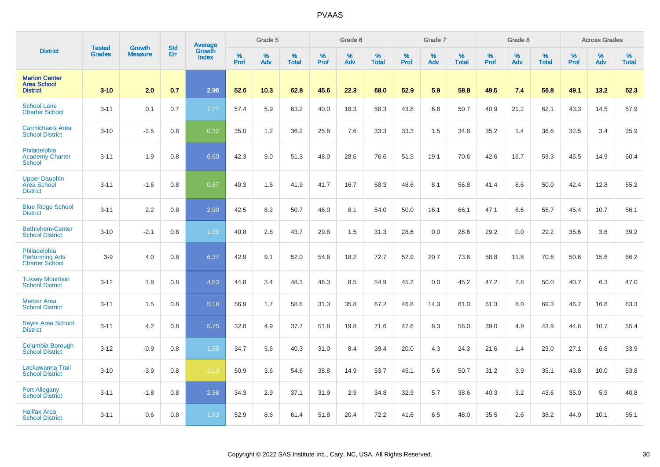|                                                                 |                                |                                 | <b>Std</b> | Average                |              | Grade 5  |                   |           | Grade 6  |                   |           | Grade 7  |                   |           | Grade 8  |                   |           | <b>Across Grades</b> |                   |
|-----------------------------------------------------------------|--------------------------------|---------------------------------|------------|------------------------|--------------|----------|-------------------|-----------|----------|-------------------|-----------|----------|-------------------|-----------|----------|-------------------|-----------|----------------------|-------------------|
| <b>District</b>                                                 | <b>Tested</b><br><b>Grades</b> | <b>Growth</b><br><b>Measure</b> | Err        | Growth<br><b>Index</b> | $\%$<br>Prof | %<br>Adv | %<br><b>Total</b> | %<br>Prof | %<br>Adv | %<br><b>Total</b> | %<br>Prof | %<br>Adv | %<br><b>Total</b> | %<br>Prof | %<br>Adv | %<br><b>Total</b> | %<br>Prof | %<br>Adv             | %<br><b>Total</b> |
| <b>Marion Center</b><br><b>Area School</b><br><b>District</b>   | $3 - 10$                       | 2.0                             | 0.7        | 2.96                   | 52.6         | 10.3     | 62.8              | 45.6      | 22.3     | 68.0              | 52.9      | 5.9      | 58.8              | 49.5      | 7.4      | 56.8              | 49.1      | 13.2                 | 62.3              |
| <b>School Lane</b><br><b>Charter School</b>                     | $3 - 11$                       | 0.1                             | 0.7        | 1.77                   | 57.4         | 5.9      | 63.2              | 40.0      | 18.3     | 58.3              | 43.8      | 6.8      | 50.7              | 40.9      | 21.2     | 62.1              | 43.3      | 14.5                 | 57.9              |
| <b>Carmichaels Area</b><br><b>School District</b>               | $3 - 10$                       | $-2.5$                          | 0.8        | 0.32                   | 35.0         | 1.2      | 36.2              | 25.8      | 7.6      | 33.3              | 33.3      | 1.5      | 34.8              | 35.2      | 1.4      | 36.6              | 32.5      | 3.4                  | 35.9              |
| Philadelphia<br><b>Academy Charter</b><br><b>School</b>         | $3 - 11$                       | 1.9                             | 0.8        | 6.60                   | 42.3         | 9.0      | 51.3              | 48.0      | 28.6     | 76.6              | 51.5      | 19.1     | 70.6              | 42.6      | 16.7     | 59.3              | 45.5      | 14.9                 | 60.4              |
| <b>Upper Dauphin</b><br>Area School<br><b>District</b>          | $3 - 11$                       | $-1.6$                          | 0.8        | 0.67                   | 40.3         | 1.6      | 41.9              | 41.7      | 16.7     | 58.3              | 48.6      | 8.1      | 56.8              | 41.4      | 8.6      | 50.0              | 42.4      | 12.8                 | 55.2              |
| <b>Blue Ridge School</b><br><b>District</b>                     | $3 - 11$                       | 2.2                             | 0.8        | 2.90                   | 42.5         | 8.2      | 50.7              | 46.0      | 8.1      | 54.0              | 50.0      | 16.1     | 66.1              | 47.1      | 8.6      | 55.7              | 45.4      | 10.7                 | 56.1              |
| <b>Bethlehem-Center</b><br><b>School District</b>               | $3 - 10$                       | $-2.1$                          | 0.8        | 1.31                   | 40.8         | 2.8      | 43.7              | 29.8      | 1.5      | 31.3              | 28.6      | 0.0      | 28.6              | 29.2      | 0.0      | 29.2              | 35.6      | 3.6                  | 39.2              |
| Philadelphia<br><b>Performing Arts</b><br><b>Charter School</b> | $3-9$                          | 4.0                             | 0.8        | 6.37                   | 42.9         | 9.1      | 52.0              | 54.6      | 18.2     | 72.7              | 52.9      | 20.7     | 73.6              | 58.8      | 11.8     | 70.6              | 50.6      | 15.6                 | 66.2              |
| <b>Tussey Mountain</b><br><b>School District</b>                | $3 - 12$                       | 1.8                             | 0.8        | 4.53                   | 44.8         | 3.4      | 48.3              | 46.3      | 8.5      | 54.9              | 45.2      | 0.0      | 45.2              | 47.2      | 2.8      | 50.0              | 40.7      | 6.3                  | 47.0              |
| <b>Mercer Area</b><br><b>School District</b>                    | $3 - 11$                       | 1.5                             | 0.8        | 5.18                   | 56.9         | 1.7      | 58.6              | 31.3      | 35.8     | 67.2              | 46.8      | 14.3     | 61.0              | 61.3      | 8.0      | 69.3              | 46.7      | 16.6                 | 63.3              |
| <b>Sayre Area School</b><br><b>District</b>                     | $3 - 11$                       | 4.2                             | 0.8        | 5.75                   | 32.8         | 4.9      | 37.7              | 51.8      | 19.8     | 71.6              | 47.6      | 8.3      | 56.0              | 39.0      | 4.9      | 43.9              | 44.6      | 10.7                 | 55.4              |
| <b>Columbia Borough</b><br><b>School District</b>               | $3 - 12$                       | $-0.9$                          | 0.8        | 1.58                   | 34.7         | 5.6      | 40.3              | 31.0      | 8.4      | 39.4              | 20.0      | 4.3      | 24.3              | 21.6      | 1.4      | 23.0              | 27.1      | 6.8                  | 33.9              |
| Lackawanna Trail<br><b>School District</b>                      | $3 - 10$                       | $-3.9$                          | 0.8        | $-1.13$                | 50.9         | 3.6      | 54.6              | 38.8      | 14.9     | 53.7              | 45.1      | 5.6      | 50.7              | 31.2      | 3.9      | 35.1              | 43.8      | 10.0                 | 53.8              |
| <b>Port Allegany</b><br><b>School District</b>                  | $3 - 11$                       | $-1.8$                          | 0.8        | 2.58                   | 34.3         | 2.9      | 37.1              | 31.9      | 2.9      | 34.8              | 32.9      | 5.7      | 38.6              | 40.3      | 3.2      | 43.6              | 35.0      | 5.9                  | 40.8              |
| <b>Halifax Area</b><br><b>School District</b>                   | $3 - 11$                       | 0.6                             | 0.8        | 1.63                   | 52.9         | 8.6      | 61.4              | 51.8      | 20.4     | 72.2              | 41.6      | 6.5      | 48.0              | 35.5      | 2.6      | 38.2              | 44.9      | 10.1                 | 55.1              |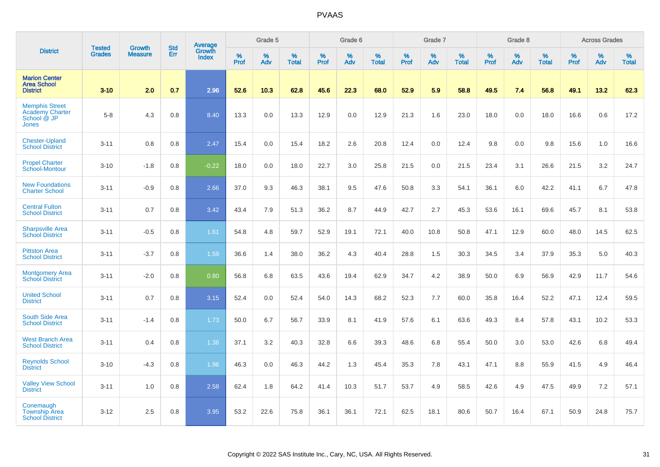|                                                                                |                                |                                 | <b>Std</b> | Average                |           | Grade 5  |                   |           | Grade 6  |                   |              | Grade 7  |                   |           | Grade 8  |                   |           | <b>Across Grades</b> |                   |
|--------------------------------------------------------------------------------|--------------------------------|---------------------------------|------------|------------------------|-----------|----------|-------------------|-----------|----------|-------------------|--------------|----------|-------------------|-----------|----------|-------------------|-----------|----------------------|-------------------|
| <b>District</b>                                                                | <b>Tested</b><br><b>Grades</b> | <b>Growth</b><br><b>Measure</b> | Err        | Growth<br><b>Index</b> | %<br>Prof | %<br>Adv | %<br><b>Total</b> | %<br>Prof | %<br>Adv | %<br><b>Total</b> | $\%$<br>Prof | %<br>Adv | %<br><b>Total</b> | %<br>Prof | %<br>Adv | %<br><b>Total</b> | %<br>Prof | %<br>Adv             | %<br><b>Total</b> |
| <b>Marion Center</b><br><b>Area School</b><br><b>District</b>                  | $3 - 10$                       | 2.0                             | 0.7        | 2.96                   | 52.6      | 10.3     | 62.8              | 45.6      | 22.3     | 68.0              | 52.9         | 5.9      | 58.8              | 49.5      | 7.4      | 56.8              | 49.1      | 13.2                 | 62.3              |
| <b>Memphis Street</b><br><b>Academy Charter</b><br>School @ JP<br><b>Jones</b> | $5-8$                          | 4.3                             | 0.8        | 8.40                   | 13.3      | 0.0      | 13.3              | 12.9      | 0.0      | 12.9              | 21.3         | 1.6      | 23.0              | 18.0      | 0.0      | 18.0              | 16.6      | 0.6                  | 17.2              |
| <b>Chester-Upland</b><br><b>School District</b>                                | $3 - 11$                       | 0.8                             | 0.8        | 2.47                   | 15.4      | 0.0      | 15.4              | 18.2      | 2.6      | 20.8              | 12.4         | 0.0      | 12.4              | 9.8       | 0.0      | 9.8               | 15.6      | 1.0                  | 16.6              |
| <b>Propel Charter</b><br><b>School-Montour</b>                                 | $3 - 10$                       | $-1.8$                          | 0.8        | $-0.22$                | 18.0      | 0.0      | 18.0              | 22.7      | 3.0      | 25.8              | 21.5         | 0.0      | 21.5              | 23.4      | 3.1      | 26.6              | 21.5      | 3.2                  | 24.7              |
| <b>New Foundations</b><br><b>Charter School</b>                                | $3 - 11$                       | $-0.9$                          | 0.8        | 2.66                   | 37.0      | 9.3      | 46.3              | 38.1      | 9.5      | 47.6              | 50.8         | 3.3      | 54.1              | 36.1      | 6.0      | 42.2              | 41.1      | 6.7                  | 47.8              |
| <b>Central Fulton</b><br><b>School District</b>                                | $3 - 11$                       | 0.7                             | 0.8        | 3.42                   | 43.4      | 7.9      | 51.3              | 36.2      | 8.7      | 44.9              | 42.7         | 2.7      | 45.3              | 53.6      | 16.1     | 69.6              | 45.7      | 8.1                  | 53.8              |
| <b>Sharpsville Area</b><br><b>School District</b>                              | $3 - 11$                       | $-0.5$                          | 0.8        | 1.61                   | 54.8      | 4.8      | 59.7              | 52.9      | 19.1     | 72.1              | 40.0         | 10.8     | 50.8              | 47.1      | 12.9     | 60.0              | 48.0      | 14.5                 | 62.5              |
| <b>Pittston Area</b><br><b>School District</b>                                 | $3 - 11$                       | $-3.7$                          | 0.8        | 1.59                   | 36.6      | 1.4      | 38.0              | 36.2      | 4.3      | 40.4              | 28.8         | 1.5      | 30.3              | 34.5      | 3.4      | 37.9              | 35.3      | 5.0                  | 40.3              |
| <b>Montgomery Area</b><br><b>School District</b>                               | $3 - 11$                       | $-2.0$                          | 0.8        | 0.80                   | 56.8      | 6.8      | 63.5              | 43.6      | 19.4     | 62.9              | 34.7         | 4.2      | 38.9              | 50.0      | 6.9      | 56.9              | 42.9      | 11.7                 | 54.6              |
| <b>United School</b><br><b>District</b>                                        | $3 - 11$                       | 0.7                             | 0.8        | 3.15                   | 52.4      | 0.0      | 52.4              | 54.0      | 14.3     | 68.2              | 52.3         | 7.7      | 60.0              | 35.8      | 16.4     | 52.2              | 47.1      | 12.4                 | 59.5              |
| South Side Area<br><b>School District</b>                                      | $3 - 11$                       | $-1.4$                          | 0.8        | 1.73                   | 50.0      | 6.7      | 56.7              | 33.9      | 8.1      | 41.9              | 57.6         | 6.1      | 63.6              | 49.3      | 8.4      | 57.8              | 43.1      | 10.2                 | 53.3              |
| <b>West Branch Area</b><br><b>School District</b>                              | $3 - 11$                       | 0.4                             | 0.8        | 1.36                   | 37.1      | 3.2      | 40.3              | 32.8      | 6.6      | 39.3              | 48.6         | 6.8      | 55.4              | 50.0      | 3.0      | 53.0              | 42.6      | 6.8                  | 49.4              |
| <b>Reynolds School</b><br><b>District</b>                                      | $3 - 10$                       | $-4.3$                          | 0.8        | 1.96                   | 46.3      | 0.0      | 46.3              | 44.2      | 1.3      | 45.4              | 35.3         | 7.8      | 43.1              | 47.1      | 8.8      | 55.9              | 41.5      | 4.9                  | 46.4              |
| <b>Valley View School</b><br><b>District</b>                                   | $3 - 11$                       | 1.0                             | 0.8        | 2.58                   | 62.4      | 1.8      | 64.2              | 41.4      | 10.3     | 51.7              | 53.7         | 4.9      | 58.5              | 42.6      | 4.9      | 47.5              | 49.9      | 7.2                  | 57.1              |
| Conemaugh<br><b>Township Area</b><br><b>School District</b>                    | $3-12$                         | 2.5                             | 0.8        | 3.95                   | 53.2      | 22.6     | 75.8              | 36.1      | 36.1     | 72.1              | 62.5         | 18.1     | 80.6              | 50.7      | 16.4     | 67.1              | 50.9      | 24.8                 | 75.7              |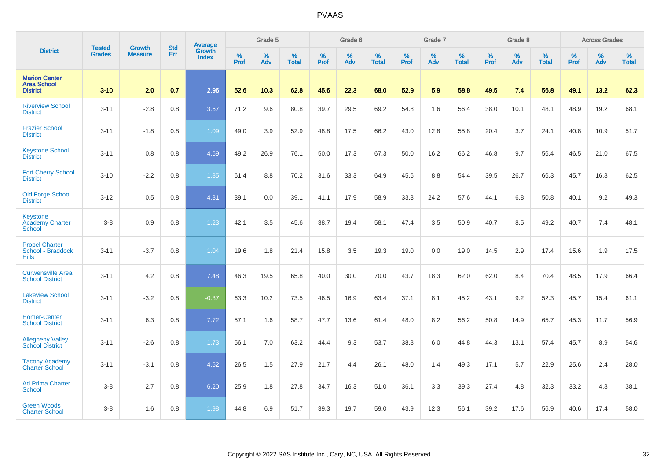|                                                               | <b>Tested</b> | <b>Growth</b>  | <b>Std</b> | Average                       |           | Grade 5  |                   |           | Grade 6  |                   |           | Grade 7  |                   |           | Grade 8  |                   |           | <b>Across Grades</b> |                   |
|---------------------------------------------------------------|---------------|----------------|------------|-------------------------------|-----------|----------|-------------------|-----------|----------|-------------------|-----------|----------|-------------------|-----------|----------|-------------------|-----------|----------------------|-------------------|
| <b>District</b>                                               | <b>Grades</b> | <b>Measure</b> | Err        | <b>Growth</b><br><b>Index</b> | %<br>Prof | %<br>Adv | %<br><b>Total</b> | %<br>Prof | %<br>Adv | %<br><b>Total</b> | %<br>Prof | %<br>Adv | %<br><b>Total</b> | %<br>Prof | %<br>Adv | %<br><b>Total</b> | %<br>Prof | %<br>Adv             | %<br><b>Total</b> |
| <b>Marion Center</b><br><b>Area School</b><br><b>District</b> | $3 - 10$      | 2.0            | 0.7        | 2.96                          | 52.6      | 10.3     | 62.8              | 45.6      | 22.3     | 68.0              | 52.9      | 5.9      | 58.8              | 49.5      | 7.4      | 56.8              | 49.1      | 13.2                 | 62.3              |
| <b>Riverview School</b><br><b>District</b>                    | $3 - 11$      | $-2.8$         | 0.8        | 3.67                          | 71.2      | 9.6      | 80.8              | 39.7      | 29.5     | 69.2              | 54.8      | 1.6      | 56.4              | 38.0      | 10.1     | 48.1              | 48.9      | 19.2                 | 68.1              |
| <b>Frazier School</b><br><b>District</b>                      | $3 - 11$      | $-1.8$         | 0.8        | 1.09                          | 49.0      | 3.9      | 52.9              | 48.8      | 17.5     | 66.2              | 43.0      | 12.8     | 55.8              | 20.4      | 3.7      | 24.1              | 40.8      | 10.9                 | 51.7              |
| <b>Keystone School</b><br><b>District</b>                     | $3 - 11$      | 0.8            | 0.8        | 4.69                          | 49.2      | 26.9     | 76.1              | 50.0      | 17.3     | 67.3              | 50.0      | 16.2     | 66.2              | 46.8      | 9.7      | 56.4              | 46.5      | 21.0                 | 67.5              |
| <b>Fort Cherry School</b><br><b>District</b>                  | $3 - 10$      | $-2.2$         | 0.8        | 1.85                          | 61.4      | 8.8      | 70.2              | 31.6      | 33.3     | 64.9              | 45.6      | 8.8      | 54.4              | 39.5      | 26.7     | 66.3              | 45.7      | 16.8                 | 62.5              |
| Old Forge School<br><b>District</b>                           | $3 - 12$      | 0.5            | 0.8        | 4.31                          | 39.1      | 0.0      | 39.1              | 41.1      | 17.9     | 58.9              | 33.3      | 24.2     | 57.6              | 44.1      | 6.8      | 50.8              | 40.1      | 9.2                  | 49.3              |
| <b>Keystone</b><br><b>Academy Charter</b><br>School           | $3 - 8$       | 0.9            | 0.8        | 1.23                          | 42.1      | 3.5      | 45.6              | 38.7      | 19.4     | 58.1              | 47.4      | 3.5      | 50.9              | 40.7      | 8.5      | 49.2              | 40.7      | 7.4                  | 48.1              |
| <b>Propel Charter</b><br>School - Braddock<br><b>Hills</b>    | $3 - 11$      | $-3.7$         | 0.8        | 1.04                          | 19.6      | 1.8      | 21.4              | 15.8      | 3.5      | 19.3              | 19.0      | 0.0      | 19.0              | 14.5      | 2.9      | 17.4              | 15.6      | 1.9                  | 17.5              |
| <b>Curwensville Area</b><br><b>School District</b>            | $3 - 11$      | 4.2            | 0.8        | 7.48                          | 46.3      | 19.5     | 65.8              | 40.0      | 30.0     | 70.0              | 43.7      | 18.3     | 62.0              | 62.0      | 8.4      | 70.4              | 48.5      | 17.9                 | 66.4              |
| <b>Lakeview School</b><br><b>District</b>                     | $3 - 11$      | $-3.2$         | 0.8        | $-0.37$                       | 63.3      | 10.2     | 73.5              | 46.5      | 16.9     | 63.4              | 37.1      | 8.1      | 45.2              | 43.1      | 9.2      | 52.3              | 45.7      | 15.4                 | 61.1              |
| <b>Homer-Center</b><br><b>School District</b>                 | $3 - 11$      | 6.3            | 0.8        | 7.72                          | 57.1      | 1.6      | 58.7              | 47.7      | 13.6     | 61.4              | 48.0      | 8.2      | 56.2              | 50.8      | 14.9     | 65.7              | 45.3      | 11.7                 | 56.9              |
| <b>Allegheny Valley</b><br><b>School District</b>             | $3 - 11$      | $-2.6$         | 0.8        | 1.73                          | 56.1      | 7.0      | 63.2              | 44.4      | 9.3      | 53.7              | 38.8      | 6.0      | 44.8              | 44.3      | 13.1     | 57.4              | 45.7      | 8.9                  | 54.6              |
| <b>Tacony Academy</b><br><b>Charter School</b>                | $3 - 11$      | $-3.1$         | 0.8        | 4.52                          | 26.5      | 1.5      | 27.9              | 21.7      | 4.4      | 26.1              | 48.0      | 1.4      | 49.3              | 17.1      | 5.7      | 22.9              | 25.6      | 2.4                  | 28.0              |
| <b>Ad Prima Charter</b><br><b>School</b>                      | $3 - 8$       | 2.7            | 0.8        | 6.20                          | 25.9      | 1.8      | 27.8              | 34.7      | 16.3     | 51.0              | 36.1      | 3.3      | 39.3              | 27.4      | 4.8      | 32.3              | 33.2      | 4.8                  | 38.1              |
| <b>Green Woods</b><br><b>Charter School</b>                   | $3 - 8$       | 1.6            | 0.8        | 1.98                          | 44.8      | 6.9      | 51.7              | 39.3      | 19.7     | 59.0              | 43.9      | 12.3     | 56.1              | 39.2      | 17.6     | 56.9              | 40.6      | 17.4                 | 58.0              |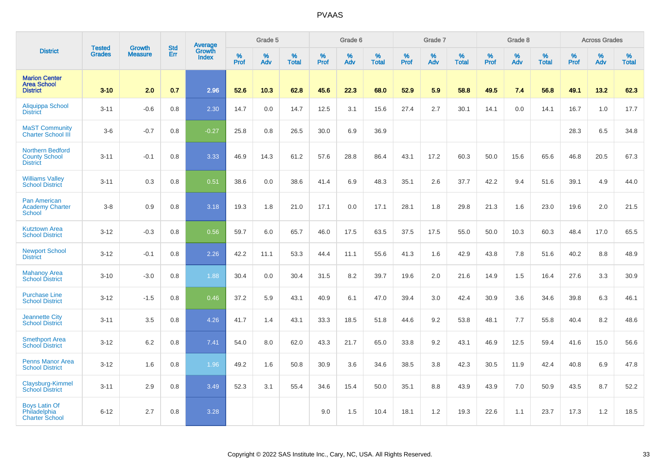|                                                                    |                                |                                 | <b>Std</b> | Average                       |           | Grade 5  |                   |           | Grade 6  |                   |           | Grade 7  |                   |           | Grade 8  |                   |           | <b>Across Grades</b> |                   |
|--------------------------------------------------------------------|--------------------------------|---------------------------------|------------|-------------------------------|-----------|----------|-------------------|-----------|----------|-------------------|-----------|----------|-------------------|-----------|----------|-------------------|-----------|----------------------|-------------------|
| <b>District</b>                                                    | <b>Tested</b><br><b>Grades</b> | <b>Growth</b><br><b>Measure</b> | Err        | <b>Growth</b><br><b>Index</b> | %<br>Prof | %<br>Adv | %<br><b>Total</b> | %<br>Prof | %<br>Adv | %<br><b>Total</b> | %<br>Prof | %<br>Adv | %<br><b>Total</b> | %<br>Prof | %<br>Adv | %<br><b>Total</b> | %<br>Prof | %<br>Adv             | %<br><b>Total</b> |
| <b>Marion Center</b><br><b>Area School</b><br><b>District</b>      | $3 - 10$                       | 2.0                             | 0.7        | 2.96                          | 52.6      | 10.3     | 62.8              | 45.6      | 22.3     | 68.0              | 52.9      | 5.9      | 58.8              | 49.5      | 7.4      | 56.8              | 49.1      | 13.2                 | 62.3              |
| <b>Aliquippa School</b><br><b>District</b>                         | $3 - 11$                       | $-0.6$                          | 0.8        | 2.30                          | 14.7      | 0.0      | 14.7              | 12.5      | 3.1      | 15.6              | 27.4      | 2.7      | 30.1              | 14.1      | 0.0      | 14.1              | 16.7      | 1.0                  | 17.7              |
| <b>MaST Community</b><br><b>Charter School III</b>                 | $3-6$                          | $-0.7$                          | 0.8        | $-0.27$                       | 25.8      | 0.8      | 26.5              | 30.0      | 6.9      | 36.9              |           |          |                   |           |          |                   | 28.3      | 6.5                  | 34.8              |
| <b>Northern Bedford</b><br><b>County School</b><br><b>District</b> | $3 - 11$                       | $-0.1$                          | 0.8        | 3.33                          | 46.9      | 14.3     | 61.2              | 57.6      | 28.8     | 86.4              | 43.1      | 17.2     | 60.3              | 50.0      | 15.6     | 65.6              | 46.8      | 20.5                 | 67.3              |
| <b>Williams Valley</b><br><b>School District</b>                   | $3 - 11$                       | 0.3                             | 0.8        | 0.51                          | 38.6      | 0.0      | 38.6              | 41.4      | 6.9      | 48.3              | 35.1      | 2.6      | 37.7              | 42.2      | 9.4      | 51.6              | 39.1      | 4.9                  | 44.0              |
| <b>Pan American</b><br><b>Academy Charter</b><br><b>School</b>     | $3-8$                          | 0.9                             | 0.8        | 3.18                          | 19.3      | 1.8      | 21.0              | 17.1      | 0.0      | 17.1              | 28.1      | 1.8      | 29.8              | 21.3      | 1.6      | 23.0              | 19.6      | 2.0                  | 21.5              |
| <b>Kutztown Area</b><br><b>School District</b>                     | $3 - 12$                       | $-0.3$                          | 0.8        | 0.56                          | 59.7      | 6.0      | 65.7              | 46.0      | 17.5     | 63.5              | 37.5      | 17.5     | 55.0              | 50.0      | 10.3     | 60.3              | 48.4      | 17.0                 | 65.5              |
| <b>Newport School</b><br><b>District</b>                           | $3 - 12$                       | $-0.1$                          | 0.8        | 2.26                          | 42.2      | 11.1     | 53.3              | 44.4      | 11.1     | 55.6              | 41.3      | 1.6      | 42.9              | 43.8      | 7.8      | 51.6              | 40.2      | 8.8                  | 48.9              |
| <b>Mahanoy Area</b><br><b>School District</b>                      | $3 - 10$                       | $-3.0$                          | 0.8        | 1.88                          | 30.4      | 0.0      | 30.4              | 31.5      | 8.2      | 39.7              | 19.6      | 2.0      | 21.6              | 14.9      | 1.5      | 16.4              | 27.6      | 3.3                  | 30.9              |
| <b>Purchase Line</b><br><b>School District</b>                     | $3 - 12$                       | $-1.5$                          | 0.8        | 0.46                          | 37.2      | 5.9      | 43.1              | 40.9      | 6.1      | 47.0              | 39.4      | 3.0      | 42.4              | 30.9      | 3.6      | 34.6              | 39.8      | 6.3                  | 46.1              |
| <b>Jeannette City</b><br><b>School District</b>                    | $3 - 11$                       | 3.5                             | 0.8        | 4.26                          | 41.7      | 1.4      | 43.1              | 33.3      | 18.5     | 51.8              | 44.6      | 9.2      | 53.8              | 48.1      | 7.7      | 55.8              | 40.4      | 8.2                  | 48.6              |
| <b>Smethport Area</b><br><b>School District</b>                    | $3 - 12$                       | 6.2                             | 0.8        | 7.41                          | 54.0      | 8.0      | 62.0              | 43.3      | 21.7     | 65.0              | 33.8      | 9.2      | 43.1              | 46.9      | 12.5     | 59.4              | 41.6      | 15.0                 | 56.6              |
| <b>Penns Manor Area</b><br><b>School District</b>                  | $3 - 12$                       | 1.6                             | 0.8        | 1.96                          | 49.2      | 1.6      | 50.8              | 30.9      | 3.6      | 34.6              | 38.5      | 3.8      | 42.3              | 30.5      | 11.9     | 42.4              | 40.8      | 6.9                  | 47.8              |
| Claysburg-Kimmel<br><b>School District</b>                         | $3 - 11$                       | 2.9                             | 0.8        | 3.49                          | 52.3      | 3.1      | 55.4              | 34.6      | 15.4     | 50.0              | 35.1      | 8.8      | 43.9              | 43.9      | 7.0      | 50.9              | 43.5      | 8.7                  | 52.2              |
| <b>Boys Latin Of</b><br>Philadelphia<br><b>Charter School</b>      | $6 - 12$                       | 2.7                             | 0.8        | 3.28                          |           |          |                   | 9.0       | 1.5      | 10.4              | 18.1      | 1.2      | 19.3              | 22.6      | 1.1      | 23.7              | 17.3      | 1.2                  | 18.5              |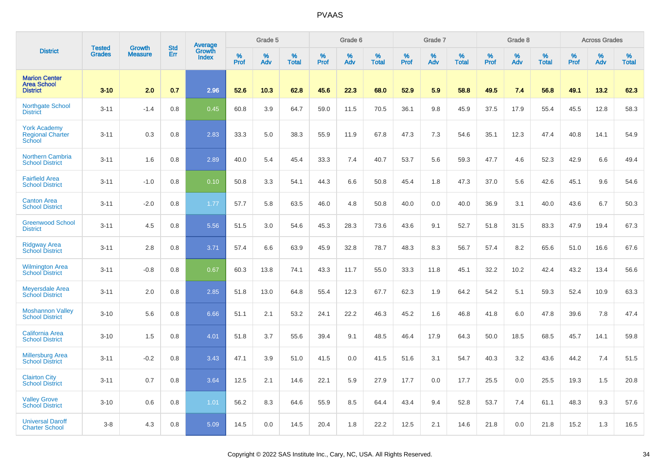|                                                               | <b>Tested</b> | <b>Growth</b>  | <b>Std</b> | Average                |           | Grade 5  |                   |           | Grade 6  |                   |           | Grade 7  |                   |           | Grade 8  |                   |           | <b>Across Grades</b> |                   |
|---------------------------------------------------------------|---------------|----------------|------------|------------------------|-----------|----------|-------------------|-----------|----------|-------------------|-----------|----------|-------------------|-----------|----------|-------------------|-----------|----------------------|-------------------|
| <b>District</b>                                               | <b>Grades</b> | <b>Measure</b> | Err        | Growth<br><b>Index</b> | %<br>Prof | %<br>Adv | %<br><b>Total</b> | %<br>Prof | %<br>Adv | %<br><b>Total</b> | %<br>Prof | %<br>Adv | %<br><b>Total</b> | %<br>Prof | %<br>Adv | %<br><b>Total</b> | %<br>Prof | %<br>Adv             | %<br><b>Total</b> |
| <b>Marion Center</b><br><b>Area School</b><br><b>District</b> | $3 - 10$      | 2.0            | 0.7        | 2.96                   | 52.6      | 10.3     | 62.8              | 45.6      | 22.3     | 68.0              | 52.9      | 5.9      | 58.8              | 49.5      | 7.4      | 56.8              | 49.1      | 13.2                 | 62.3              |
| <b>Northgate School</b><br><b>District</b>                    | $3 - 11$      | $-1.4$         | 0.8        | 0.45                   | 60.8      | 3.9      | 64.7              | 59.0      | 11.5     | 70.5              | 36.1      | 9.8      | 45.9              | 37.5      | 17.9     | 55.4              | 45.5      | 12.8                 | 58.3              |
| <b>York Academy</b><br><b>Regional Charter</b><br>School      | $3 - 11$      | 0.3            | 0.8        | 2.83                   | 33.3      | 5.0      | 38.3              | 55.9      | 11.9     | 67.8              | 47.3      | 7.3      | 54.6              | 35.1      | 12.3     | 47.4              | 40.8      | 14.1                 | 54.9              |
| <b>Northern Cambria</b><br><b>School District</b>             | $3 - 11$      | 1.6            | 0.8        | 2.89                   | 40.0      | 5.4      | 45.4              | 33.3      | 7.4      | 40.7              | 53.7      | 5.6      | 59.3              | 47.7      | 4.6      | 52.3              | 42.9      | 6.6                  | 49.4              |
| <b>Fairfield Area</b><br><b>School District</b>               | $3 - 11$      | $-1.0$         | 0.8        | 0.10                   | 50.8      | 3.3      | 54.1              | 44.3      | 6.6      | 50.8              | 45.4      | 1.8      | 47.3              | 37.0      | 5.6      | 42.6              | 45.1      | 9.6                  | 54.6              |
| <b>Canton Area</b><br><b>School District</b>                  | $3 - 11$      | $-2.0$         | 0.8        | 1.77                   | 57.7      | 5.8      | 63.5              | 46.0      | 4.8      | 50.8              | 40.0      | 0.0      | 40.0              | 36.9      | 3.1      | 40.0              | 43.6      | 6.7                  | 50.3              |
| <b>Greenwood School</b><br><b>District</b>                    | $3 - 11$      | 4.5            | 0.8        | 5.56                   | 51.5      | 3.0      | 54.6              | 45.3      | 28.3     | 73.6              | 43.6      | 9.1      | 52.7              | 51.8      | 31.5     | 83.3              | 47.9      | 19.4                 | 67.3              |
| <b>Ridgway Area</b><br><b>School District</b>                 | $3 - 11$      | 2.8            | 0.8        | 3.71                   | 57.4      | 6.6      | 63.9              | 45.9      | 32.8     | 78.7              | 48.3      | 8.3      | 56.7              | 57.4      | 8.2      | 65.6              | 51.0      | 16.6                 | 67.6              |
| <b>Wilmington Area</b><br><b>School District</b>              | $3 - 11$      | $-0.8$         | 0.8        | 0.67                   | 60.3      | 13.8     | 74.1              | 43.3      | 11.7     | 55.0              | 33.3      | 11.8     | 45.1              | 32.2      | 10.2     | 42.4              | 43.2      | 13.4                 | 56.6              |
| <b>Meyersdale Area</b><br><b>School District</b>              | $3 - 11$      | 2.0            | 0.8        | 2.85                   | 51.8      | 13.0     | 64.8              | 55.4      | 12.3     | 67.7              | 62.3      | 1.9      | 64.2              | 54.2      | 5.1      | 59.3              | 52.4      | 10.9                 | 63.3              |
| <b>Moshannon Valley</b><br><b>School District</b>             | $3 - 10$      | 5.6            | 0.8        | 6.66                   | 51.1      | 2.1      | 53.2              | 24.1      | 22.2     | 46.3              | 45.2      | 1.6      | 46.8              | 41.8      | 6.0      | 47.8              | 39.6      | 7.8                  | 47.4              |
| <b>California Area</b><br><b>School District</b>              | $3 - 10$      | 1.5            | 0.8        | 4.01                   | 51.8      | 3.7      | 55.6              | 39.4      | 9.1      | 48.5              | 46.4      | 17.9     | 64.3              | 50.0      | 18.5     | 68.5              | 45.7      | 14.1                 | 59.8              |
| <b>Millersburg Area</b><br><b>School District</b>             | $3 - 11$      | $-0.2$         | 0.8        | 3.43                   | 47.1      | 3.9      | 51.0              | 41.5      | 0.0      | 41.5              | 51.6      | 3.1      | 54.7              | 40.3      | 3.2      | 43.6              | 44.2      | 7.4                  | 51.5              |
| <b>Clairton City</b><br><b>School District</b>                | $3 - 11$      | 0.7            | 0.8        | 3.64                   | 12.5      | 2.1      | 14.6              | 22.1      | 5.9      | 27.9              | 17.7      | 0.0      | 17.7              | 25.5      | 0.0      | 25.5              | 19.3      | 1.5                  | 20.8              |
| <b>Valley Grove</b><br><b>School District</b>                 | $3 - 10$      | 0.6            | 0.8        | 1.01                   | 56.2      | 8.3      | 64.6              | 55.9      | 8.5      | 64.4              | 43.4      | 9.4      | 52.8              | 53.7      | 7.4      | 61.1              | 48.3      | 9.3                  | 57.6              |
| <b>Universal Daroff</b><br><b>Charter School</b>              | $3-8$         | 4.3            | 0.8        | 5.09                   | 14.5      | 0.0      | 14.5              | 20.4      | 1.8      | 22.2              | 12.5      | 2.1      | 14.6              | 21.8      | 0.0      | 21.8              | 15.2      | 1.3                  | 16.5              |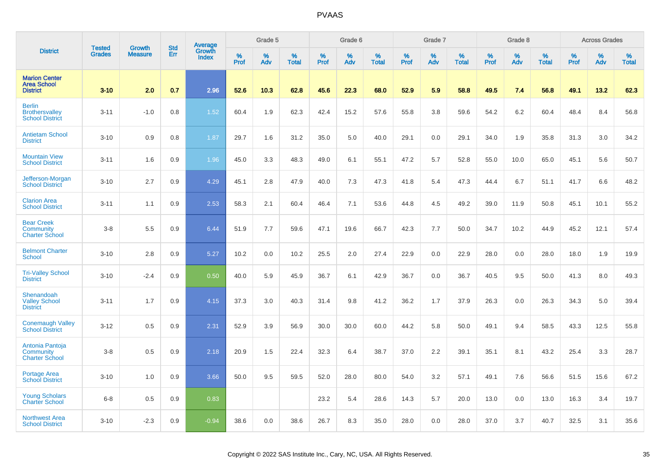|                                                                  | <b>Tested</b> | <b>Growth</b>  | <b>Std</b> |                                          |              | Grade 5  |                   |           | Grade 6  |                   |           | Grade 7  |                   |           | Grade 8  |                   |           | <b>Across Grades</b> |                   |
|------------------------------------------------------------------|---------------|----------------|------------|------------------------------------------|--------------|----------|-------------------|-----------|----------|-------------------|-----------|----------|-------------------|-----------|----------|-------------------|-----------|----------------------|-------------------|
| <b>District</b>                                                  | <b>Grades</b> | <b>Measure</b> | Err        | <b>Average</b><br>Growth<br><b>Index</b> | $\%$<br>Prof | %<br>Adv | %<br><b>Total</b> | %<br>Prof | %<br>Adv | %<br><b>Total</b> | %<br>Prof | %<br>Adv | %<br><b>Total</b> | %<br>Prof | %<br>Adv | %<br><b>Total</b> | %<br>Prof | %<br>Adv             | %<br><b>Total</b> |
| <b>Marion Center</b><br><b>Area School</b><br><b>District</b>    | $3 - 10$      | 2.0            | 0.7        | 2.96                                     | 52.6         | 10.3     | 62.8              | 45.6      | 22.3     | 68.0              | 52.9      | 5.9      | 58.8              | 49.5      | 7.4      | 56.8              | 49.1      | 13.2                 | 62.3              |
| <b>Berlin</b><br><b>Brothersvalley</b><br><b>School District</b> | $3 - 11$      | $-1.0$         | 0.8        | 1.52                                     | 60.4         | 1.9      | 62.3              | 42.4      | 15.2     | 57.6              | 55.8      | 3.8      | 59.6              | 54.2      | 6.2      | 60.4              | 48.4      | 8.4                  | 56.8              |
| <b>Antietam School</b><br><b>District</b>                        | $3 - 10$      | 0.9            | 0.8        | 1.87                                     | 29.7         | 1.6      | 31.2              | 35.0      | 5.0      | 40.0              | 29.1      | 0.0      | 29.1              | 34.0      | 1.9      | 35.8              | 31.3      | 3.0                  | 34.2              |
| <b>Mountain View</b><br><b>School District</b>                   | $3 - 11$      | 1.6            | 0.9        | 1.96                                     | 45.0         | 3.3      | 48.3              | 49.0      | 6.1      | 55.1              | 47.2      | 5.7      | 52.8              | 55.0      | 10.0     | 65.0              | 45.1      | 5.6                  | 50.7              |
| Jefferson-Morgan<br><b>School District</b>                       | $3 - 10$      | 2.7            | 0.9        | 4.29                                     | 45.1         | 2.8      | 47.9              | 40.0      | 7.3      | 47.3              | 41.8      | 5.4      | 47.3              | 44.4      | 6.7      | 51.1              | 41.7      | 6.6                  | 48.2              |
| <b>Clarion Area</b><br><b>School District</b>                    | $3 - 11$      | 1.1            | 0.9        | 2.53                                     | 58.3         | 2.1      | 60.4              | 46.4      | 7.1      | 53.6              | 44.8      | 4.5      | 49.2              | 39.0      | 11.9     | 50.8              | 45.1      | 10.1                 | 55.2              |
| <b>Bear Creek</b><br>Community<br><b>Charter School</b>          | $3-8$         | 5.5            | 0.9        | 6.44                                     | 51.9         | 7.7      | 59.6              | 47.1      | 19.6     | 66.7              | 42.3      | 7.7      | 50.0              | 34.7      | 10.2     | 44.9              | 45.2      | 12.1                 | 57.4              |
| <b>Belmont Charter</b><br><b>School</b>                          | $3 - 10$      | 2.8            | 0.9        | 5.27                                     | 10.2         | 0.0      | 10.2              | 25.5      | 2.0      | 27.4              | 22.9      | 0.0      | 22.9              | 28.0      | 0.0      | 28.0              | 18.0      | 1.9                  | 19.9              |
| <b>Tri-Valley School</b><br><b>District</b>                      | $3 - 10$      | $-2.4$         | 0.9        | 0.50                                     | 40.0         | 5.9      | 45.9              | 36.7      | 6.1      | 42.9              | 36.7      | 0.0      | 36.7              | 40.5      | 9.5      | 50.0              | 41.3      | 8.0                  | 49.3              |
| Shenandoah<br><b>Valley School</b><br><b>District</b>            | $3 - 11$      | 1.7            | 0.9        | 4.15                                     | 37.3         | 3.0      | 40.3              | 31.4      | 9.8      | 41.2              | 36.2      | 1.7      | 37.9              | 26.3      | 0.0      | 26.3              | 34.3      | 5.0                  | 39.4              |
| <b>Conemaugh Valley</b><br><b>School District</b>                | $3 - 12$      | 0.5            | 0.9        | 2.31                                     | 52.9         | 3.9      | 56.9              | 30.0      | 30.0     | 60.0              | 44.2      | 5.8      | 50.0              | 49.1      | 9.4      | 58.5              | 43.3      | 12.5                 | 55.8              |
| Antonia Pantoja<br>Community<br><b>Charter School</b>            | $3-8$         | 0.5            | 0.9        | 2.18                                     | 20.9         | 1.5      | 22.4              | 32.3      | 6.4      | 38.7              | 37.0      | 2.2      | 39.1              | 35.1      | 8.1      | 43.2              | 25.4      | 3.3                  | 28.7              |
| Portage Area<br><b>School District</b>                           | $3 - 10$      | 1.0            | 0.9        | 3.66                                     | 50.0         | 9.5      | 59.5              | 52.0      | 28.0     | 80.0              | 54.0      | 3.2      | 57.1              | 49.1      | 7.6      | 56.6              | 51.5      | 15.6                 | 67.2              |
| <b>Young Scholars</b><br><b>Charter School</b>                   | $6 - 8$       | 0.5            | 0.9        | 0.83                                     |              |          |                   | 23.2      | 5.4      | 28.6              | 14.3      | 5.7      | 20.0              | 13.0      | 0.0      | 13.0              | 16.3      | 3.4                  | 19.7              |
| <b>Northwest Area</b><br><b>School District</b>                  | $3 - 10$      | $-2.3$         | 0.9        | $-0.94$                                  | 38.6         | 0.0      | 38.6              | 26.7      | 8.3      | 35.0              | 28.0      | 0.0      | 28.0              | 37.0      | 3.7      | 40.7              | 32.5      | 3.1                  | 35.6              |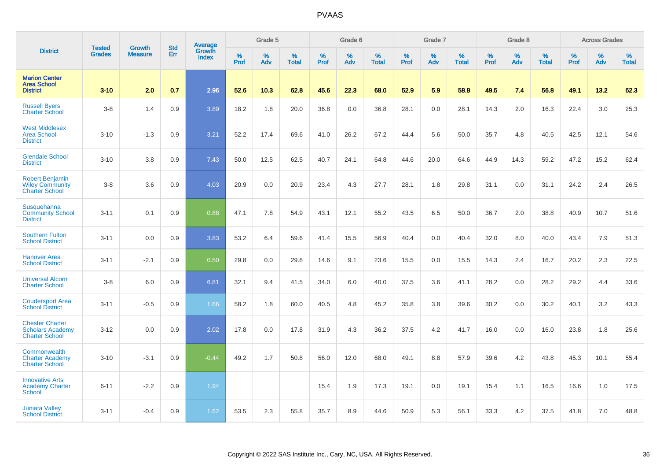|                                                                            |                                |                                 | <b>Std</b> | Average                |                  | Grade 5  |                   |           | Grade 6  |                   |           | Grade 7  |                   |           | Grade 8  |                   |           | <b>Across Grades</b> |                   |
|----------------------------------------------------------------------------|--------------------------------|---------------------------------|------------|------------------------|------------------|----------|-------------------|-----------|----------|-------------------|-----------|----------|-------------------|-----------|----------|-------------------|-----------|----------------------|-------------------|
| <b>District</b>                                                            | <b>Tested</b><br><b>Grades</b> | <b>Growth</b><br><b>Measure</b> | Err        | Growth<br><b>Index</b> | %<br><b>Prof</b> | %<br>Adv | %<br><b>Total</b> | %<br>Prof | %<br>Adv | %<br><b>Total</b> | %<br>Prof | %<br>Adv | %<br><b>Total</b> | %<br>Prof | %<br>Adv | %<br><b>Total</b> | %<br>Prof | %<br>Adv             | %<br><b>Total</b> |
| <b>Marion Center</b><br><b>Area School</b><br><b>District</b>              | $3 - 10$                       | 2.0                             | 0.7        | 2.96                   | 52.6             | 10.3     | 62.8              | 45.6      | 22.3     | 68.0              | 52.9      | 5.9      | 58.8              | 49.5      | 7.4      | 56.8              | 49.1      | 13.2                 | 62.3              |
| <b>Russell Byers</b><br><b>Charter School</b>                              | $3-8$                          | 1.4                             | 0.9        | 3.89                   | 18.2             | 1.8      | 20.0              | 36.8      | 0.0      | 36.8              | 28.1      | 0.0      | 28.1              | 14.3      | 2.0      | 16.3              | 22.4      | 3.0                  | 25.3              |
| <b>West Middlesex</b><br><b>Area School</b><br><b>District</b>             | $3 - 10$                       | $-1.3$                          | 0.9        | 3.21                   | 52.2             | 17.4     | 69.6              | 41.0      | 26.2     | 67.2              | 44.4      | 5.6      | 50.0              | 35.7      | 4.8      | 40.5              | 42.5      | 12.1                 | 54.6              |
| <b>Glendale School</b><br><b>District</b>                                  | $3 - 10$                       | 3.8                             | 0.9        | 7.43                   | 50.0             | 12.5     | 62.5              | 40.7      | 24.1     | 64.8              | 44.6      | 20.0     | 64.6              | 44.9      | 14.3     | 59.2              | 47.2      | 15.2                 | 62.4              |
| <b>Robert Benjamin</b><br><b>Wiley Community</b><br><b>Charter School</b>  | $3-8$                          | 3.6                             | 0.9        | 4.03                   | 20.9             | 0.0      | 20.9              | 23.4      | 4.3      | 27.7              | 28.1      | 1.8      | 29.8              | 31.1      | 0.0      | 31.1              | 24.2      | 2.4                  | 26.5              |
| Susquehanna<br><b>Community School</b><br><b>District</b>                  | $3 - 11$                       | 0.1                             | 0.9        | 0.88                   | 47.1             | 7.8      | 54.9              | 43.1      | 12.1     | 55.2              | 43.5      | 6.5      | 50.0              | 36.7      | 2.0      | 38.8              | 40.9      | 10.7                 | 51.6              |
| <b>Southern Fulton</b><br><b>School District</b>                           | $3 - 11$                       | 0.0                             | 0.9        | 3.83                   | 53.2             | 6.4      | 59.6              | 41.4      | 15.5     | 56.9              | 40.4      | 0.0      | 40.4              | 32.0      | 8.0      | 40.0              | 43.4      | 7.9                  | 51.3              |
| <b>Hanover Area</b><br><b>School District</b>                              | $3 - 11$                       | $-2.1$                          | 0.9        | 0.50                   | 29.8             | 0.0      | 29.8              | 14.6      | 9.1      | 23.6              | 15.5      | 0.0      | 15.5              | 14.3      | 2.4      | 16.7              | 20.2      | 2.3                  | 22.5              |
| <b>Universal Alcorn</b><br><b>Charter School</b>                           | $3-8$                          | 6.0                             | 0.9        | 6.81                   | 32.1             | 9.4      | 41.5              | 34.0      | 6.0      | 40.0              | 37.5      | 3.6      | 41.1              | 28.2      | 0.0      | 28.2              | 29.2      | 4.4                  | 33.6              |
| <b>Coudersport Area</b><br><b>School District</b>                          | $3 - 11$                       | $-0.5$                          | 0.9        | 1.66                   | 58.2             | 1.8      | 60.0              | 40.5      | 4.8      | 45.2              | 35.8      | 3.8      | 39.6              | 30.2      | 0.0      | 30.2              | 40.1      | 3.2                  | 43.3              |
| <b>Chester Charter</b><br><b>Scholars Academy</b><br><b>Charter School</b> | $3 - 12$                       | 0.0                             | 0.9        | 2.02                   | 17.8             | 0.0      | 17.8              | 31.9      | 4.3      | 36.2              | 37.5      | 4.2      | 41.7              | 16.0      | 0.0      | 16.0              | 23.8      | 1.8                  | 25.6              |
| Commonwealth<br><b>Charter Academy</b><br><b>Charter School</b>            | $3 - 10$                       | $-3.1$                          | 0.9        | $-0.44$                | 49.2             | 1.7      | 50.8              | 56.0      | 12.0     | 68.0              | 49.1      | 8.8      | 57.9              | 39.6      | 4.2      | 43.8              | 45.3      | 10.1                 | 55.4              |
| <b>Innovative Arts</b><br><b>Academy Charter</b><br>School                 | $6 - 11$                       | $-2.2$                          | 0.9        | 1.94                   |                  |          |                   | 15.4      | 1.9      | 17.3              | 19.1      | 0.0      | 19.1              | 15.4      | 1.1      | 16.5              | 16.6      | 1.0                  | 17.5              |
| <b>Juniata Valley</b><br><b>School District</b>                            | $3 - 11$                       | $-0.4$                          | 0.9        | 1.62                   | 53.5             | 2.3      | 55.8              | 35.7      | 8.9      | 44.6              | 50.9      | 5.3      | 56.1              | 33.3      | 4.2      | 37.5              | 41.8      | 7.0                  | 48.8              |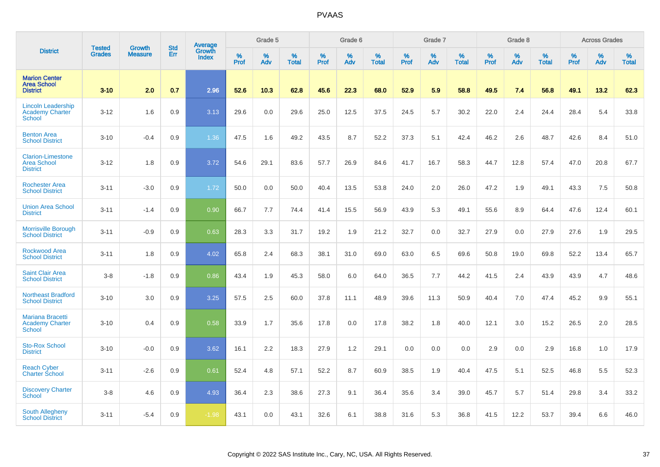|                                                                   | <b>Tested</b> | <b>Growth</b>  | <b>Std</b> | <b>Average</b><br>Growth |                     | Grade 5  |                   |           | Grade 6  |                   |           | Grade 7  |                   |           | Grade 8  |                   |                  | <b>Across Grades</b> |                   |
|-------------------------------------------------------------------|---------------|----------------|------------|--------------------------|---------------------|----------|-------------------|-----------|----------|-------------------|-----------|----------|-------------------|-----------|----------|-------------------|------------------|----------------------|-------------------|
| <b>District</b>                                                   | <b>Grades</b> | <b>Measure</b> | Err        | <b>Index</b>             | $\%$<br><b>Prof</b> | %<br>Adv | %<br><b>Total</b> | %<br>Prof | %<br>Adv | %<br><b>Total</b> | %<br>Prof | %<br>Adv | %<br><b>Total</b> | %<br>Prof | %<br>Adv | %<br><b>Total</b> | %<br><b>Prof</b> | %<br>Adv             | %<br><b>Total</b> |
| <b>Marion Center</b><br><b>Area School</b><br><b>District</b>     | $3 - 10$      | 2.0            | 0.7        | 2.96                     | 52.6                | 10.3     | 62.8              | 45.6      | 22.3     | 68.0              | 52.9      | 5.9      | 58.8              | 49.5      | 7.4      | 56.8              | 49.1             | 13.2                 | 62.3              |
| <b>Lincoln Leadership</b><br>Academy Charter<br><b>School</b>     | $3 - 12$      | 1.6            | 0.9        | 3.13                     | 29.6                | 0.0      | 29.6              | 25.0      | 12.5     | 37.5              | 24.5      | 5.7      | 30.2              | 22.0      | 2.4      | 24.4              | 28.4             | 5.4                  | 33.8              |
| <b>Benton Area</b><br><b>School District</b>                      | $3 - 10$      | $-0.4$         | 0.9        | 1.36                     | 47.5                | 1.6      | 49.2              | 43.5      | 8.7      | 52.2              | 37.3      | 5.1      | 42.4              | 46.2      | 2.6      | 48.7              | 42.6             | 8.4                  | 51.0              |
| <b>Clarion-Limestone</b><br><b>Area School</b><br><b>District</b> | $3 - 12$      | 1.8            | 0.9        | 3.72                     | 54.6                | 29.1     | 83.6              | 57.7      | 26.9     | 84.6              | 41.7      | 16.7     | 58.3              | 44.7      | 12.8     | 57.4              | 47.0             | 20.8                 | 67.7              |
| <b>Rochester Area</b><br><b>School District</b>                   | $3 - 11$      | $-3.0$         | 0.9        | 1.72                     | 50.0                | 0.0      | 50.0              | 40.4      | 13.5     | 53.8              | 24.0      | 2.0      | 26.0              | 47.2      | 1.9      | 49.1              | 43.3             | 7.5                  | 50.8              |
| <b>Union Area School</b><br><b>District</b>                       | $3 - 11$      | $-1.4$         | 0.9        | 0.90                     | 66.7                | 7.7      | 74.4              | 41.4      | 15.5     | 56.9              | 43.9      | 5.3      | 49.1              | 55.6      | 8.9      | 64.4              | 47.6             | 12.4                 | 60.1              |
| <b>Morrisville Borough</b><br><b>School District</b>              | $3 - 11$      | $-0.9$         | 0.9        | 0.63                     | 28.3                | 3.3      | 31.7              | 19.2      | 1.9      | 21.2              | 32.7      | 0.0      | 32.7              | 27.9      | 0.0      | 27.9              | 27.6             | 1.9                  | 29.5              |
| <b>Rockwood Area</b><br><b>School District</b>                    | $3 - 11$      | 1.8            | 0.9        | 4.02                     | 65.8                | 2.4      | 68.3              | 38.1      | 31.0     | 69.0              | 63.0      | 6.5      | 69.6              | 50.8      | 19.0     | 69.8              | 52.2             | 13.4                 | 65.7              |
| <b>Saint Clair Area</b><br><b>School District</b>                 | $3-8$         | $-1.8$         | 0.9        | 0.86                     | 43.4                | 1.9      | 45.3              | 58.0      | 6.0      | 64.0              | 36.5      | 7.7      | 44.2              | 41.5      | 2.4      | 43.9              | 43.9             | 4.7                  | 48.6              |
| <b>Northeast Bradford</b><br><b>School District</b>               | $3 - 10$      | 3.0            | 0.9        | 3.25                     | 57.5                | 2.5      | 60.0              | 37.8      | 11.1     | 48.9              | 39.6      | 11.3     | 50.9              | 40.4      | 7.0      | 47.4              | 45.2             | 9.9                  | 55.1              |
| Mariana Bracetti<br><b>Academy Charter</b><br><b>School</b>       | $3 - 10$      | 0.4            | 0.9        | 0.58                     | 33.9                | 1.7      | 35.6              | 17.8      | 0.0      | 17.8              | 38.2      | 1.8      | 40.0              | 12.1      | 3.0      | 15.2              | 26.5             | 2.0                  | 28.5              |
| <b>Sto-Rox School</b><br><b>District</b>                          | $3 - 10$      | $-0.0$         | 0.9        | 3.62                     | 16.1                | 2.2      | 18.3              | 27.9      | 1.2      | 29.1              | 0.0       | 0.0      | 0.0               | 2.9       | 0.0      | 2.9               | 16.8             | 1.0                  | 17.9              |
| <b>Reach Cyber</b><br><b>Charter School</b>                       | $3 - 11$      | $-2.6$         | 0.9        | 0.61                     | 52.4                | 4.8      | 57.1              | 52.2      | 8.7      | 60.9              | 38.5      | 1.9      | 40.4              | 47.5      | 5.1      | 52.5              | 46.8             | 5.5                  | 52.3              |
| <b>Discovery Charter</b><br><b>School</b>                         | $3-8$         | 4.6            | 0.9        | 4.93                     | 36.4                | 2.3      | 38.6              | 27.3      | 9.1      | 36.4              | 35.6      | 3.4      | 39.0              | 45.7      | 5.7      | 51.4              | 29.8             | 3.4                  | 33.2              |
| <b>South Allegheny</b><br><b>School District</b>                  | $3 - 11$      | $-5.4$         | 0.9        | $-1.98$                  | 43.1                | 0.0      | 43.1              | 32.6      | 6.1      | 38.8              | 31.6      | 5.3      | 36.8              | 41.5      | 12.2     | 53.7              | 39.4             | 6.6                  | 46.0              |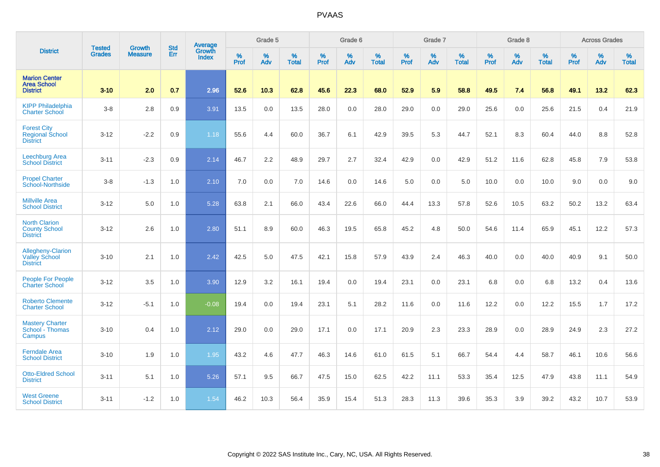|                                                                 | <b>Tested</b> | <b>Growth</b>  | <b>Std</b> | Average                |                     | Grade 5  |                   |                     | Grade 6  |                   |                     | Grade 7  |                   |                     | Grade 8     |                   |                     | <b>Across Grades</b> |                   |
|-----------------------------------------------------------------|---------------|----------------|------------|------------------------|---------------------|----------|-------------------|---------------------|----------|-------------------|---------------------|----------|-------------------|---------------------|-------------|-------------------|---------------------|----------------------|-------------------|
| <b>District</b>                                                 | <b>Grades</b> | <b>Measure</b> | Err        | Growth<br><b>Index</b> | $\%$<br><b>Prof</b> | %<br>Adv | %<br><b>Total</b> | $\%$<br><b>Prof</b> | %<br>Adv | %<br><b>Total</b> | $\%$<br><b>Prof</b> | %<br>Adv | %<br><b>Total</b> | $\%$<br><b>Prof</b> | $\%$<br>Adv | %<br><b>Total</b> | $\%$<br><b>Prof</b> | %<br>Adv             | %<br><b>Total</b> |
| <b>Marion Center</b><br><b>Area School</b><br><b>District</b>   | $3 - 10$      | 2.0            | 0.7        | 2.96                   | 52.6                | 10.3     | 62.8              | 45.6                | 22.3     | 68.0              | 52.9                | 5.9      | 58.8              | 49.5                | 7.4         | 56.8              | 49.1                | 13.2                 | 62.3              |
| <b>KIPP Philadelphia</b><br><b>Charter School</b>               | $3-8$         | 2.8            | 0.9        | 3.91                   | 13.5                | 0.0      | 13.5              | 28.0                | 0.0      | 28.0              | 29.0                | 0.0      | 29.0              | 25.6                | 0.0         | 25.6              | 21.5                | 0.4                  | 21.9              |
| <b>Forest City</b><br><b>Regional School</b><br><b>District</b> | $3 - 12$      | $-2.2$         | 0.9        | 1.18                   | 55.6                | 4.4      | 60.0              | 36.7                | 6.1      | 42.9              | 39.5                | 5.3      | 44.7              | 52.1                | 8.3         | 60.4              | 44.0                | 8.8                  | 52.8              |
| Leechburg Area<br><b>School District</b>                        | $3 - 11$      | $-2.3$         | 0.9        | 2.14                   | 46.7                | 2.2      | 48.9              | 29.7                | 2.7      | 32.4              | 42.9                | 0.0      | 42.9              | 51.2                | 11.6        | 62.8              | 45.8                | 7.9                  | 53.8              |
| <b>Propel Charter</b><br>School-Northside                       | $3 - 8$       | $-1.3$         | 1.0        | 2.10                   | 7.0                 | 0.0      | 7.0               | 14.6                | 0.0      | 14.6              | 5.0                 | 0.0      | 5.0               | 10.0                | 0.0         | 10.0              | 9.0                 | 0.0                  | 9.0               |
| <b>Millville Area</b><br><b>School District</b>                 | $3 - 12$      | 5.0            | 1.0        | 5.28                   | 63.8                | 2.1      | 66.0              | 43.4                | 22.6     | 66.0              | 44.4                | 13.3     | 57.8              | 52.6                | 10.5        | 63.2              | 50.2                | 13.2                 | 63.4              |
| <b>North Clarion</b><br><b>County School</b><br><b>District</b> | $3-12$        | 2.6            | 1.0        | 2.80                   | 51.1                | 8.9      | 60.0              | 46.3                | 19.5     | 65.8              | 45.2                | 4.8      | 50.0              | 54.6                | 11.4        | 65.9              | 45.1                | 12.2                 | 57.3              |
| Allegheny-Clarion<br><b>Valley School</b><br><b>District</b>    | $3 - 10$      | 2.1            | 1.0        | 2.42                   | 42.5                | 5.0      | 47.5              | 42.1                | 15.8     | 57.9              | 43.9                | 2.4      | 46.3              | 40.0                | 0.0         | 40.0              | 40.9                | 9.1                  | 50.0              |
| <b>People For People</b><br><b>Charter School</b>               | $3 - 12$      | 3.5            | 1.0        | 3.90                   | 12.9                | 3.2      | 16.1              | 19.4                | 0.0      | 19.4              | 23.1                | 0.0      | 23.1              | 6.8                 | 0.0         | 6.8               | 13.2                | 0.4                  | 13.6              |
| <b>Roberto Clemente</b><br><b>Charter School</b>                | $3 - 12$      | $-5.1$         | 1.0        | $-0.08$                | 19.4                | 0.0      | 19.4              | 23.1                | 5.1      | 28.2              | 11.6                | 0.0      | 11.6              | 12.2                | 0.0         | 12.2              | 15.5                | 1.7                  | 17.2              |
| <b>Mastery Charter</b><br>School - Thomas<br>Campus             | $3 - 10$      | 0.4            | 1.0        | 2.12                   | 29.0                | 0.0      | 29.0              | 17.1                | 0.0      | 17.1              | 20.9                | 2.3      | 23.3              | 28.9                | 0.0         | 28.9              | 24.9                | 2.3                  | 27.2              |
| <b>Ferndale Area</b><br><b>School District</b>                  | $3 - 10$      | 1.9            | 1.0        | 1.95                   | 43.2                | 4.6      | 47.7              | 46.3                | 14.6     | 61.0              | 61.5                | 5.1      | 66.7              | 54.4                | 4.4         | 58.7              | 46.1                | 10.6                 | 56.6              |
| <b>Otto-Eldred School</b><br><b>District</b>                    | $3 - 11$      | 5.1            | 1.0        | 5.26                   | 57.1                | 9.5      | 66.7              | 47.5                | 15.0     | 62.5              | 42.2                | 11.1     | 53.3              | 35.4                | 12.5        | 47.9              | 43.8                | 11.1                 | 54.9              |
| <b>West Greene</b><br><b>School District</b>                    | $3 - 11$      | $-1.2$         | 1.0        | 1.54                   | 46.2                | 10.3     | 56.4              | 35.9                | 15.4     | 51.3              | 28.3                | 11.3     | 39.6              | 35.3                | 3.9         | 39.2              | 43.2                | 10.7                 | 53.9              |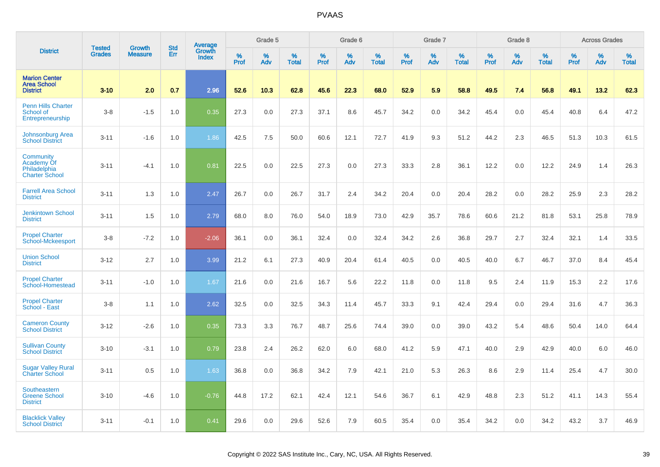|                                                                  | <b>Tested</b> | <b>Growth</b>  | <b>Std</b> |                                          |              | Grade 5  |                   |           | Grade 6  |                   |           | Grade 7  |                   |           | Grade 8  |                   |           | <b>Across Grades</b> |                   |
|------------------------------------------------------------------|---------------|----------------|------------|------------------------------------------|--------------|----------|-------------------|-----------|----------|-------------------|-----------|----------|-------------------|-----------|----------|-------------------|-----------|----------------------|-------------------|
| <b>District</b>                                                  | <b>Grades</b> | <b>Measure</b> | Err        | <b>Average</b><br>Growth<br><b>Index</b> | $\%$<br>Prof | %<br>Adv | %<br><b>Total</b> | %<br>Prof | %<br>Adv | %<br><b>Total</b> | %<br>Prof | %<br>Adv | %<br><b>Total</b> | %<br>Prof | %<br>Adv | %<br><b>Total</b> | %<br>Prof | %<br>Adv             | %<br><b>Total</b> |
| <b>Marion Center</b><br><b>Area School</b><br><b>District</b>    | $3 - 10$      | 2.0            | 0.7        | 2.96                                     | 52.6         | 10.3     | 62.8              | 45.6      | 22.3     | 68.0              | 52.9      | 5.9      | 58.8              | 49.5      | 7.4      | 56.8              | 49.1      | 13.2                 | 62.3              |
| <b>Penn Hills Charter</b><br>School of<br>Entrepreneurship       | $3-8$         | $-1.5$         | 1.0        | 0.35                                     | 27.3         | 0.0      | 27.3              | 37.1      | 8.6      | 45.7              | 34.2      | 0.0      | 34.2              | 45.4      | 0.0      | 45.4              | 40.8      | 6.4                  | 47.2              |
| Johnsonburg Area<br><b>School District</b>                       | $3 - 11$      | $-1.6$         | 1.0        | 1.86                                     | 42.5         | 7.5      | 50.0              | 60.6      | 12.1     | 72.7              | 41.9      | 9.3      | 51.2              | 44.2      | 2.3      | 46.5              | 51.3      | 10.3                 | 61.5              |
| Community<br>Academy Of<br>Philadelphia<br><b>Charter School</b> | $3 - 11$      | $-4.1$         | 1.0        | 0.81                                     | 22.5         | 0.0      | 22.5              | 27.3      | 0.0      | 27.3              | 33.3      | 2.8      | 36.1              | 12.2      | 0.0      | 12.2              | 24.9      | 1.4                  | 26.3              |
| <b>Farrell Area School</b><br><b>District</b>                    | $3 - 11$      | 1.3            | 1.0        | 2.47                                     | 26.7         | 0.0      | 26.7              | 31.7      | 2.4      | 34.2              | 20.4      | 0.0      | 20.4              | 28.2      | 0.0      | 28.2              | 25.9      | 2.3                  | 28.2              |
| <b>Jenkintown School</b><br><b>District</b>                      | $3 - 11$      | 1.5            | 1.0        | 2.79                                     | 68.0         | 8.0      | 76.0              | 54.0      | 18.9     | 73.0              | 42.9      | 35.7     | 78.6              | 60.6      | 21.2     | 81.8              | 53.1      | 25.8                 | 78.9              |
| <b>Propel Charter</b><br>School-Mckeesport                       | $3-8$         | $-7.2$         | 1.0        | $-2.06$                                  | 36.1         | 0.0      | 36.1              | 32.4      | 0.0      | 32.4              | 34.2      | 2.6      | 36.8              | 29.7      | 2.7      | 32.4              | 32.1      | 1.4                  | 33.5              |
| <b>Union School</b><br><b>District</b>                           | $3 - 12$      | 2.7            | 1.0        | 3.99                                     | 21.2         | 6.1      | 27.3              | 40.9      | 20.4     | 61.4              | 40.5      | 0.0      | 40.5              | 40.0      | 6.7      | 46.7              | 37.0      | 8.4                  | 45.4              |
| <b>Propel Charter</b><br>School-Homestead                        | $3 - 11$      | $-1.0$         | 1.0        | 1.67                                     | 21.6         | 0.0      | 21.6              | 16.7      | 5.6      | 22.2              | 11.8      | 0.0      | 11.8              | 9.5       | 2.4      | 11.9              | 15.3      | 2.2                  | 17.6              |
| <b>Propel Charter</b><br>School - East                           | $3-8$         | 1.1            | 1.0        | 2.62                                     | 32.5         | 0.0      | 32.5              | 34.3      | 11.4     | 45.7              | 33.3      | 9.1      | 42.4              | 29.4      | 0.0      | 29.4              | 31.6      | 4.7                  | 36.3              |
| <b>Cameron County</b><br><b>School District</b>                  | $3 - 12$      | $-2.6$         | 1.0        | 0.35                                     | 73.3         | 3.3      | 76.7              | 48.7      | 25.6     | 74.4              | 39.0      | 0.0      | 39.0              | 43.2      | 5.4      | 48.6              | 50.4      | 14.0                 | 64.4              |
| <b>Sullivan County</b><br><b>School District</b>                 | $3 - 10$      | $-3.1$         | 1.0        | 0.79                                     | 23.8         | 2.4      | 26.2              | 62.0      | 6.0      | 68.0              | 41.2      | 5.9      | 47.1              | 40.0      | 2.9      | 42.9              | 40.0      | 6.0                  | 46.0              |
| <b>Sugar Valley Rural</b><br><b>Charter School</b>               | $3 - 11$      | 0.5            | 1.0        | 1.63                                     | 36.8         | 0.0      | 36.8              | 34.2      | 7.9      | 42.1              | 21.0      | 5.3      | 26.3              | 8.6       | 2.9      | 11.4              | 25.4      | 4.7                  | 30.0              |
| Southeastern<br><b>Greene School</b><br><b>District</b>          | $3 - 10$      | $-4.6$         | 1.0        | $-0.76$                                  | 44.8         | 17.2     | 62.1              | 42.4      | 12.1     | 54.6              | 36.7      | 6.1      | 42.9              | 48.8      | 2.3      | 51.2              | 41.1      | 14.3                 | 55.4              |
| <b>Blacklick Valley</b><br><b>School District</b>                | $3 - 11$      | $-0.1$         | 1.0        | 0.41                                     | 29.6         | 0.0      | 29.6              | 52.6      | 7.9      | 60.5              | 35.4      | 0.0      | 35.4              | 34.2      | 0.0      | 34.2              | 43.2      | 3.7                  | 46.9              |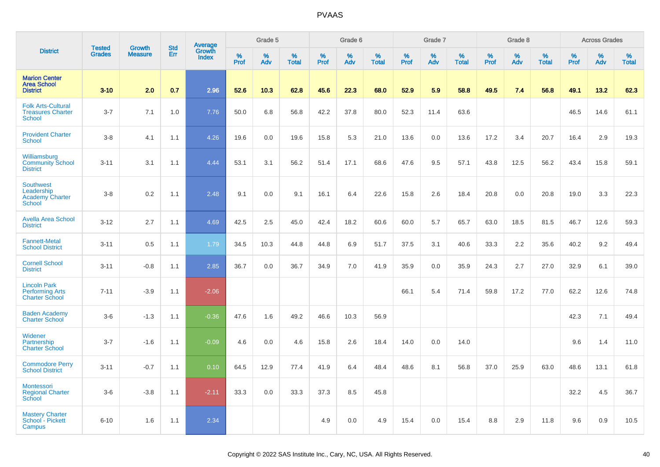|                                                                           |                                |                                 | <b>Std</b> | Average                |                     | Grade 5     |                      |                  | Grade 6  |                      |                     | Grade 7  |                      |              | Grade 8  |                   |                     | <b>Across Grades</b> |                      |
|---------------------------------------------------------------------------|--------------------------------|---------------------------------|------------|------------------------|---------------------|-------------|----------------------|------------------|----------|----------------------|---------------------|----------|----------------------|--------------|----------|-------------------|---------------------|----------------------|----------------------|
| <b>District</b>                                                           | <b>Tested</b><br><b>Grades</b> | <b>Growth</b><br><b>Measure</b> | Err        | Growth<br><b>Index</b> | $\%$<br><b>Prof</b> | $\%$<br>Adv | $\%$<br><b>Total</b> | %<br><b>Prof</b> | %<br>Adv | $\%$<br><b>Total</b> | $\%$<br><b>Prof</b> | %<br>Adv | $\%$<br><b>Total</b> | $\%$<br>Prof | %<br>Adv | %<br><b>Total</b> | $\%$<br><b>Prof</b> | $\%$<br>Adv          | $\%$<br><b>Total</b> |
| <b>Marion Center</b><br><b>Area School</b><br><b>District</b>             | $3 - 10$                       | 2.0                             | 0.7        | 2.96                   | 52.6                | 10.3        | 62.8                 | 45.6             | 22.3     | 68.0                 | 52.9                | 5.9      | 58.8                 | 49.5         | 7.4      | 56.8              | 49.1                | 13.2                 | 62.3                 |
| <b>Folk Arts-Cultural</b><br><b>Treasures Charter</b><br><b>School</b>    | $3 - 7$                        | 7.1                             | 1.0        | 7.76                   | 50.0                | 6.8         | 56.8                 | 42.2             | 37.8     | 80.0                 | 52.3                | 11.4     | 63.6                 |              |          |                   | 46.5                | 14.6                 | 61.1                 |
| <b>Provident Charter</b><br><b>School</b>                                 | $3 - 8$                        | 4.1                             | 1.1        | 4.26                   | 19.6                | 0.0         | 19.6                 | 15.8             | 5.3      | 21.0                 | 13.6                | 0.0      | 13.6                 | 17.2         | 3.4      | 20.7              | 16.4                | 2.9                  | 19.3                 |
| Williamsburg<br><b>Community School</b><br><b>District</b>                | $3 - 11$                       | 3.1                             | 1.1        | 4.44                   | 53.1                | 3.1         | 56.2                 | 51.4             | 17.1     | 68.6                 | 47.6                | 9.5      | 57.1                 | 43.8         | 12.5     | 56.2              | 43.4                | 15.8                 | 59.1                 |
| <b>Southwest</b><br>Leadership<br><b>Academy Charter</b><br><b>School</b> | $3 - 8$                        | 0.2                             | 1.1        | 2.48                   | 9.1                 | 0.0         | 9.1                  | 16.1             | 6.4      | 22.6                 | 15.8                | 2.6      | 18.4                 | 20.8         | 0.0      | 20.8              | 19.0                | 3.3                  | 22.3                 |
| <b>Avella Area School</b><br><b>District</b>                              | $3 - 12$                       | 2.7                             | 1.1        | 4.69                   | 42.5                | 2.5         | 45.0                 | 42.4             | 18.2     | 60.6                 | 60.0                | 5.7      | 65.7                 | 63.0         | 18.5     | 81.5              | 46.7                | 12.6                 | 59.3                 |
| <b>Fannett-Metal</b><br><b>School District</b>                            | $3 - 11$                       | 0.5                             | 1.1        | 1.79                   | 34.5                | 10.3        | 44.8                 | 44.8             | 6.9      | 51.7                 | 37.5                | 3.1      | 40.6                 | 33.3         | 2.2      | 35.6              | 40.2                | 9.2                  | 49.4                 |
| <b>Cornell School</b><br><b>District</b>                                  | $3 - 11$                       | $-0.8$                          | 1.1        | 2.85                   | 36.7                | 0.0         | 36.7                 | 34.9             | 7.0      | 41.9                 | 35.9                | 0.0      | 35.9                 | 24.3         | 2.7      | 27.0              | 32.9                | 6.1                  | 39.0                 |
| <b>Lincoln Park</b><br><b>Performing Arts</b><br><b>Charter School</b>    | $7 - 11$                       | $-3.9$                          | 1.1        | $-2.06$                |                     |             |                      |                  |          |                      | 66.1                | 5.4      | 71.4                 | 59.8         | 17.2     | 77.0              | 62.2                | 12.6                 | 74.8                 |
| <b>Baden Academy</b><br><b>Charter School</b>                             | $3-6$                          | $-1.3$                          | 1.1        | $-0.36$                | 47.6                | 1.6         | 49.2                 | 46.6             | 10.3     | 56.9                 |                     |          |                      |              |          |                   | 42.3                | 7.1                  | 49.4                 |
| Widener<br>Partnership<br><b>Charter School</b>                           | $3 - 7$                        | $-1.6$                          | 1.1        | $-0.09$                | 4.6                 | 0.0         | 4.6                  | 15.8             | 2.6      | 18.4                 | 14.0                | $0.0\,$  | 14.0                 |              |          |                   | 9.6                 | 1.4                  | 11.0                 |
| <b>Commodore Perry</b><br><b>School District</b>                          | $3 - 11$                       | $-0.7$                          | 1.1        | 0.10                   | 64.5                | 12.9        | 77.4                 | 41.9             | 6.4      | 48.4                 | 48.6                | 8.1      | 56.8                 | 37.0         | 25.9     | 63.0              | 48.6                | 13.1                 | 61.8                 |
| <b>Montessori</b><br><b>Regional Charter</b><br>School                    | $3-6$                          | $-3.8$                          | 1.1        | $-2.11$                | 33.3                | 0.0         | 33.3                 | 37.3             | 8.5      | 45.8                 |                     |          |                      |              |          |                   | 32.2                | 4.5                  | 36.7                 |
| <b>Mastery Charter</b><br>School - Pickett<br>Campus                      | $6 - 10$                       | 1.6                             | 1.1        | 2.34                   |                     |             |                      | 4.9              | 0.0      | 4.9                  | 15.4                | 0.0      | 15.4                 | 8.8          | 2.9      | 11.8              | 9.6                 | 0.9                  | 10.5                 |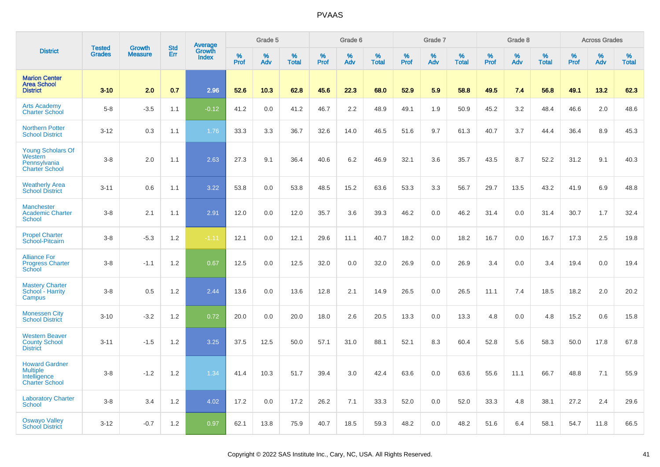|                                                                                   |                         |                                 |                   | Average                |                     | Grade 5  |                      |              | Grade 6  |                      |              | Grade 7     |                      |                     | Grade 8     |                      |                     | <b>Across Grades</b> |                   |
|-----------------------------------------------------------------------------------|-------------------------|---------------------------------|-------------------|------------------------|---------------------|----------|----------------------|--------------|----------|----------------------|--------------|-------------|----------------------|---------------------|-------------|----------------------|---------------------|----------------------|-------------------|
| <b>District</b>                                                                   | <b>Tested</b><br>Grades | <b>Growth</b><br><b>Measure</b> | <b>Std</b><br>Err | Growth<br><b>Index</b> | $\%$<br><b>Prof</b> | %<br>Adv | $\%$<br><b>Total</b> | $\%$<br>Prof | %<br>Adv | $\%$<br><b>Total</b> | $\%$<br>Prof | $\%$<br>Adv | $\%$<br><b>Total</b> | $\%$<br><b>Prof</b> | $\%$<br>Adv | $\%$<br><b>Total</b> | $\%$<br><b>Prof</b> | %<br>Adv             | %<br><b>Total</b> |
| <b>Marion Center</b><br><b>Area School</b><br><b>District</b>                     | $3 - 10$                | 2.0                             | 0.7               | 2.96                   | 52.6                | 10.3     | 62.8                 | 45.6         | 22.3     | 68.0                 | 52.9         | 5.9         | 58.8                 | 49.5                | 7.4         | 56.8                 | 49.1                | 13.2                 | 62.3              |
| <b>Arts Academy</b><br>Charter School                                             | $5-8$                   | $-3.5$                          | 1.1               | $-0.12$                | 41.2                | 0.0      | 41.2                 | 46.7         | 2.2      | 48.9                 | 49.1         | 1.9         | 50.9                 | 45.2                | 3.2         | 48.4                 | 46.6                | 2.0                  | 48.6              |
| <b>Northern Potter</b><br><b>School District</b>                                  | $3 - 12$                | 0.3                             | 1.1               | 1.76                   | 33.3                | 3.3      | 36.7                 | 32.6         | 14.0     | 46.5                 | 51.6         | 9.7         | 61.3                 | 40.7                | 3.7         | 44.4                 | 36.4                | 8.9                  | 45.3              |
| <b>Young Scholars Of</b><br>Western<br>Pennsylvania<br><b>Charter School</b>      | $3-8$                   | 2.0                             | 1.1               | 2.63                   | 27.3                | 9.1      | 36.4                 | 40.6         | 6.2      | 46.9                 | 32.1         | 3.6         | 35.7                 | 43.5                | 8.7         | 52.2                 | 31.2                | 9.1                  | 40.3              |
| <b>Weatherly Area</b><br><b>School District</b>                                   | $3 - 11$                | 0.6                             | 1.1               | 3.22                   | 53.8                | 0.0      | 53.8                 | 48.5         | 15.2     | 63.6                 | 53.3         | 3.3         | 56.7                 | 29.7                | 13.5        | 43.2                 | 41.9                | 6.9                  | 48.8              |
| <b>Manchester</b><br><b>Academic Charter</b><br><b>School</b>                     | $3-8$                   | 2.1                             | 1.1               | 2.91                   | 12.0                | 0.0      | 12.0                 | 35.7         | 3.6      | 39.3                 | 46.2         | 0.0         | 46.2                 | 31.4                | 0.0         | 31.4                 | 30.7                | 1.7                  | 32.4              |
| <b>Propel Charter</b><br>School-Pitcairn                                          | $3 - 8$                 | $-5.3$                          | 1.2               | $-1.11$                | 12.1                | 0.0      | 12.1                 | 29.6         | 11.1     | 40.7                 | 18.2         | 0.0         | 18.2                 | 16.7                | 0.0         | 16.7                 | 17.3                | 2.5                  | 19.8              |
| <b>Alliance For</b><br><b>Progress Charter</b><br>School                          | $3-8$                   | $-1.1$                          | 1.2               | 0.67                   | 12.5                | 0.0      | 12.5                 | 32.0         | 0.0      | 32.0                 | 26.9         | 0.0         | 26.9                 | 3.4                 | 0.0         | 3.4                  | 19.4                | 0.0                  | 19.4              |
| <b>Mastery Charter</b><br>School - Harrity<br>Campus                              | $3 - 8$                 | 0.5                             | 1.2               | 2.44                   | 13.6                | 0.0      | 13.6                 | 12.8         | 2.1      | 14.9                 | 26.5         | 0.0         | 26.5                 | 11.1                | 7.4         | 18.5                 | 18.2                | 2.0                  | 20.2              |
| <b>Monessen City</b><br><b>School District</b>                                    | $3 - 10$                | $-3.2$                          | 1.2               | 0.72                   | 20.0                | 0.0      | 20.0                 | 18.0         | 2.6      | 20.5                 | 13.3         | 0.0         | 13.3                 | 4.8                 | 0.0         | 4.8                  | 15.2                | 0.6                  | 15.8              |
| <b>Western Beaver</b><br><b>County School</b><br><b>District</b>                  | $3 - 11$                | $-1.5$                          | 1.2               | 3.25                   | 37.5                | 12.5     | 50.0                 | 57.1         | 31.0     | 88.1                 | 52.1         | 8.3         | 60.4                 | 52.8                | 5.6         | 58.3                 | 50.0                | 17.8                 | 67.8              |
| <b>Howard Gardner</b><br><b>Multiple</b><br>Intelligence<br><b>Charter School</b> | $3-8$                   | $-1.2$                          | 1.2               | 1.34                   | 41.4                | 10.3     | 51.7                 | 39.4         | 3.0      | 42.4                 | 63.6         | 0.0         | 63.6                 | 55.6                | 11.1        | 66.7                 | 48.8                | 7.1                  | 55.9              |
| <b>Laboratory Charter</b><br><b>School</b>                                        | $3-8$                   | 3.4                             | 1.2               | 4.02                   | 17.2                | 0.0      | 17.2                 | 26.2         | 7.1      | 33.3                 | 52.0         | 0.0         | 52.0                 | 33.3                | 4.8         | 38.1                 | 27.2                | 2.4                  | 29.6              |
| <b>Oswayo Valley</b><br>School District                                           | $3 - 12$                | $-0.7$                          | 1.2               | 0.97                   | 62.1                | 13.8     | 75.9                 | 40.7         | 18.5     | 59.3                 | 48.2         | 0.0         | 48.2                 | 51.6                | 6.4         | 58.1                 | 54.7                | 11.8                 | 66.5              |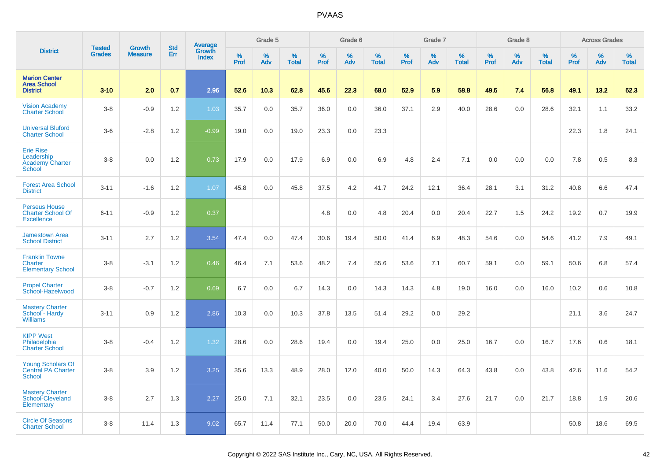|                                                                           |                                |                                 |                   |                                   |                     | Grade 5     |                      |              | Grade 6  |                      |              | Grade 7     |                      |                     | Grade 8     |                   |                     | <b>Across Grades</b> |                      |
|---------------------------------------------------------------------------|--------------------------------|---------------------------------|-------------------|-----------------------------------|---------------------|-------------|----------------------|--------------|----------|----------------------|--------------|-------------|----------------------|---------------------|-------------|-------------------|---------------------|----------------------|----------------------|
| <b>District</b>                                                           | <b>Tested</b><br><b>Grades</b> | <b>Growth</b><br><b>Measure</b> | <b>Std</b><br>Err | Average<br>Growth<br><b>Index</b> | $\%$<br><b>Prof</b> | $\%$<br>Adv | $\%$<br><b>Total</b> | $\%$<br>Prof | %<br>Adv | $\%$<br><b>Total</b> | $\%$<br>Prof | $\%$<br>Adv | $\%$<br><b>Total</b> | $\%$<br><b>Prof</b> | $\%$<br>Adv | %<br><b>Total</b> | $\%$<br><b>Prof</b> | $\%$<br>Adv          | $\%$<br><b>Total</b> |
| <b>Marion Center</b><br><b>Area School</b><br><b>District</b>             | $3 - 10$                       | 2.0                             | 0.7               | 2.96                              | 52.6                | 10.3        | 62.8                 | 45.6         | 22.3     | 68.0                 | 52.9         | 5.9         | 58.8                 | 49.5                | 7.4         | 56.8              | 49.1                | 13.2                 | 62.3                 |
| <b>Vision Academy</b><br><b>Charter School</b>                            | $3-8$                          | $-0.9$                          | 1.2               | 1.03                              | 35.7                | 0.0         | 35.7                 | 36.0         | 0.0      | 36.0                 | 37.1         | 2.9         | 40.0                 | 28.6                | 0.0         | 28.6              | 32.1                | 1.1                  | 33.2                 |
| <b>Universal Bluford</b><br><b>Charter School</b>                         | $3-6$                          | $-2.8$                          | 1.2               | $-0.99$                           | 19.0                | 0.0         | 19.0                 | 23.3         | 0.0      | 23.3                 |              |             |                      |                     |             |                   | 22.3                | 1.8                  | 24.1                 |
| <b>Erie Rise</b><br>Leadership<br><b>Academy Charter</b><br><b>School</b> | $3-8$                          | 0.0                             | 1.2               | 0.73                              | 17.9                | 0.0         | 17.9                 | 6.9          | 0.0      | 6.9                  | 4.8          | 2.4         | 7.1                  | 0.0                 | 0.0         | 0.0               | 7.8                 | 0.5                  | 8.3                  |
| <b>Forest Area School</b><br><b>District</b>                              | $3 - 11$                       | $-1.6$                          | 1.2               | 1.07                              | 45.8                | 0.0         | 45.8                 | 37.5         | 4.2      | 41.7                 | 24.2         | 12.1        | 36.4                 | 28.1                | 3.1         | 31.2              | 40.8                | 6.6                  | 47.4                 |
| <b>Perseus House</b><br><b>Charter School Of</b><br><b>Excellence</b>     | $6 - 11$                       | $-0.9$                          | 1.2               | 0.37                              |                     |             |                      | 4.8          | 0.0      | 4.8                  | 20.4         | 0.0         | 20.4                 | 22.7                | 1.5         | 24.2              | 19.2                | 0.7                  | 19.9                 |
| <b>Jamestown Area</b><br><b>School District</b>                           | $3 - 11$                       | 2.7                             | 1.2               | 3.54                              | 47.4                | 0.0         | 47.4                 | 30.6         | 19.4     | 50.0                 | 41.4         | 6.9         | 48.3                 | 54.6                | 0.0         | 54.6              | 41.2                | 7.9                  | 49.1                 |
| <b>Franklin Towne</b><br>Charter<br><b>Elementary School</b>              | $3-8$                          | $-3.1$                          | 1.2               | 0.46                              | 46.4                | 7.1         | 53.6                 | 48.2         | 7.4      | 55.6                 | 53.6         | 7.1         | 60.7                 | 59.1                | 0.0         | 59.1              | 50.6                | 6.8                  | 57.4                 |
| <b>Propel Charter</b><br>School-Hazelwood                                 | $3 - 8$                        | $-0.7$                          | 1.2               | 0.69                              | 6.7                 | 0.0         | 6.7                  | 14.3         | 0.0      | 14.3                 | 14.3         | 4.8         | 19.0                 | 16.0                | 0.0         | 16.0              | 10.2                | 0.6                  | 10.8                 |
| <b>Mastery Charter</b><br>School - Hardy<br><b>Williams</b>               | $3 - 11$                       | 0.9                             | 1.2               | 2.86                              | 10.3                | 0.0         | 10.3                 | 37.8         | 13.5     | 51.4                 | 29.2         | 0.0         | 29.2                 |                     |             |                   | 21.1                | 3.6                  | 24.7                 |
| <b>KIPP West</b><br>Philadelphia<br><b>Charter School</b>                 | $3 - 8$                        | $-0.4$                          | 1.2               | 1.32                              | 28.6                | 0.0         | 28.6                 | 19.4         | 0.0      | 19.4                 | 25.0         | 0.0         | 25.0                 | 16.7                | 0.0         | 16.7              | 17.6                | 0.6                  | 18.1                 |
| <b>Young Scholars Of</b><br><b>Central PA Charter</b><br><b>School</b>    | $3-8$                          | 3.9                             | 1.2               | 3.25                              | 35.6                | 13.3        | 48.9                 | 28.0         | 12.0     | 40.0                 | 50.0         | 14.3        | 64.3                 | 43.8                | 0.0         | 43.8              | 42.6                | 11.6                 | 54.2                 |
| <b>Mastery Charter</b><br>School-Cleveland<br>Elementary                  | $3-8$                          | 2.7                             | 1.3               | 2.27                              | 25.0                | 7.1         | 32.1                 | 23.5         | 0.0      | 23.5                 | 24.1         | 3.4         | 27.6                 | 21.7                | 0.0         | 21.7              | 18.8                | 1.9                  | 20.6                 |
| <b>Circle Of Seasons</b><br><b>Charter School</b>                         | $3 - 8$                        | 11.4                            | 1.3               | 9.02                              | 65.7                | 11.4        | 77.1                 | 50.0         | 20.0     | 70.0                 | 44.4         | 19.4        | 63.9                 |                     |             |                   | 50.8                | 18.6                 | 69.5                 |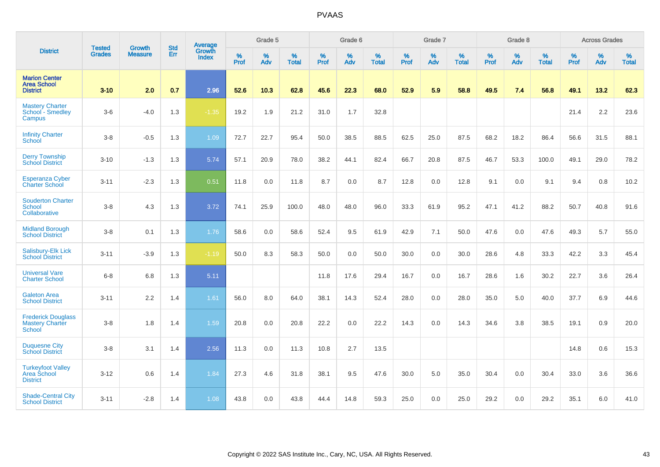|                                                               |                                |                                 | <b>Std</b> | Average                |                     | Grade 5  |                   |                  | Grade 6  |                   |                  | Grade 7  |                   |                  | Grade 8  |                   |                  | <b>Across Grades</b> |                   |
|---------------------------------------------------------------|--------------------------------|---------------------------------|------------|------------------------|---------------------|----------|-------------------|------------------|----------|-------------------|------------------|----------|-------------------|------------------|----------|-------------------|------------------|----------------------|-------------------|
| <b>District</b>                                               | <b>Tested</b><br><b>Grades</b> | <b>Growth</b><br><b>Measure</b> | <b>Err</b> | Growth<br><b>Index</b> | $\%$<br><b>Prof</b> | %<br>Adv | %<br><b>Total</b> | %<br><b>Prof</b> | %<br>Adv | %<br><b>Total</b> | %<br><b>Prof</b> | %<br>Adv | %<br><b>Total</b> | %<br><b>Prof</b> | %<br>Adv | %<br><b>Total</b> | %<br><b>Prof</b> | %<br>Adv             | %<br><b>Total</b> |
| <b>Marion Center</b><br><b>Area School</b><br><b>District</b> | $3 - 10$                       | 2.0                             | 0.7        | 2.96                   | 52.6                | 10.3     | 62.8              | 45.6             | 22.3     | 68.0              | 52.9             | 5.9      | 58.8              | 49.5             | 7.4      | 56.8              | 49.1             | 13.2                 | 62.3              |
| <b>Mastery Charter</b><br>School - Smedley<br>Campus          | $3-6$                          | $-4.0$                          | 1.3        | $-1.35$                | 19.2                | 1.9      | 21.2              | 31.0             | 1.7      | 32.8              |                  |          |                   |                  |          |                   | 21.4             | 2.2                  | 23.6              |
| <b>Infinity Charter</b><br>School                             | $3-8$                          | $-0.5$                          | 1.3        | 1.09                   | 72.7                | 22.7     | 95.4              | 50.0             | 38.5     | 88.5              | 62.5             | 25.0     | 87.5              | 68.2             | 18.2     | 86.4              | 56.6             | 31.5                 | 88.1              |
| <b>Derry Township</b><br><b>School District</b>               | $3 - 10$                       | $-1.3$                          | 1.3        | 5.74                   | 57.1                | 20.9     | 78.0              | 38.2             | 44.1     | 82.4              | 66.7             | 20.8     | 87.5              | 46.7             | 53.3     | 100.0             | 49.1             | 29.0                 | 78.2              |
| Esperanza Cyber<br><b>Charter School</b>                      | $3 - 11$                       | $-2.3$                          | 1.3        | 0.51                   | 11.8                | 0.0      | 11.8              | 8.7              | 0.0      | 8.7               | 12.8             | 0.0      | 12.8              | 9.1              | 0.0      | 9.1               | 9.4              | 0.8                  | 10.2              |
| <b>Souderton Charter</b><br><b>School</b><br>Collaborative    | $3-8$                          | 4.3                             | 1.3        | 3.72                   | 74.1                | 25.9     | 100.0             | 48.0             | 48.0     | 96.0              | 33.3             | 61.9     | 95.2              | 47.1             | 41.2     | 88.2              | 50.7             | 40.8                 | 91.6              |
| <b>Midland Borough</b><br><b>School District</b>              | $3 - 8$                        | 0.1                             | 1.3        | 1.76                   | 58.6                | 0.0      | 58.6              | 52.4             | 9.5      | 61.9              | 42.9             | 7.1      | 50.0              | 47.6             | 0.0      | 47.6              | 49.3             | 5.7                  | 55.0              |
| Salisbury-Elk Lick<br><b>School District</b>                  | $3 - 11$                       | $-3.9$                          | 1.3        | $-1.19$                | 50.0                | 8.3      | 58.3              | 50.0             | 0.0      | 50.0              | 30.0             | 0.0      | 30.0              | 28.6             | 4.8      | 33.3              | 42.2             | 3.3                  | 45.4              |
| <b>Universal Vare</b><br><b>Charter School</b>                | $6-8$                          | 6.8                             | 1.3        | 5.11                   |                     |          |                   | 11.8             | 17.6     | 29.4              | 16.7             | 0.0      | 16.7              | 28.6             | 1.6      | 30.2              | 22.7             | 3.6                  | 26.4              |
| <b>Galeton Area</b><br><b>School District</b>                 | $3 - 11$                       | 2.2                             | 1.4        | 1.61                   | 56.0                | 8.0      | 64.0              | 38.1             | 14.3     | 52.4              | 28.0             | 0.0      | 28.0              | 35.0             | 5.0      | 40.0              | 37.7             | 6.9                  | 44.6              |
| <b>Frederick Douglass</b><br><b>Mastery Charter</b><br>School | $3 - 8$                        | 1.8                             | 1.4        | 1.59                   | 20.8                | 0.0      | 20.8              | 22.2             | 0.0      | 22.2              | 14.3             | 0.0      | 14.3              | 34.6             | 3.8      | 38.5              | 19.1             | 0.9                  | 20.0              |
| <b>Duquesne City</b><br><b>School District</b>                | $3 - 8$                        | 3.1                             | 1.4        | 2.56                   | 11.3                | 0.0      | 11.3              | 10.8             | 2.7      | 13.5              |                  |          |                   |                  |          |                   | 14.8             | 0.6                  | 15.3              |
| Turkeyfoot Valley<br>Area School<br><b>District</b>           | $3 - 12$                       | 0.6                             | 1.4        | 1.84                   | 27.3                | 4.6      | 31.8              | 38.1             | 9.5      | 47.6              | 30.0             | 5.0      | 35.0              | 30.4             | 0.0      | 30.4              | 33.0             | 3.6                  | 36.6              |
| <b>Shade-Central City</b><br><b>School District</b>           | $3 - 11$                       | $-2.8$                          | 1.4        | 1.08                   | 43.8                | 0.0      | 43.8              | 44.4             | 14.8     | 59.3              | 25.0             | 0.0      | 25.0              | 29.2             | 0.0      | 29.2              | 35.1             | 6.0                  | 41.0              |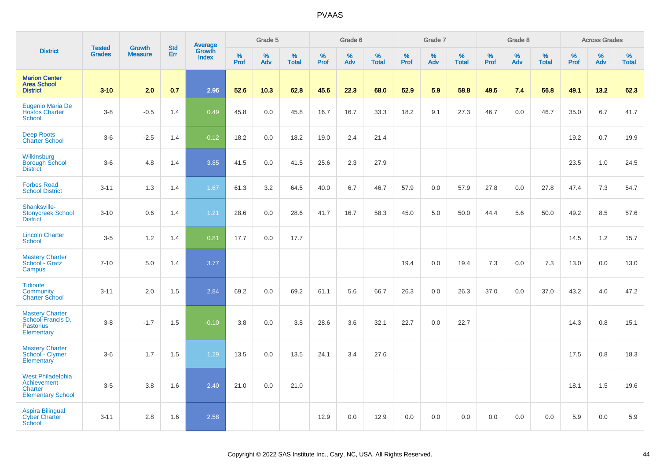|                                                                                |                                |                          | <b>Std</b> | Average                |                     | Grade 5  |                   |                  | Grade 6  |                   |                  | Grade 7  |                   |           | Grade 8  |                   |           | <b>Across Grades</b> |                   |
|--------------------------------------------------------------------------------|--------------------------------|--------------------------|------------|------------------------|---------------------|----------|-------------------|------------------|----------|-------------------|------------------|----------|-------------------|-----------|----------|-------------------|-----------|----------------------|-------------------|
| <b>District</b>                                                                | <b>Tested</b><br><b>Grades</b> | Growth<br><b>Measure</b> | Err        | Growth<br><b>Index</b> | $\%$<br><b>Prof</b> | %<br>Adv | %<br><b>Total</b> | %<br><b>Prof</b> | %<br>Adv | %<br><b>Total</b> | %<br><b>Prof</b> | %<br>Adv | %<br><b>Total</b> | %<br>Prof | %<br>Adv | %<br><b>Total</b> | %<br>Prof | %<br>Adv             | %<br><b>Total</b> |
| <b>Marion Center</b><br><b>Area School</b><br><b>District</b>                  | $3 - 10$                       | 2.0                      | 0.7        | 2.96                   | 52.6                | 10.3     | 62.8              | 45.6             | 22.3     | 68.0              | 52.9             | 5.9      | 58.8              | 49.5      | 7.4      | 56.8              | 49.1      | 13.2                 | 62.3              |
| Eugenio Maria De<br><b>Hostos Charter</b><br><b>School</b>                     | $3 - 8$                        | $-0.5$                   | 1.4        | 0.49                   | 45.8                | 0.0      | 45.8              | 16.7             | 16.7     | 33.3              | 18.2             | 9.1      | 27.3              | 46.7      | 0.0      | 46.7              | 35.0      | 6.7                  | 41.7              |
| <b>Deep Roots</b><br><b>Charter School</b>                                     | $3-6$                          | $-2.5$                   | 1.4        | $-0.12$                | 18.2                | 0.0      | 18.2              | 19.0             | 2.4      | 21.4              |                  |          |                   |           |          |                   | 19.2      | 0.7                  | 19.9              |
| Wilkinsburg<br><b>Borough School</b><br><b>District</b>                        | $3-6$                          | 4.8                      | 1.4        | 3.85                   | 41.5                | 0.0      | 41.5              | 25.6             | 2.3      | 27.9              |                  |          |                   |           |          |                   | 23.5      | 1.0                  | 24.5              |
| <b>Forbes Road</b><br><b>School District</b>                                   | $3 - 11$                       | 1.3                      | 1.4        | 1.67                   | 61.3                | 3.2      | 64.5              | 40.0             | 6.7      | 46.7              | 57.9             | 0.0      | 57.9              | 27.8      | 0.0      | 27.8              | 47.4      | 7.3                  | 54.7              |
| Shanksville-<br><b>Stonycreek School</b><br><b>District</b>                    | $3 - 10$                       | 0.6                      | 1.4        | 1.21                   | 28.6                | 0.0      | 28.6              | 41.7             | 16.7     | 58.3              | 45.0             | 5.0      | 50.0              | 44.4      | 5.6      | 50.0              | 49.2      | 8.5                  | 57.6              |
| <b>Lincoln Charter</b><br>School                                               | $3-5$                          | 1.2                      | 1.4        | 0.81                   | 17.7                | 0.0      | 17.7              |                  |          |                   |                  |          |                   |           |          |                   | 14.5      | 1.2                  | 15.7              |
| <b>Mastery Charter</b><br>School - Gratz<br>Campus                             | $7 - 10$                       | 5.0                      | 1.4        | 3.77                   |                     |          |                   |                  |          |                   | 19.4             | 0.0      | 19.4              | 7.3       | 0.0      | 7.3               | 13.0      | 0.0                  | 13.0              |
| <b>Tidioute</b><br>Community<br><b>Charter School</b>                          | $3 - 11$                       | 2.0                      | 1.5        | 2.84                   | 69.2                | 0.0      | 69.2              | 61.1             | 5.6      | 66.7              | 26.3             | 0.0      | 26.3              | 37.0      | 0.0      | 37.0              | 43.2      | 4.0                  | 47.2              |
| <b>Mastery Charter</b><br>School-Francis D.<br><b>Pastorius</b><br>Elementary  | $3 - 8$                        | $-1.7$                   | 1.5        | $-0.10$                | 3.8                 | 0.0      | 3.8               | 28.6             | 3.6      | 32.1              | 22.7             | 0.0      | 22.7              |           |          |                   | 14.3      | 0.8                  | 15.1              |
| <b>Mastery Charter</b><br>School - Clymer<br>Elementary                        | $3-6$                          | 1.7                      | 1.5        | 1.29                   | 13.5                | 0.0      | 13.5              | 24.1             | 3.4      | 27.6              |                  |          |                   |           |          |                   | 17.5      | 0.8                  | 18.3              |
| <b>West Philadelphia</b><br>Achievement<br>Charter<br><b>Elementary School</b> | $3-5$                          | 3.8                      | 1.6        | 2.40                   | 21.0                | 0.0      | 21.0              |                  |          |                   |                  |          |                   |           |          |                   | 18.1      | 1.5                  | 19.6              |
| Aspira Bilingual<br><b>Cyber Charter</b><br>School                             | $3 - 11$                       | 2.8                      | 1.6        | 2.58                   |                     |          |                   | 12.9             | 0.0      | 12.9              | 0.0              | 0.0      | 0.0               | 0.0       | 0.0      | 0.0               | 5.9       | 0.0                  | 5.9               |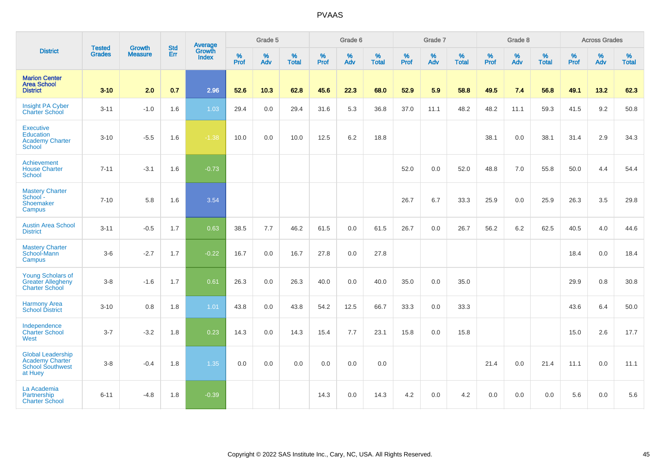|                                                                                          | <b>Tested</b> | <b>Growth</b>  | <b>Std</b> | Average                |              | Grade 5  |                   |              | Grade 6     |                      |              | Grade 7  |                   |              | Grade 8     |                   |              | <b>Across Grades</b> |                   |
|------------------------------------------------------------------------------------------|---------------|----------------|------------|------------------------|--------------|----------|-------------------|--------------|-------------|----------------------|--------------|----------|-------------------|--------------|-------------|-------------------|--------------|----------------------|-------------------|
| <b>District</b>                                                                          | <b>Grades</b> | <b>Measure</b> | <b>Err</b> | Growth<br><b>Index</b> | $\%$<br>Prof | %<br>Adv | %<br><b>Total</b> | $\%$<br>Prof | $\%$<br>Adv | $\%$<br><b>Total</b> | $\%$<br>Prof | %<br>Adv | %<br><b>Total</b> | $\%$<br>Prof | $\%$<br>Adv | %<br><b>Total</b> | $\%$<br>Prof | $\%$<br>Adv          | %<br><b>Total</b> |
| <b>Marion Center</b><br><b>Area School</b><br><b>District</b>                            | $3 - 10$      | 2.0            | 0.7        | 2.96                   | 52.6         | 10.3     | 62.8              | 45.6         | 22.3        | 68.0                 | 52.9         | 5.9      | 58.8              | 49.5         | 7.4         | 56.8              | 49.1         | 13.2                 | 62.3              |
| <b>Insight PA Cyber</b><br><b>Charter School</b>                                         | $3 - 11$      | $-1.0$         | 1.6        | 1.03                   | 29.4         | 0.0      | 29.4              | 31.6         | 5.3         | 36.8                 | 37.0         | 11.1     | 48.2              | 48.2         | 11.1        | 59.3              | 41.5         | 9.2                  | 50.8              |
| <b>Executive</b><br><b>Education</b><br><b>Academy Charter</b><br><b>School</b>          | $3 - 10$      | $-5.5$         | 1.6        | $-1.38$                | 10.0         | 0.0      | 10.0              | 12.5         | 6.2         | 18.8                 |              |          |                   | 38.1         | 0.0         | 38.1              | 31.4         | 2.9                  | 34.3              |
| Achievement<br><b>House Charter</b><br><b>School</b>                                     | $7 - 11$      | $-3.1$         | 1.6        | $-0.73$                |              |          |                   |              |             |                      | 52.0         | 0.0      | 52.0              | 48.8         | 7.0         | 55.8              | 50.0         | 4.4                  | 54.4              |
| <b>Mastery Charter</b><br>School-<br>Shoemaker<br>Campus                                 | $7 - 10$      | 5.8            | 1.6        | 3.54                   |              |          |                   |              |             |                      | 26.7         | 6.7      | 33.3              | 25.9         | 0.0         | 25.9              | 26.3         | 3.5                  | 29.8              |
| <b>Austin Area School</b><br><b>District</b>                                             | $3 - 11$      | $-0.5$         | 1.7        | 0.63                   | 38.5         | 7.7      | 46.2              | 61.5         | 0.0         | 61.5                 | 26.7         | 0.0      | 26.7              | 56.2         | 6.2         | 62.5              | 40.5         | 4.0                  | 44.6              |
| <b>Mastery Charter</b><br>School-Mann<br>Campus                                          | $3-6$         | $-2.7$         | 1.7        | $-0.22$                | 16.7         | 0.0      | 16.7              | 27.8         | 0.0         | 27.8                 |              |          |                   |              |             |                   | 18.4         | 0.0                  | 18.4              |
| <b>Young Scholars of</b><br><b>Greater Allegheny</b><br><b>Charter School</b>            | $3-8$         | $-1.6$         | 1.7        | 0.61                   | 26.3         | 0.0      | 26.3              | 40.0         | 0.0         | 40.0                 | 35.0         | 0.0      | 35.0              |              |             |                   | 29.9         | 0.8                  | 30.8              |
| <b>Harmony Area</b><br><b>School District</b>                                            | $3 - 10$      | 0.8            | 1.8        | 1.01                   | 43.8         | 0.0      | 43.8              | 54.2         | 12.5        | 66.7                 | 33.3         | 0.0      | 33.3              |              |             |                   | 43.6         | 6.4                  | 50.0              |
| Independence<br><b>Charter School</b><br>West                                            | $3 - 7$       | $-3.2$         | 1.8        | 0.23                   | 14.3         | 0.0      | 14.3              | 15.4         | 7.7         | 23.1                 | 15.8         | 0.0      | 15.8              |              |             |                   | 15.0         | 2.6                  | 17.7              |
| <b>Global Leadership</b><br><b>Academy Charter</b><br><b>School Southwest</b><br>at Huey | $3-8$         | $-0.4$         | 1.8        | 1.35                   | 0.0          | 0.0      | 0.0               | 0.0          | 0.0         | 0.0                  |              |          |                   | 21.4         | 0.0         | 21.4              | 11.1         | 0.0                  | 11.1              |
| La Academia<br>Partnership<br><b>Charter School</b>                                      | $6 - 11$      | $-4.8$         | 1.8        | $-0.39$                |              |          |                   | 14.3         | 0.0         | 14.3                 | 4.2          | 0.0      | 4.2               | 0.0          | 0.0         | 0.0               | 5.6          | 0.0                  | 5.6               |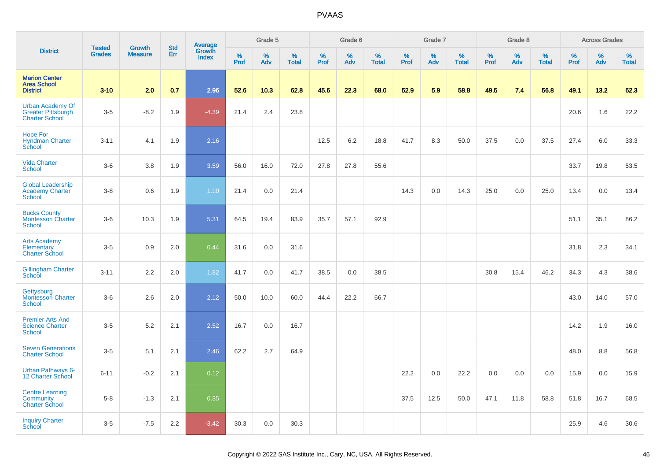|                                                                               |                                |                                 | <b>Std</b> |                                   |              | Grade 5  |                   |              | Grade 6  |                   |              | Grade 7  |                   |              | Grade 8  |                   |              | <b>Across Grades</b> |                   |
|-------------------------------------------------------------------------------|--------------------------------|---------------------------------|------------|-----------------------------------|--------------|----------|-------------------|--------------|----------|-------------------|--------------|----------|-------------------|--------------|----------|-------------------|--------------|----------------------|-------------------|
| <b>District</b>                                                               | <b>Tested</b><br><b>Grades</b> | <b>Growth</b><br><b>Measure</b> | Err        | Average<br>Growth<br><b>Index</b> | $\%$<br>Prof | %<br>Adv | %<br><b>Total</b> | $\%$<br>Prof | %<br>Adv | %<br><b>Total</b> | $\%$<br>Prof | %<br>Adv | %<br><b>Total</b> | $\%$<br>Prof | %<br>Adv | %<br><b>Total</b> | $\%$<br>Prof | $\%$<br>Adv          | %<br><b>Total</b> |
| <b>Marion Center</b><br><b>Area School</b><br><b>District</b>                 | $3 - 10$                       | 2.0                             | 0.7        | 2.96                              | 52.6         | 10.3     | 62.8              | 45.6         | 22.3     | 68.0              | 52.9         | 5.9      | 58.8              | 49.5         | 7.4      | 56.8              | 49.1         | 13.2                 | 62.3              |
| <b>Urban Academy Of</b><br><b>Greater Pittsburgh</b><br><b>Charter School</b> | $3-5$                          | $-8.2$                          | 1.9        | $-4.39$                           | 21.4         | 2.4      | 23.8              |              |          |                   |              |          |                   |              |          |                   | 20.6         | 1.6                  | 22.2              |
| <b>Hope For</b><br><b>Hyndman Charter</b><br>School                           | $3 - 11$                       | 4.1                             | 1.9        | 2.16                              |              |          |                   | 12.5         | 6.2      | 18.8              | 41.7         | 8.3      | 50.0              | 37.5         | 0.0      | 37.5              | 27.4         | 6.0                  | 33.3              |
| <b>Vida Charter</b><br><b>School</b>                                          | $3-6$                          | 3.8                             | 1.9        | 3.59                              | 56.0         | 16.0     | 72.0              | 27.8         | 27.8     | 55.6              |              |          |                   |              |          |                   | 33.7         | 19.8                 | 53.5              |
| <b>Global Leadership</b><br><b>Academy Charter</b><br><b>School</b>           | $3-8$                          | 0.6                             | 1.9        | 1.10                              | 21.4         | 0.0      | 21.4              |              |          |                   | 14.3         | 0.0      | 14.3              | 25.0         | 0.0      | 25.0              | 13.4         | 0.0                  | 13.4              |
| <b>Bucks County</b><br>Montessori Charter<br>School                           | $3-6$                          | 10.3                            | 1.9        | 5.31                              | 64.5         | 19.4     | 83.9              | 35.7         | 57.1     | 92.9              |              |          |                   |              |          |                   | 51.1         | 35.1                 | 86.2              |
| <b>Arts Academy</b><br>Elementary<br><b>Charter School</b>                    | $3-5$                          | 0.9                             | 2.0        | 0.44                              | 31.6         | 0.0      | 31.6              |              |          |                   |              |          |                   |              |          |                   | 31.8         | 2.3                  | 34.1              |
| <b>Gillingham Charter</b><br>School                                           | $3 - 11$                       | 2.2                             | 2.0        | 1.82                              | 41.7         | 0.0      | 41.7              | 38.5         | 0.0      | 38.5              |              |          |                   | 30.8         | 15.4     | 46.2              | 34.3         | 4.3                  | 38.6              |
| Gettysburg<br><b>Montessori Charter</b><br><b>School</b>                      | $3-6$                          | 2.6                             | 2.0        | 2.12                              | 50.0         | 10.0     | 60.0              | 44.4         | 22.2     | 66.7              |              |          |                   |              |          |                   | 43.0         | 14.0                 | 57.0              |
| <b>Premier Arts And</b><br><b>Science Charter</b><br><b>School</b>            | $3-5$                          | 5.2                             | 2.1        | 2.52                              | 16.7         | 0.0      | 16.7              |              |          |                   |              |          |                   |              |          |                   | 14.2         | 1.9                  | 16.0              |
| <b>Seven Generations</b><br><b>Charter School</b>                             | $3-5$                          | 5.1                             | 2.1        | 2.46                              | 62.2         | 2.7      | 64.9              |              |          |                   |              |          |                   |              |          |                   | 48.0         | 8.8                  | 56.8              |
| <b>Urban Pathways 6-</b><br>12 Charter School                                 | $6 - 11$                       | $-0.2$                          | 2.1        | 0.12                              |              |          |                   |              |          |                   | 22.2         | 0.0      | 22.2              | 0.0          | 0.0      | 0.0               | 15.9         | 0.0                  | 15.9              |
| <b>Centre Learning</b><br>Community<br><b>Charter School</b>                  | $5-8$                          | $-1.3$                          | 2.1        | 0.35                              |              |          |                   |              |          |                   | 37.5         | 12.5     | 50.0              | 47.1         | 11.8     | 58.8              | 51.8         | 16.7                 | 68.5              |
| <b>Inquiry Charter</b><br>School                                              | $3-5$                          | $-7.5$                          | 2.2        | $-3.42$                           | 30.3         | 0.0      | 30.3              |              |          |                   |              |          |                   |              |          |                   | 25.9         | 4.6                  | 30.6              |